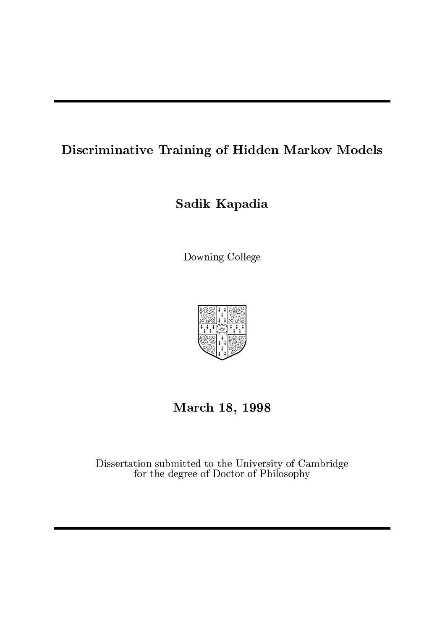## Discriminative Training of Hidden Markov Models

## Sadik Kapadia

Downing College



## March 18, 1998

Dissertation submitted to the University of Cambridge for the degree of Doctor of Philosophy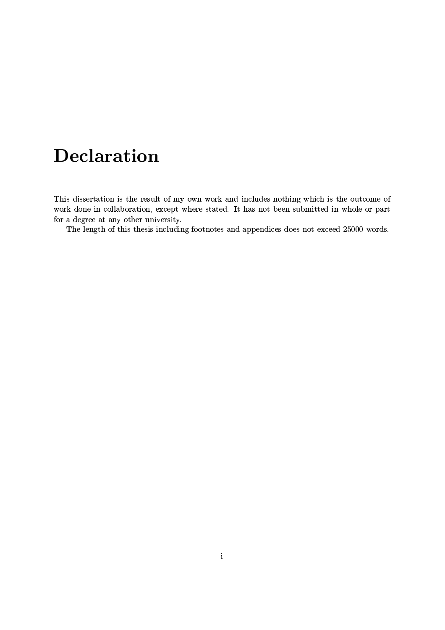# **Declaration**

This dissertation is the result of my own work and includes nothing which is the outcome of work done in collaboration, except where stated. It has not been submitted in whole or part for a degree at any other university.

The length of this thesis including footnotes and appendices does not exceed 25000 words.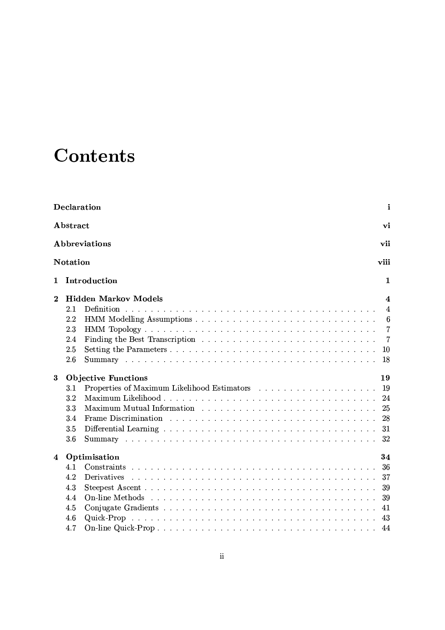# and the contract of the contract of the contract of the contract of the contract of the contract of the contract of the contract of the contract of the contract of the contract of the contract of the contract of the contra

| Declaration<br>i<br>Abstract<br>vi<br>Abbreviations<br>vii |                            |                                  |    |  |                         |  |                              |  |  |
|------------------------------------------------------------|----------------------------|----------------------------------|----|--|-------------------------|--|------------------------------|--|--|
|                                                            |                            |                                  |    |  | viii<br><b>Notation</b> |  |                              |  |  |
|                                                            |                            |                                  |    |  | $\mathbf{1}$            |  | Introduction<br>$\mathbf{1}$ |  |  |
| $\bf{2}$                                                   |                            | <b>Hidden Markov Models</b><br>4 |    |  |                         |  |                              |  |  |
|                                                            | 2.1                        | 4                                |    |  |                         |  |                              |  |  |
|                                                            | 2.2                        | 6                                |    |  |                         |  |                              |  |  |
|                                                            | 2.3<br>2.4                 | 7<br>$\overline{7}$              |    |  |                         |  |                              |  |  |
|                                                            | 2.5                        | 10                               |    |  |                         |  |                              |  |  |
|                                                            | 2.6                        | 18                               |    |  |                         |  |                              |  |  |
|                                                            |                            |                                  |    |  |                         |  |                              |  |  |
| 3                                                          | <b>Objective Functions</b> |                                  | 19 |  |                         |  |                              |  |  |
|                                                            | 3.1                        | -19                              |    |  |                         |  |                              |  |  |
|                                                            | 3.2                        | -24                              |    |  |                         |  |                              |  |  |
|                                                            | 3.3                        | 25                               |    |  |                         |  |                              |  |  |
|                                                            | 3.4                        |                                  |    |  |                         |  |                              |  |  |
|                                                            | 3.5                        |                                  |    |  |                         |  |                              |  |  |
|                                                            | 3.6                        |                                  |    |  |                         |  |                              |  |  |
| 4                                                          |                            | Optimisation<br>34               |    |  |                         |  |                              |  |  |
|                                                            | 4.1                        | -36                              |    |  |                         |  |                              |  |  |
|                                                            | 4.2                        | Derivatives<br>37                |    |  |                         |  |                              |  |  |
|                                                            | 4.3                        | -39                              |    |  |                         |  |                              |  |  |
|                                                            | 4.4                        | 39                               |    |  |                         |  |                              |  |  |
|                                                            | 4.5                        | 41                               |    |  |                         |  |                              |  |  |
|                                                            | 4.6                        | 43                               |    |  |                         |  |                              |  |  |
|                                                            | 4.7                        |                                  |    |  |                         |  |                              |  |  |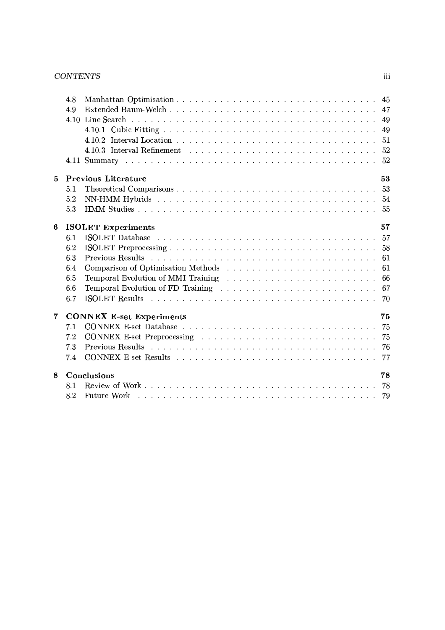### -

|             | 4.8 |                                                                                                                        |    |
|-------------|-----|------------------------------------------------------------------------------------------------------------------------|----|
|             | 4.9 |                                                                                                                        |    |
|             |     |                                                                                                                        |    |
|             |     |                                                                                                                        |    |
|             |     |                                                                                                                        |    |
|             |     | 4.10.3 Interval Refinement $\dots \dots \dots \dots \dots \dots \dots \dots \dots \dots \dots \dots \dots \dots \dots$ |    |
|             |     |                                                                                                                        |    |
| $\bf{5}$    |     | <b>Previous Literature</b>                                                                                             | 53 |
|             | 5.1 |                                                                                                                        |    |
|             | 5.2 |                                                                                                                        |    |
|             | 5.3 |                                                                                                                        |    |
| 6           |     | <b>ISOLET Experiments</b>                                                                                              | 57 |
|             | 6.1 |                                                                                                                        |    |
|             | 6.2 |                                                                                                                        |    |
|             | 6.3 |                                                                                                                        |    |
|             | 6.4 |                                                                                                                        |    |
|             | 6.5 |                                                                                                                        |    |
|             | 6.6 |                                                                                                                        |    |
|             | 6.7 |                                                                                                                        |    |
| $\mathbf 7$ |     | <b>CONNEX E-set Experiments</b>                                                                                        | 75 |
|             | 7.1 |                                                                                                                        |    |
|             | 7.2 |                                                                                                                        |    |
|             | 7.3 |                                                                                                                        |    |
|             | 7.4 |                                                                                                                        |    |
| 8           |     | Conclusions                                                                                                            | 78 |
|             | 8.1 |                                                                                                                        |    |
|             | 8.2 | Future Work (Allergia Allergia Allergia Allergia Allergia Allergia Allergia Allergia Allergia Allergia Allergi         |    |

 $\,$ iii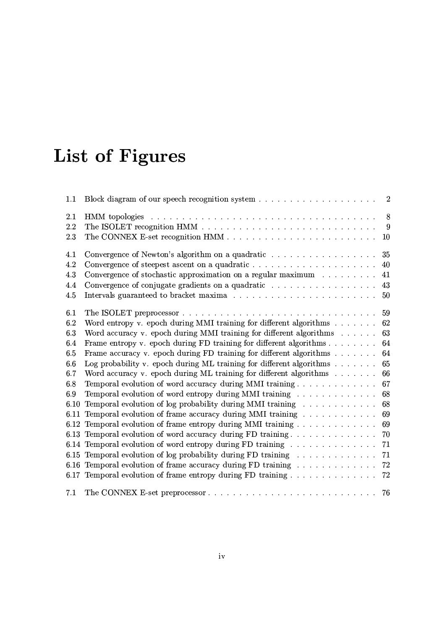# -

| 1.1  |                                                                                      |    |
|------|--------------------------------------------------------------------------------------|----|
| 2.1  |                                                                                      | 8  |
| 2.2  |                                                                                      | -9 |
| 2.3  |                                                                                      | 10 |
| 4.1  |                                                                                      | 35 |
| 4.2  |                                                                                      | 40 |
| 4.3  | Convergence of stochastic approximation on a regular maximum                         | 41 |
| 4.4  |                                                                                      | 43 |
| 4.5  |                                                                                      |    |
| 6.1  |                                                                                      |    |
| 6.2  | Word entropy v. epoch during MMI training for different algorithms 62                |    |
| 6.3  | Word accuracy v. epoch during MMI training for different algorithms $\dots \dots$    | 63 |
| 6.4  | Frame entropy v. epoch during FD training for different algorithms $\dots \dots$     | 64 |
| 6.5  | Frame accuracy v. epoch during FD training for different algorithms                  | 64 |
| 6.6  | Log probability v. epoch during ML training for different algorithms $\ldots \ldots$ | 65 |
| 6.7  | Word accuracy v. epoch during ML training for different algorithms                   | 66 |
| 6.8  | Temporal evolution of word accuracy during MMI training                              | 67 |
| 6.9  | Temporal evolution of word entropy during MMI training                               | 68 |
| 6.10 | Temporal evolution of log probability during MMI training                            | 68 |
| 6.11 | Temporal evolution of frame accuracy during MMI training                             | 69 |
|      | 6.12 Temporal evolution of frame entropy during MMI training                         | 69 |
|      | 6.13 Temporal evolution of word accuracy during FD training 70                       |    |
|      | 6.14 Temporal evolution of word entropy during FD training                           | 71 |
|      | 6.15 Temporal evolution of log probability during FD training 71                     |    |
|      | 6.16 Temporal evolution of frame accuracy during FD training 72                      |    |
|      | 6.17 Temporal evolution of frame entropy during FD training 72                       |    |
| 7.1  |                                                                                      |    |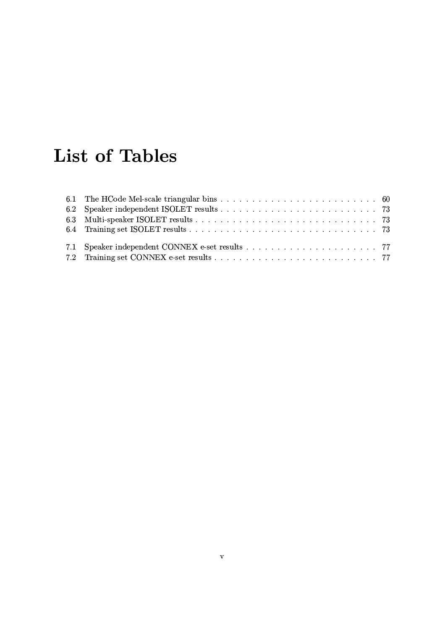# **List of Tables**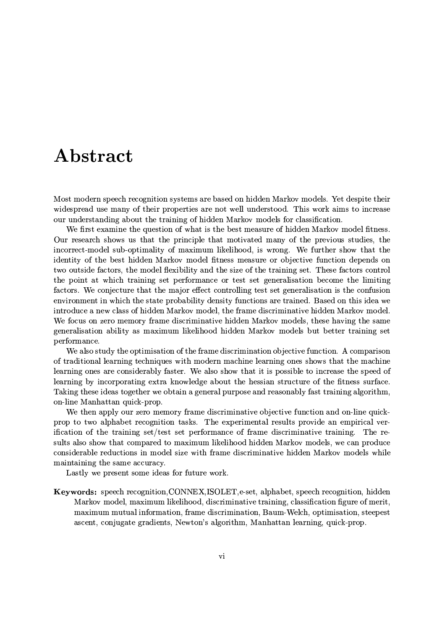## Abstract

Most modern speech recognition systems are based on hidden Markov models. Yet despite their widespread use many of their properties are not well understood. This work aims to increase our understanding about the training of hidden Markov models for classification.

We first examine the question of what is the best measure of hidden Markov model fitness. Our research shows us that the principle that motivated many of the previous studies, the incorrect-model sub-optimality of maximum likelihood, is wrong. We further show that the identity of the best hidden Markov model fitness measure or objective function depends on two outside factors, the model flexibility and the size of the training set. These factors control the point at which training set performance or test set generalisation become the limiting factors. We conjecture that the major effect controlling test set generalisation is the confusion environment in which the state probability density functions are trained. Based on this idea we introduce a new class of hidden Markov model, the frame discriminative hidden Markov model. We focus on zero memory frame discriminative hidden Markov models, these having the same generalisation ability as maximum likelihood hidden Markov models but better training set performance.

We also study the optimisation of the frame discrimination objective function. A comparison of traditional learning techniques with modern machine learning ones shows that the machine learning ones are considerably faster. We also show that it is possible to increase the speed of learning by incorporating extra knowledge about the hessian structure of the fitness surface. Taking these ideas together we obtain a general purpose and reasonably fast training algorithm, on-line Manhattan quick-prop.

We then apply our zero memory frame discriminative objective function and on-line quickprop to two alphabet recognition tasks. The experimental results provide an empirical verification of the training set/test set performance of frame discriminative training. The results also show that compared to maximum likelihood hidden Markov models, we can produce considerable reductions in model size with frame discriminative hidden Markov models while maintaining the same accuracy.

Lastly we present some ideas for future work.

Keywords: speech recognition, CONNEX, ISOLET, e-set, alphabet, speech recognition, hidden Markov model, maximum likelihood, discriminative training, classification figure of merit, maximum mutual information, frame discrimination, Baum-Welch, optimisation, steepest ascent, conjugate gradients, Newton's algorithm, Manhattan learning, quick-prop.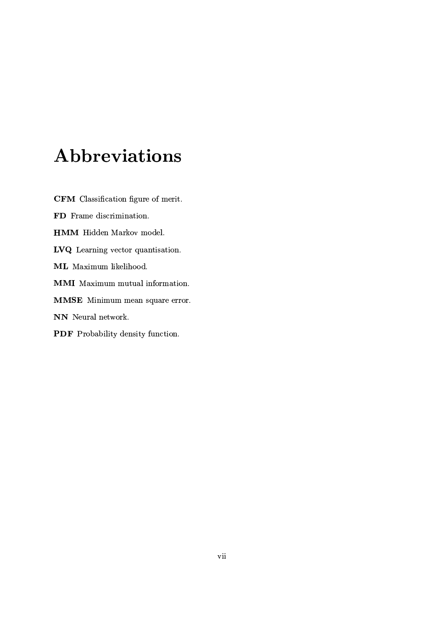# Abbreviations

CFM Classification figure of merit. FD Frame discrimination. **HMM** Hidden Markov model. LVQ Learning vector quantisation. ML Maximum likelihood. **MMI** Maximum mutual information. MMSE Minimum mean square error. NN Neural network. PDF Probability density function.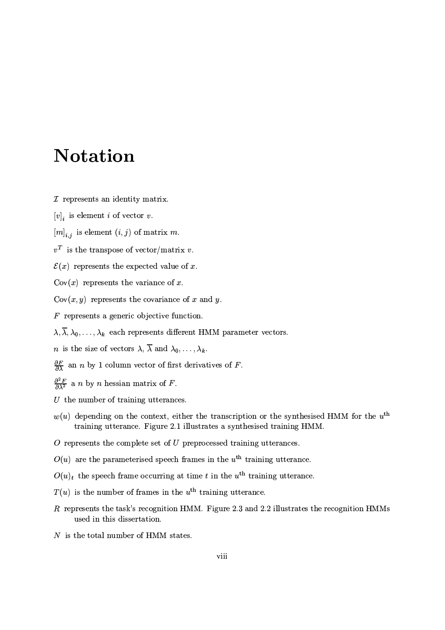# **Notation**

- $I$  represents an identity matrix.
- $[v]_i$  is element i of vector v.
- $[m]_{i,j}$  is element  $(i,j)$  of matrix m.
- $v^T$  is the transpose of vector/matrix v.
- $\mathcal{E}(x)$  represents the expected value of x.
- $Cov(x)$  represents the variance of x.
- $Cov(x, y)$  represents the covariance of x and y.
- $F$  represents a generic objective function.
- $\lambda, \overline{\lambda}, \lambda_0, \ldots, \lambda_k$  each represents different HMM parameter vectors.
- *n* is the size of vectors  $\lambda$ ,  $\overline{\lambda}$  and  $\lambda_0, \ldots, \lambda_k$ .
- $\frac{\partial F}{\partial \lambda}$  an *n* by 1 column vector of first derivatives of *F*.
- $\frac{\partial^2 F}{\partial \lambda^2}$  a *n* by *n* hessian matrix of *F*.
- $U$  the number of training utterances.
- $w(u)$  depending on the context, either the transcription or the synthesised HMM for the  $u<sup>th</sup>$ training utterance. Figure 2.1 illustrates a synthesised training HMM.
- $O$  represents the complete set of  $U$  preprocessed training utterances.
- $O(u)$  are the parameterised speech frames in the  $u<sup>th</sup>$  training utterance.
- $O(u)_t$  the speech frame occurring at time t in the  $u^{\text{th}}$  training utterance.
- $T(u)$  is the number of frames in the  $u^{\text{th}}$  training utterance.
- $R$  represents the task's recognition HMM. Figure 2.3 and 2.2 illustrates the recognition HMMs used in this dissertation.
- $N$  is the total number of HMM states.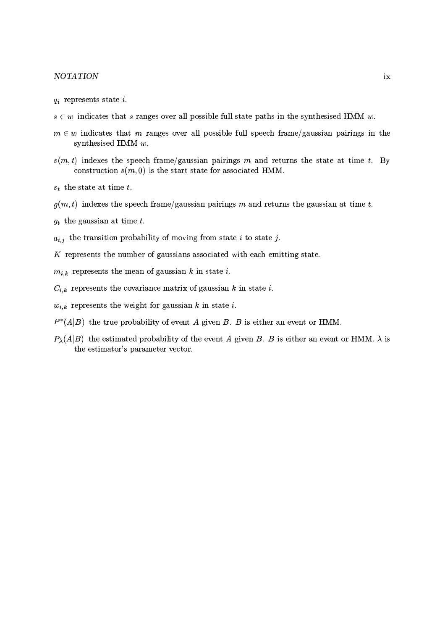### $NOTATION$

- $q_i$  represents state i.
- $s \in w$  indicates that s ranges over all possible full state paths in the synthesised HMM w.
- $m \in w$  indicates that m ranges over all possible full speech frame/gaussian pairings in the synthesised HMM  $w$ .
- $s(m, t)$  indexes the speech frame/gaussian pairings m and returns the state at time t. By construction  $s(m, 0)$  is the start state for associated HMM.
- $s_t$  the state at time t.
- $g(m, t)$  indexes the speech frame/gaussian pairings m and returns the gaussian at time t.
- $g_t$  the gaussian at time t.
- $a_{i,j}$  the transition probability of moving from state i to state j.
- $K$  represents the number of gaussians associated with each emitting state.
- $m_{i,k}$  represents the mean of gaussian k in state i.
- $C_{i,k}$  represents the covariance matrix of gaussian k in state i.
- $w_{i,k}$  represents the weight for gaussian k in state i.
- $P^*(A|B)$  the true probability of event A given B. B is either an event or HMM.
- $P_{\lambda}(A|B)$  the estimated probability of the event A given B. B is either an event or HMM.  $\lambda$  is the estimator's parameter vector.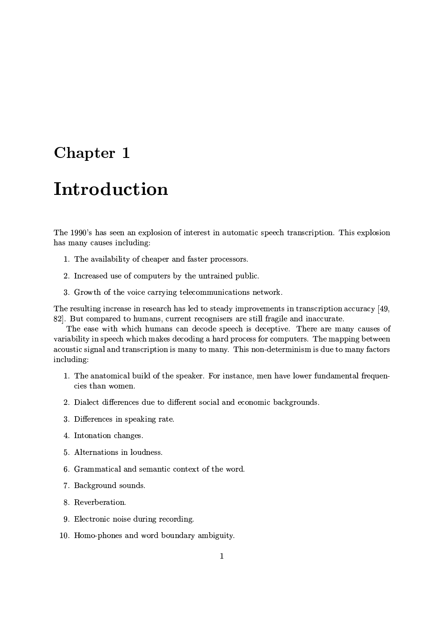## Chapter 1

## Introduction

The 1990's has seen an explosion of interest in automatic speech transcription. This explosion has many causes including:

- 1. The availability of cheaper and faster processors.
- 2. Increased use of computers by the untrained public.
- 3. Growth of the voice carrying telecommunications network.

The resulting increase in research has led to steady improvements in transcription accuracy [49, 82]. But compared to humans, current recognisers are still fragile and inaccurate.

The ease with which humans can decode speech is deceptive. There are many causes of variability in speech which makes decoding a hard process for computers. The mapping between acoustic signal and transcription is many to many. This non-determinism is due to many factors including:

- 1. The anatomical build of the speaker. For instance, men have lower fundamental frequencies than women.
- 2. Dialect differences due to different social and economic backgrounds.
- 3. Differences in speaking rate.
- 4. Intonation changes.
- 5. Alternations in loudness.
- 6. Grammatical and semantic context of the word.
- 7. Background sounds.
- 8. Reverberation.
- 9. Electronic noise during recording.
- 10. Homo-phones and word boundary ambiguity.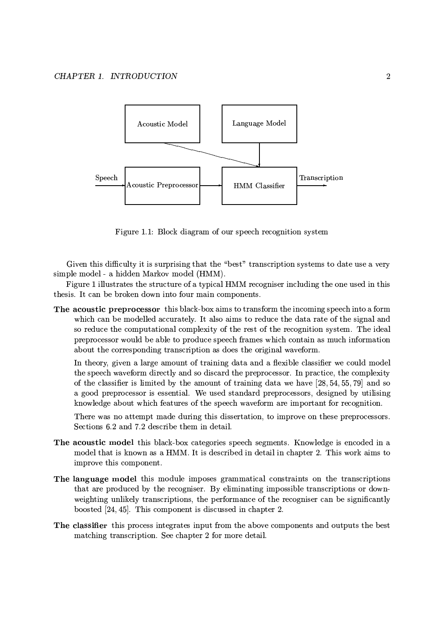

Figure 1.1: Block diagram of our speech recognition system

Given this difficulty it is surprising that the "best" transcription systems to date use a very simple model - a hidden Markov model (HMM).

Figure 1 illustrates the structure of a typical HMM recogniser including the one used in this thesis. It can be broken down into four main components.

The acoustic preprocessor this black-box aims to transform the incoming speech into a form which can be modelled accurately. It also aims to reduce the data rate of the signal and so reduce the computational complexity of the rest of the recognition system. The ideal preprocessor would be able to produce speech frames which contain as much information about the corresponding transcription as does the original waveform.

In theory, given a large amount of training data and a flexible classifier we could model the speech waveform directly and so discard the preprocessor. In practice, the complexity of the classifier is limited by the amount of training data we have  $[28, 54, 55, 79]$  and so a good preprocessor is essential. We used standard preprocessors, designed by utilising knowledge about which features of the speech waveform are important for recognition.

There was no attempt made during this dissertation, to improve on these preprocessors. Sections 6.2 and 7.2 describe them in detail.

- The acoustic model this black-box categories speech segments. Knowledge is encoded in a model that is known as a HMM. It is described in detail in chapter 2. This work aims to improve this component.
- The language model this module imposes grammatical constraints on the transcriptions that are produced by the recogniser. By eliminating impossible transcriptions or downweighting unlikely transcriptions, the performance of the recogniser can be significantly boosted [24, 45]. This component is discussed in chapter 2.
- The classifier this process integrates input from the above components and outputs the best matching transcription. See chapter 2 for more detail.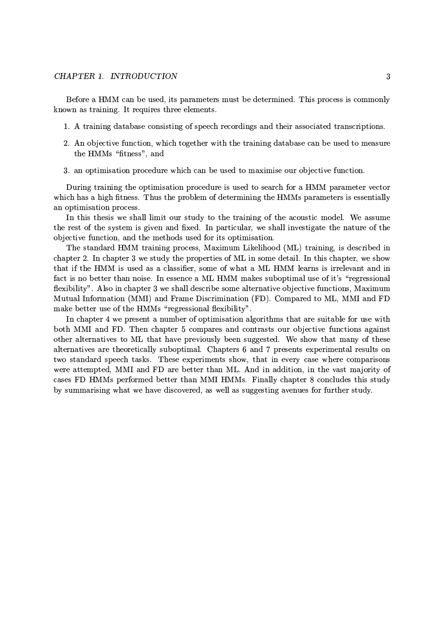### CHAPTER 1. INTRODUCTION

Before a HMM can be used, its parameters must be determined. This process is commonly known as training. It requires three elements.

- 1. A training database consisting of speech recordings and their associated transcriptions.
- 2. An objective function, which together with the training database can be used to measure the HMMs "fitness", and
- 3. an optimisation procedure which can be used to maximise our objective function.

During training the optimisation procedure is used to search for a HMM parameter vector which has a high fitness. Thus the problem of determining the HMMs parameters is essentially an optimisation process.

In this thesis we shall limit our study to the training of the acoustic model. We assume the rest of the system is given and fixed. In particular, we shall investigate the nature of the objective function, and the methods used for its optimisation.

The standard HMM training process, Maximum Likelihood (ML) training, is described in chapter 2. In chapter 3 we study the properties of ML in some detail. In this chapter, we show that if the HMM is used as a classifier, some of what a ML HMM learns is irrelevant and in fact is no better than noise. In essence a ML HMM makes suboptimal use of it's "regressional flexibility". Also in chapter 3 we shall describe some alternative objective functions, Maximum Mutual Information (MMI) and Frame Discrimination (FD). Compared to ML, MMI and FD make better use of the HMMs "regressional flexibility".

In chapter 4 we present a number of optimisation algorithms that are suitable for use with both MMI and FD. Then chapter 5 compares and contrasts our objective functions against other alternatives to ML that have previously been suggested. We show that many of these alternatives are theoretically suboptimal. Chapters 6 and 7 presents experimental results on two standard speech tasks. These experiments show, that in every case where comparisons were attempted, MMI and FD are better than ML. And in addition, in the vast majority of cases FD HMMs performed better than MMI HMMs. Finally chapter 8 concludes this study by summarising what we have discovered, as well as suggesting avenues for further study.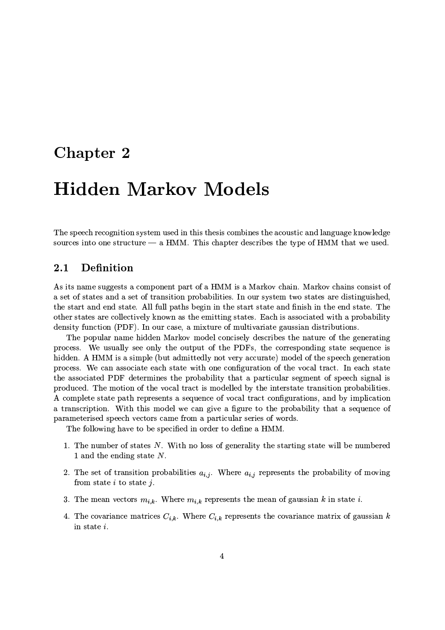## Chapter 2

# **Hidden Markov Models**

The speech recognition system used in this thesis combines the acoustic and language knowledge sources into one structure  $-$  a HMM. This chapter describes the type of HMM that we used.

#### $2.1$ Definition

As its name suggests a component part of a HMM is a Markov chain. Markov chains consist of a set of states and a set of transition probabilities. In our system two states are distinguished, the start and end state. All full paths begin in the start state and finish in the end state. The other states are collectively known as the emitting states. Each is associated with a probability density function (PDF). In our case, a mixture of multivariate gaussian distributions.

The popular name hidden Markov model concisely describes the nature of the generating process. We usually see only the output of the PDFs, the corresponding state sequence is hidden. A HMM is a simple (but admittedly not very accurate) model of the speech generation process. We can associate each state with one configuration of the vocal tract. In each state the associated PDF determines the probability that a particular segment of speech signal is produced. The motion of the vocal tract is modelled by the interstate transition probabilities. A complete state path represents a sequence of vocal tract configurations, and by implication a transcription. With this model we can give a figure to the probability that a sequence of parameterised speech vectors came from a particular series of words.

The following have to be specified in order to define a HMM.

- 1. The number of states  $N$ . With no loss of generality the starting state will be numbered 1 and the ending state  $N$ .
- 2. The set of transition probabilities  $a_{i,j}$ . Where  $a_{i,j}$  represents the probability of moving from state  $i$  to state  $j$ .
- 3. The mean vectors  $m_{i,k}$ . Where  $m_{i,k}$  represents the mean of gaussian k in state i.
- 4. The covariance matrices  $C_{i,k}$ . Where  $C_{i,k}$  represents the covariance matrix of gaussian k in state i.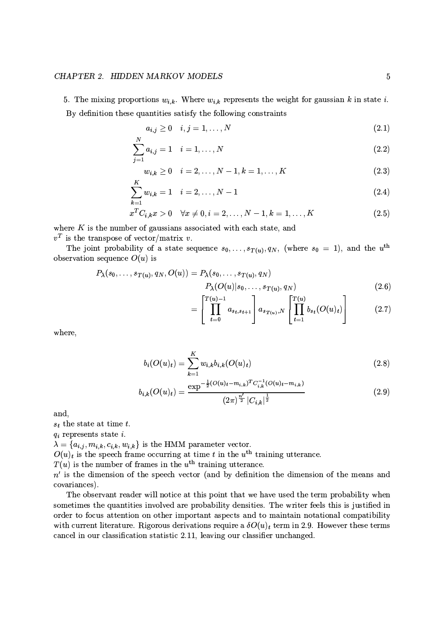### CHAPTER 2. HIDDEN MARKOV MODELS

5. The mixing proportions  $w_{i,k}$ . Where  $w_{i,k}$  represents the weight for gaussian k in state i. By definition these quantities satisfy the following constraints

$$
a_{i,j} \ge 0 \quad i,j=1,\ldots,N \tag{2.1}
$$

$$
\sum_{i=1}^{N} a_{i,j} = 1 \quad i = 1, ..., N \tag{2.2}
$$

$$
w_{i,k} \ge 0 \quad i = 2, ..., N-1, k = 1, ..., K
$$
 (2.3)

$$
\sum_{k=1}^{N} w_{i,k} = 1 \quad i = 2, \dots, N-1 \tag{2.4}
$$

$$
x^{T}C_{i,k}x > 0 \quad \forall x \neq 0, i = 2, ..., N - 1, k = 1, ..., K
$$
 (2.5)

where  $K$  is the number of gaussians associated with each state, and  $v^T$  is the transpose of vector/matrix v.

The joint probability of a state sequence  $s_0, \ldots, s_{T(u)}, q_N$ , (where  $s_0 = 1$ ), and the  $u^{\text{th}}$ observation sequence  $O(u)$  is

$$
P_{\lambda}(s_0, \ldots, s_{T(u)}, q_N, O(u)) = P_{\lambda}(s_0, \ldots, s_{T(u)}, q_N)
$$
  

$$
P_{\lambda}(O(u)|s_0, \ldots, s_{T(u)}, q_N)
$$
 (2.6)

$$
= \left[ \prod_{t=0}^{T(u)-1} a_{s_t, s_{t+1}} \right] a_{s_{T(u)}, N} \left[ \prod_{t=1}^{T(u)} b_{s_t} (O(u)_t) \right]
$$
(2.7)

where,

$$
b_i(O(u)_t) = \sum_{k=1}^{K} w_{i,k} b_{i,k}(O(u)_t)
$$
\n(2.8)

$$
b_{i,k}(O(u)_t) = \frac{\exp^{-\frac{1}{2}(O(u)_t - m_{i,k})^T C_{i,k}^{-1}(O(u)_t - m_{i,k})}}{(2\pi)^{\frac{n'}{2}} |C_{i,k}|^{\frac{1}{2}}}
$$
(2.9)

and.

 $s_t$  the state at time t.

 $q_i$  represents state *i*.

 $\lambda = \{a_{i,j}, m_{i,k}, c_{i,k}, w_{i,k}\}\$ is the HMM parameter vector.

 $O(u)_t$  is the speech frame occurring at time  $t$  in the  $u^{\text{th}}$  training utterance.

 $T(u)$  is the number of frames in the  $u^{\text{th}}$  training utterance.

 $n'$  is the dimension of the speech vector (and by definition the dimension of the means and covariances).

The observant reader will notice at this point that we have used the term probability when sometimes the quantities involved are probability densities. The writer feels this is justified in order to focus attention on other important aspects and to maintain notational compatibility with current literature. Rigorous derivations require a  $\delta O(u)_t$  term in 2.9. However these terms cancel in our classification statistic 2.11, leaving our classifier unchanged.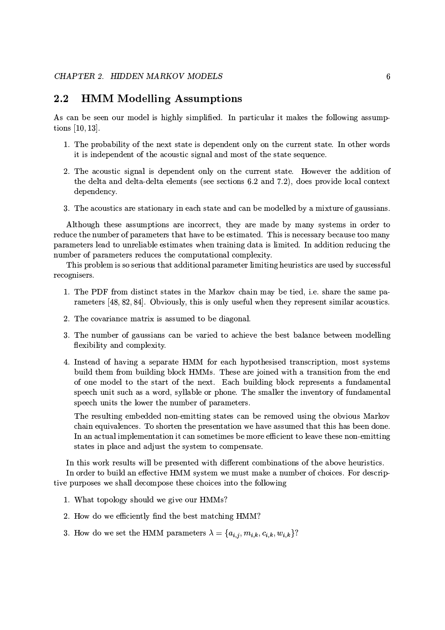#### $2.2$ **HMM Modelling Assumptions**

As can be seen our model is highly simplified. In particular it makes the following assumptions  $[10, 13]$ .

- 1. The probability of the next state is dependent only on the current state. In other words it is independent of the acoustic signal and most of the state sequence.
- 2. The acoustic signal is dependent only on the current state. However the addition of the delta and delta-delta elements (see sections 6.2 and 7.2), does provide local context dependency.
- 3. The acoustics are stationary in each state and can be modelled by a mixture of gaussians.

Although these assumptions are incorrect, they are made by many systems in order to reduce the number of parameters that have to be estimated. This is necessary because too many parameters lead to unreliable estimates when training data is limited. In addition reducing the number of parameters reduces the computational complexity.

This problem is so serious that additional parameter limiting heuristics are used by successful recognisers.

- 1. The PDF from distinct states in the Markov chain may be tied, i.e. share the same parameters [48, 82, 84]. Obviously, this is only useful when they represent similar acoustics.
- 2. The covariance matrix is assumed to be diagonal.
- 3. The number of gaussians can be varied to achieve the best balance between modelling flexibility and complexity.
- 4. Instead of having a separate HMM for each hypothesised transcription, most systems build them from building block HMMs. These are joined with a transition from the end of one model to the start of the next. Each building block represents a fundamental speech unit such as a word, syllable or phone. The smaller the inventory of fundamental speech units the lower the number of parameters.

The resulting embedded non-emitting states can be removed using the obvious Markov chain equivalences. To shorten the presentation we have assumed that this has been done. In an actual implementation it can sometimes be more efficient to leave these non-emitting states in place and adjust the system to compensate.

In this work results will be presented with different combinations of the above heuristics. In order to build an effective HMM system we must make a number of choices. For descriptive purposes we shall decompose these choices into the following

- 1. What topology should we give our HMMs?
- 2. How do we efficiently find the best matching HMM?
- 3. How do we set the HMM parameters  $\lambda = \{a_{i,j}, m_{i,k}, c_{i,k}, w_{i,k}\}$ ?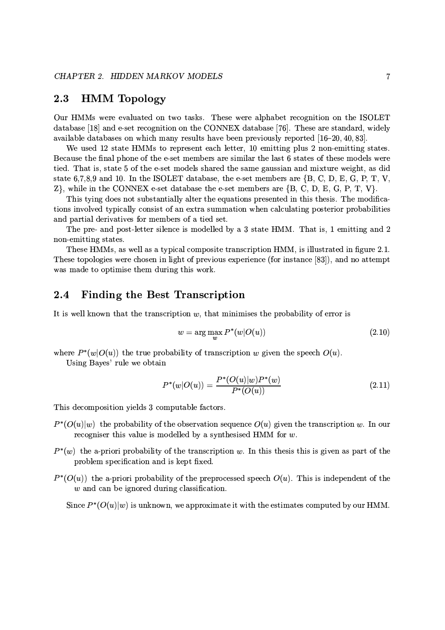#### 2.3 **HMM** Topology

Our HMMs were evaluated on two tasks. These were alphabet recognition on the ISOLET database [18] and e-set recognition on the CONNEX database [76]. These are standard, widely available databases on which many results have been previously reported  $[16-20, 40, 83]$ .

We used 12 state HMMs to represent each letter, 10 emitting plus 2 non-emitting states. Because the final phone of the e-set members are similar the last 6 states of these models were tied. That is, state 5 of the e-set models shared the same gaussian and mixture weight, as did state 6,7,8,9 and 10. In the ISOLET database, the e-set members are  $\{B, C, D, E, G, P, T, V, \}$  $Z$ , while in the CONNEX e-set database the e-set members are  $\{B, C, D, E, G, P, T, V\}$ .

This tying does not substantially alter the equations presented in this thesis. The modifications involved typically consist of an extra summation when calculating posterior probabilities and partial derivatives for members of a tied set.

The pre- and post-letter silence is modelled by a 3 state HMM. That is, 1 emitting and 2 non-emitting states.

These HMMs, as well as a typical composite transcription HMM, is illustrated in figure 2.1. These topologies were chosen in light of previous experience (for instance [83]), and no attempt was made to optimise them during this work.

#### **Finding the Best Transcription** 2.4

It is well known that the transcription  $w$ , that minimises the probability of error is

$$
w = \arg\max_{w} P^*(w|O(u))
$$
\n(2.10)

where  $P^*(w|O(u))$  the true probability of transcription w given the speech  $O(u)$ .

Using Bayes' rule we obtain

$$
P^*(w|O(u)) = \frac{P^*(O(u)|w)P^*(w)}{P^*(O(u))}
$$
\n(2.11)

This decomposition yields 3 computable factors.

- $P^*(O(u)|w)$  the probability of the observation sequence  $O(u)$  given the transcription w. In our recogniser this value is modelled by a synthesised HMM for  $w$ .
- $P^*(w)$  the a-priori probability of the transcription w. In this thesis this is given as part of the problem specification and is kept fixed.
- $P^*(O(u))$  the a-priori probability of the preprocessed speech  $O(u)$ . This is independent of the  $w$  and can be ignored during classification.

Since  $P^*(O(u)|w)$  is unknown, we approximate it with the estimates computed by our HMM.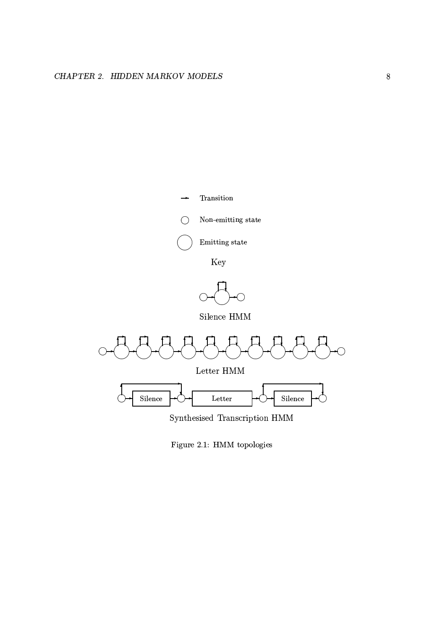

Figure 2.1: HMM topologies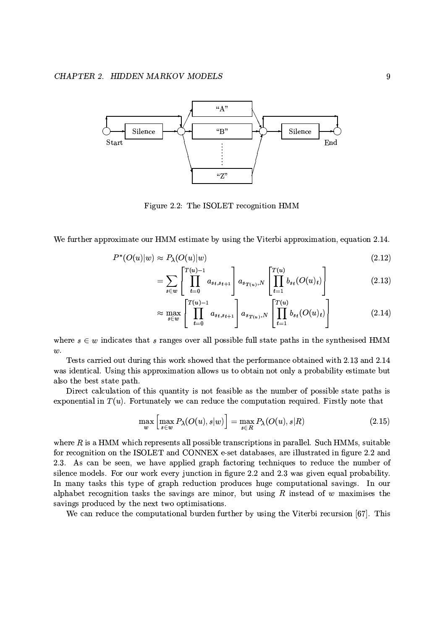

Figure 2.2: The ISOLET recognition HMM

We further approximate our HMM estimate by using the Viterbi approximation, equation 2.14.

$$
P^*(O(u)|w) \approx P_\lambda(O(u)|w) \tag{2.12}
$$

$$
= \sum_{s \in w} \left[ \prod_{t=0}^{T(u)-1} a_{s_t, s_{t+1}} \right] a_{s_{T(u)}, N} \left[ \prod_{t=1}^{T(u)} b_{s_t} (O(u)_t) \right]
$$
(2.13)

$$
\approx \max_{s \in w} \left[ \prod_{t=0}^{T(u)-1} a_{s_t, s_{t+1}} \right] a_{s_{T(u)}, N} \left[ \prod_{t=1}^{T(u)} b_{s_t} (O(u)_t) \right]
$$
(2.14)

where  $s \in w$  indicates that s ranges over all possible full state paths in the synthesised HMM  $w$ .

Tests carried out during this work showed that the performance obtained with 2.13 and 2.14 was identical. Using this approximation allows us to obtain not only a probability estimate but also the best state path.

Direct calculation of this quantity is not feasible as the number of possible state paths is exponential in  $T(u)$ . Fortunately we can reduce the computation required. Firstly note that

$$
\max_{w} \left[ \max_{s \in w} P_{\lambda}(O(u), s | w) \right] = \max_{s \in R} P_{\lambda}(O(u), s | R)
$$
\n(2.15)

where  $R$  is a HMM which represents all possible transcriptions in parallel. Such HMMs, suitable for recognition on the ISOLET and CONNEX e-set databases, are illustrated in figure 2.2 and 2.3. As can be seen, we have applied graph factoring techniques to reduce the number of silence models. For our work every junction in figure 2.2 and 2.3 was given equal probability. In many tasks this type of graph reduction produces huge computational savings. In our alphabet recognition tasks the savings are minor, but using  $R$  instead of  $w$  maximises the savings produced by the next two optimisations.

We can reduce the computational burden further by using the Viterbi recursion [67]. This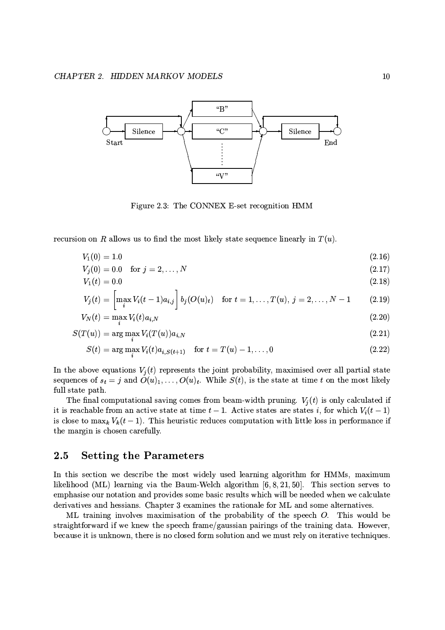

Figure 2.3: The CONNEX E-set recognition HMM

recursion on R allows us to find the most likely state sequence linearly in  $T(u)$ .

$$
V_1(0) = 1.0 \tag{2.16}
$$

$$
V_j(0) = 0.0 \quad \text{for } j = 2, \dots, N \tag{2.17}
$$

$$
V_1(t) = 0.0 \tag{2.18}
$$

$$
V_j(t) = \left[\max_i V_i(t-1)a_{i,j}\right] b_j(O(u)_t) \text{ for } t = 1,\ldots,T(u), j = 2,\ldots,N-1 \qquad (2.19)
$$

$$
V_N(t) = \max_i V_i(t) a_{i,N} \tag{2.20}
$$

$$
S(T(u)) = \arg\max_i V_i(T(u)) a_{i,N} \tag{2.21}
$$

$$
S(t) = \arg \max V_i(t) a_{i, S(t+1)} \quad \text{for } t = T(u) - 1, ..., 0 \tag{2.22}
$$

In the above equations  $V_j(t)$  represents the joint probability, maximised over all partial state sequences of  $s_t = j$  and  $O(u)_1, \ldots, O(u)_t$ . While  $S(t)$ , is the state at time t on the most likely full state path.

The final computational saving comes from beam-width pruning.  $V_j(t)$  is only calculated if it is reachable from an active state at time  $t-1$ . Active states are states i, for which  $V_i(t-1)$ is close to  $\max_k V_k(t-1)$ . This heuristic reduces computation with little loss in performance if the margin is chosen carefully.

#### **Setting the Parameters**  $2.5$

In this section we describe the most widely used learning algorithm for HMMs, maximum likelihood (ML) learning via the Baum-Welch algorithm  $[6, 8, 21, 50]$ . This section serves to emphasise our notation and provides some basic results which will be needed when we calculate derivatives and hessians. Chapter 3 examines the rationale for ML and some alternatives.

ML training involves maximisation of the probability of the speech O. This would be straightforward if we knew the speech frame/gaussian pairings of the training data. However, because it is unknown, there is no closed form solution and we must rely on iterative techniques.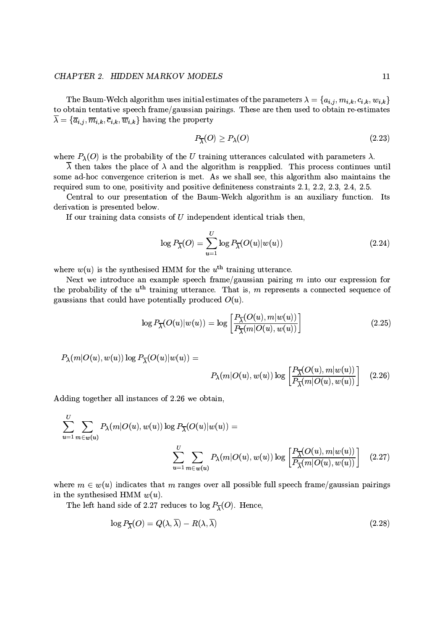### CHAPTER 2. HIDDEN MARKOV MODELS

The Baum-Welch algorithm uses initial estimates of the parameters  $\lambda = \{a_{i,j}, m_{i,k}, c_{i,k}, w_{i,k}\}\$ to obtain tentative speech frame/gaussian pairings. These are then used to obtain re-estimates  $\overline{\lambda} = {\overline{a}_{i,j}, \overline{m}_{i,k}, \overline{c}_{i,k}, \overline{w}_{i,k}}$  having the property

$$
P_{\overline{\lambda}}(O) \ge P_{\lambda}(O) \tag{2.23}
$$

where  $P_{\lambda}(O)$  is the probability of the U training utterances calculated with parameters  $\lambda$ .

 $\overline{\lambda}$  then takes the place of  $\lambda$  and the algorithm is reapplied. This process continues until some ad-hoc convergence criterion is met. As we shall see, this algorithm also maintains the required sum to one, positivity and positive definiteness constraints 2.1, 2.2, 2.3, 2.4, 2.5.

Central to our presentation of the Baum-Welch algorithm is an auxiliary function. Its derivation is presented below.

If our training data consists of  $U$  independent identical trials then,

$$
\log P_{\overline{\lambda}}(O) = \sum_{u=1}^{U} \log P_{\overline{\lambda}}(O(u)|w(u)) \tag{2.24}
$$

where  $w(u)$  is the synthesised HMM for the  $u^{\text{th}}$  training utterance.

Next we introduce an example speech frame/gaussian pairing  $m$  into our expression for the probability of the  $u^{\text{th}}$  training utterance. That is, m represents a connected sequence of gaussians that could have potentially produced  $O(u)$ .

$$
\log P_{\overline{\lambda}}(O(u)|w(u)) = \log \left[ \frac{P_{\overline{\lambda}}(O(u), m|w(u))}{P_{\overline{\lambda}}(m|O(u), w(u))} \right] \tag{2.25}
$$

$$
P_\lambda(m|O(u),w(u))\log P_{\overline{\lambda}}(O(u)|w(u))=
$$

$$
P_{\lambda}(m|O(u), w(u)) \log \left[\frac{P_{\overline{\lambda}}(O(u), m|w(u))}{P_{\overline{\lambda}}(m|O(u), w(u))}\right] \quad (2.26)
$$

Adding together all instances of 2.26 we obtain,

$$
\sum_{u=1}^{U} \sum_{m \in w(u)} P_{\lambda}(m|O(u), w(u)) \log P_{\overline{\lambda}}(O(u)|w(u)) =
$$
\n
$$
\sum_{u=1}^{U} \sum_{m \in w(u)} P_{\lambda}(m|O(u), w(u)) \log \left[ \frac{P_{\overline{\lambda}}(O(u), m|w(u))}{P_{\overline{\lambda}}(m|O(u), w(u))} \right] \quad (2.27)
$$

where  $m \in w(u)$  indicates that m ranges over all possible full speech frame/gaussian pairings in the synthesised HMM  $w(u)$ .

The left hand side of 2.27 reduces to  $\log P_{\overline{1}}(O)$ . Hence,

$$
\log P_{\overline{\lambda}}(O) = Q(\lambda, \overline{\lambda}) - R(\lambda, \overline{\lambda}) \tag{2.28}
$$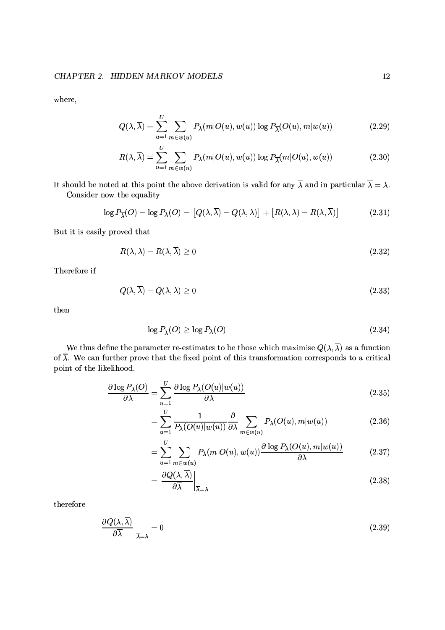where,

$$
Q(\lambda, \overline{\lambda}) = \sum_{u=1}^{U} \sum_{m \in w(u)} P_{\lambda}(m|O(u), w(u)) \log P_{\overline{\lambda}}(O(u), m|w(u))
$$
\n(2.29)

$$
R(\lambda, \overline{\lambda}) = \sum_{u=1}^{U} \sum_{m \in w(u)} P_{\lambda}(m|O(u), w(u)) \log P_{\overline{\lambda}}(m|O(u), w(u)) \qquad (2.30)
$$

It should be noted at this point the above derivation is valid for any  $\overline{\lambda}$  and in particular  $\overline{\lambda} = \lambda$ . Consider now the equality

$$
\log P_{\overline{\lambda}}(O) - \log P_{\lambda}(O) = [Q(\lambda, \overline{\lambda}) - Q(\lambda, \lambda)] + [R(\lambda, \lambda) - R(\lambda, \overline{\lambda})]
$$
(2.31)

But it is easily proved that

$$
R(\lambda, \lambda) - R(\lambda, \overline{\lambda}) \ge 0 \tag{2.32}
$$

Therefore if

$$
Q(\lambda, \overline{\lambda}) - Q(\lambda, \lambda) \ge 0 \tag{2.33}
$$

then

$$
\log P_{\overline{\lambda}}(O) \ge \log P_{\lambda}(O) \tag{2.34}
$$

We thus define the parameter re-estimates to be those which maximise  $Q(\lambda, \overline{\lambda})$  as a function of  $\overline{\lambda}$ . We can further prove that the fixed point of this transformation corresponds to a critical point of the likelihood.

$$
\frac{\partial \log P_{\lambda}(O)}{\partial \lambda} = \sum_{u=1}^{U} \frac{\partial \log P_{\lambda}(O(u)|w(u))}{\partial \lambda} \tag{2.35}
$$

$$
= \sum_{u=1}^{U} \frac{1}{P_{\lambda}(O(u)|w(u))} \frac{\partial}{\partial \lambda} \sum_{m \in w(u)} P_{\lambda}(O(u), m|w(u)) \tag{2.36}
$$

$$
= \sum_{u=1}^{U} \sum_{m \in w(u)} P_{\lambda}(m|O(u), w(u)) \frac{\partial \log P_{\lambda}(O(u), m|w(u))}{\partial \lambda}
$$
 (2.37)

$$
=\left.\frac{\partial Q(\lambda,\overline{\lambda})}{\partial\overline{\lambda}}\right|_{\overline{\lambda}=\lambda} \tag{2.38}
$$

therefore

$$
\left. \frac{\partial Q(\lambda, \overline{\lambda})}{\partial \overline{\lambda}} \right|_{\overline{\lambda} = \lambda} = 0 \tag{2.39}
$$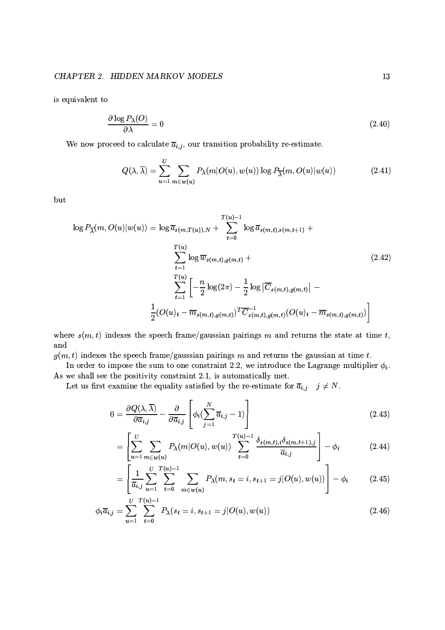is equivalent to

$$
\frac{\partial \log P_{\lambda}(O)}{\partial \lambda} = 0 \tag{2.40}
$$

We now proceed to calculate  $\overline{a}_{i,j}$ , our transition probability re-estimate.

$$
Q(\lambda, \overline{\lambda}) = \sum_{u=1}^{U} \sum_{m \in w(u)} P_{\lambda}(m|O(u), w(u)) \log P_{\overline{\lambda}}(m, O(u)|w(u)) \tag{2.41}
$$

but

$$
\log P_{\overline{\lambda}}(m, O(u)|w(u)) = \log \overline{a}_{s(m,T(u)),N} + \sum_{t=0}^{T(u)-1} \log \overline{a}_{s(m,t),s(m,t+1)} + \sum_{t=1}^{T(u)} \log \overline{w}_{s(m,t),g(m,t)} + \sum_{t=1}^{T(u)} \left[ -\frac{n}{2} \log(2\pi) - \frac{1}{2} \log |\overline{C}_{s(m,t),g(m,t)}| - \frac{1}{2} (O(u)_t - \overline{m}_{s(m,t),g(m,t)})^T \overline{C}_{s(m,t),g(m,t)}^{-1} (O(u)_t - \overline{m}_{s(m,t),g(m,t)}) \right]
$$
\n(2.42)

where  $s(m, t)$  indexes the speech frame/gaussian pairings m and returns the state at time t, and

 $g(m, t)$  indexes the speech frame/gaussian pairings m and returns the gaussian at time t.

In order to impose the sum to one constraint 2.2, we introduce the Lagrange multiplier  $\phi_i$ . As we shall see the positivity constraint 2.1, is automatically met.

Let us first examine the equality satisfied by the re-estimate for  $\overline{a}_{i,j}$   $j \neq N$ .

$$
0 = \frac{\partial Q(\lambda, \overline{\lambda})}{\partial \overline{a}_{i,j}} - \frac{\partial}{\partial \overline{a}_{i,j}} \left[ \phi_i (\sum_{j=1}^N \overline{a}_{i,j} - 1) \right]
$$
(2.43)

$$
= \left[ \sum_{u=1}^{U} \sum_{m \in w(u)} P_{\lambda}(m|O(u), w(u)) \sum_{t=0}^{T(u)-1} \frac{\delta_{s(m,t),i} \delta_{s(m,t+1),j}}{\overline{a}_{i,j}} \right] - \phi_{i}
$$
(2.44)

$$
= \left[ \frac{1}{\overline{a}_{i,j}} \sum_{u=1}^{U} \sum_{t=0}^{T(u)-1} \sum_{m \in w(u)} P_{\lambda}(m, s_t = i, s_{t+1} = j | O(u), w(u)) \right] - \phi_i \tag{2.45}
$$

$$
\phi_i \overline{a}_{i,j} = \sum_{u=1}^U \sum_{t=0}^{I(u)-1} P_\lambda(s_t = i, s_{t+1} = j | O(u), w(u)) \tag{2.46}
$$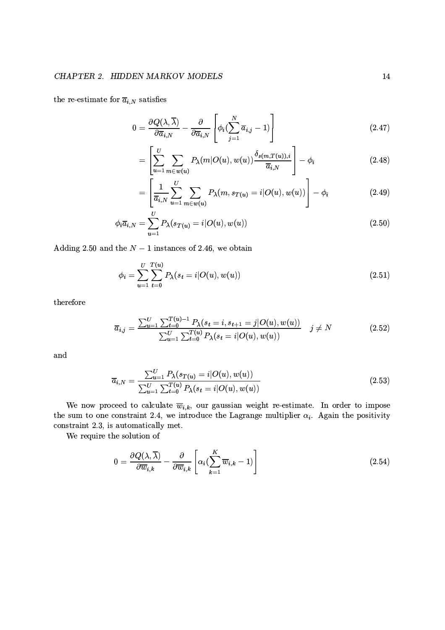the re-estimate for  $\overline{a}_{i,N}$  satisfies

$$
0 = \frac{\partial Q(\lambda, \overline{\lambda})}{\partial \overline{a}_{i,N}} - \frac{\partial}{\partial \overline{a}_{i,N}} \left[ \phi_i (\sum_{j=1}^N \overline{a}_{i,j} - 1) \right]
$$
(2.47)

$$
= \left[ \sum_{u=1}^{U} \sum_{m \in w(u)} P_{\lambda}(m|O(u), w(u)) \frac{\delta_{s(m,T(u)),i}}{\overline{a}_{i,N}} \right] - \phi_{i}
$$
\n(2.48)

$$
= \left[\frac{1}{\overline{a}_{i,N}}\sum_{u=1}^{U}\sum_{m\in w(u)} P_{\lambda}(m, s_{T(u)}=i|O(u), w(u))\right] - \phi_i
$$
\n(2.49)

$$
\phi_i \overline{a}_{i,N} = \sum_{u=1}^{U} P_{\lambda}(s_{T(u)} = i | O(u), w(u)) \qquad (2.50)
$$

Adding 2.50 and the  $N-1$  instances of 2.46, we obtain

$$
\phi_i = \sum_{u=1}^{U} \sum_{t=0}^{T(u)} P_{\lambda}(s_t = i | O(u), w(u))
$$
\n(2.51)

therefore

$$
\overline{a}_{i,j} = \frac{\sum_{u=1}^{U} \sum_{t=0}^{T(u)-1} P_{\lambda}(s_t = i, s_{t+1} = j | O(u), w(u))}{\sum_{u=1}^{U} \sum_{t=0}^{T(u)} P_{\lambda}(s_t = i | O(u), w(u))} \quad j \neq N
$$
\n(2.52)

and

$$
\overline{a}_{i,N} = \frac{\sum_{u=1}^{U} P_{\lambda}(s_{T(u)} = i | O(u), w(u))}{\sum_{u=1}^{U} \sum_{t=0}^{T(u)} P_{\lambda}(s_t = i | O(u), w(u))}
$$
\n(2.53)

We now proceed to calculate  $\overline{w}_{i,k}$ , our gaussian weight re-estimate. In order to impose the sum to one constraint 2.4, we introduce the Lagrange multiplier  $\alpha_i$ . Again the positivity constraint 2.3, is automatically met.

We require the solution of

$$
0 = \frac{\partial Q(\lambda, \overline{\lambda})}{\partial \overline{w}_{i,k}} - \frac{\partial}{\partial \overline{w}_{i,k}} \left[ \alpha_i (\sum_{k=1}^{K} \overline{w}_{i,k} - 1) \right]
$$
(2.54)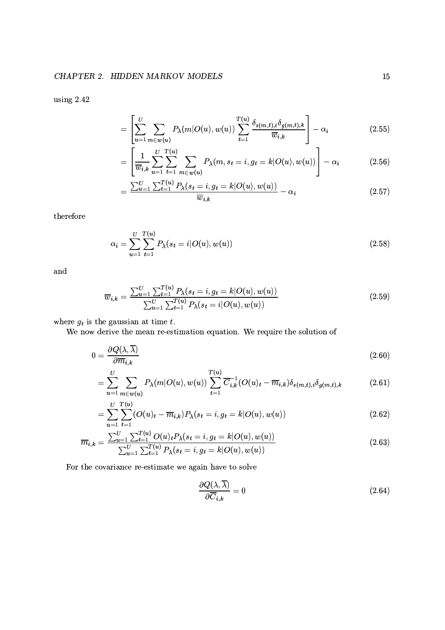using 2.42

$$
= \left[\sum_{u=1}^{U} \sum_{m \in w(u)} P_{\lambda}(m|O(u), w(u)) \sum_{t=1}^{T(u)} \frac{\delta_{s(m,t),i} \delta_{g(m,t),k}}{\overline{w}_{i,k}}\right] - \alpha_i
$$
\n(2.55)

$$
= \left[ \frac{1}{\overline{w}_{i,k}} \sum_{u=1}^{U} \sum_{t=1}^{T(u)} \sum_{m \in w(u)} P_{\lambda}(m, s_t = i, g_t = k | O(u), w(u)) \right] - \alpha_i \qquad (2.56)
$$

$$
= \frac{\sum_{u=1}^{U} \sum_{t=1}^{T(u)} P_{\lambda}(s_t = i, g_t = k | O(u), w(u))}{\overline{w}_{i,k}} - \alpha_i
$$
\n(2.57)

therefore

$$
\alpha_i = \sum_{u=1}^{U} \sum_{t=1}^{T(u)} P_{\lambda}(s_t = i | O(u), w(u))
$$
\n(2.58)

and

$$
\overline{w}_{i,k} = \frac{\sum_{u=1}^{U} \sum_{t=1}^{T(u)} P_{\lambda}(s_t = i, g_t = k | O(u), w(u))}{\sum_{u=1}^{U} \sum_{t=1}^{T(u)} P_{\lambda}(s_t = i | O(u), w(u))}
$$
(2.59)

where  $g_t$  is the gaussian at time  $t$ .

We now derive the mean re-estimation equation. We require the solution of

$$
0 = \frac{\partial Q(\lambda, \overline{\lambda})}{\partial \overline{m}_{i,k}} \tag{2.60}
$$

$$
= \sum_{u=1}^{U} \sum_{m \in w(u)} P_{\lambda}(m|O(u), w(u)) \sum_{t=1}^{T(u)} \overline{C}_{i,k}^{-1}(O(u)_{t} - \overline{m}_{i,k}) \delta_{s(m,t),i} \delta_{g(m,t),k}
$$
(2.61)

$$
= \sum_{u=1}^{U} \sum_{t=1}^{T(u)} (O(u)_t - \overline{m}_{i,k}) P_{\lambda}(s_t = i, g_t = k | O(u), w(u))
$$
\n(2.62)

$$
\overline{m}_{i,k} = \frac{\sum_{u=1}^{U} \sum_{t=1}^{T(u)} O(u)_t P_\lambda(s_t = i, g_t = k | O(u), w(u))}{\sum_{u=1}^{U} \sum_{t=1}^{T(u)} P_\lambda(s_t = i, g_t = k | O(u), w(u))}
$$
\n(2.63)

For the covariance re-estimate we again have to solve

$$
\frac{\partial Q(\lambda,\overline{\lambda})}{\partial \overline{C}_{i,k}} = 0
$$
\n(2.64)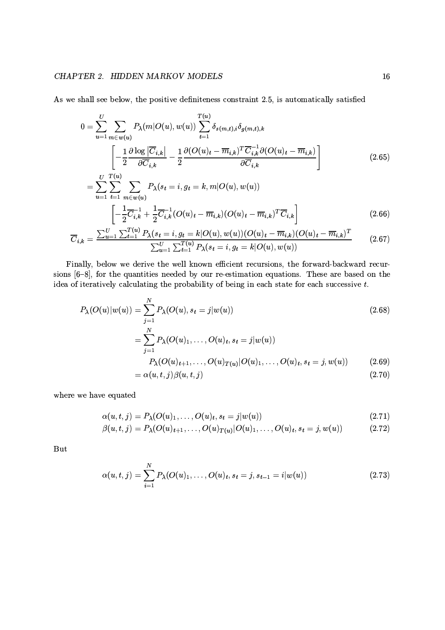### CHAPTER 2. HIDDEN MARKOV MODELS

As we shall see below, the positive definiteness constraint 2.5, is automatically satisfied

$$
0 = \sum_{u=1}^{U} \sum_{m \in w(u)} P_{\lambda}(m|O(u), w(u)) \sum_{t=1}^{T(u)} \delta_{s(m,t),i} \delta_{g(m,t),k}
$$
  

$$
\left[ -\frac{1}{2} \frac{\partial \log |\overline{C}_{i,k}|}{\partial \overline{C}_{i,k}} - \frac{1}{2} \frac{\partial (O(u)_t - \overline{m}_{i,k})^T \overline{C}_{i,k}^{-1} \partial (O(u)_t - \overline{m}_{i,k})}{\partial \overline{C}_{i,k}} \right]
$$
  

$$
= \sum_{u=1}^{U} \sum_{m=1}^{T(u)} \sum_{v=1}^{T(u)} P_{\lambda}(s_t = i, g_t = k, m|O(u), w(u))
$$
 (2.65)

$$
\overline{u=1} \overline{t=1} \, m \in w(u)
$$
\n
$$
\left[ -\frac{1}{2} \overline{C}_{i,k}^{-1} + \frac{1}{2} \overline{C}_{i,k}^{-1} (O(u)_t - \overline{m}_{i,k}) (O(u)_t - \overline{m}_{i,k})^T \overline{C}_{i,k} \right]
$$
\n(2.66)

$$
\overline{C}_{i,k} = \frac{\sum_{u=1}^{U} \sum_{t=1}^{T(u)} P_{\lambda}(s_t = i, g_t = k | O(u), w(u)) (O(u)_t - \overline{m}_{i,k}) (O(u)_t - \overline{m}_{i,k})^T}{\sum_{u=1}^{U} \sum_{t=1}^{T(u)} P_{\lambda}(s_t = i, g_t = k | O(u), w(u))}
$$
(2.67)

Finally, below we derive the well known efficient recursions, the forward-backward recursions  $[6-8]$ , for the quantities needed by our re-estimation equations. These are based on the idea of iteratively calculating the probability of being in each state for each successive  $t$ .

$$
P_{\lambda}(O(u)|w(u)) = \sum_{j=1}^{N} P_{\lambda}(O(u), s_{t} = j|w(u))
$$
\n
$$
\sum_{j=1}^{N} P_{\lambda}(O(u), \quad O(u), s_{t} = j|w(u))
$$
\n(2.68)

$$
= \sum_{j=1} P_{\lambda}(O(u)_1, \dots, O(u)_t, s_t = j | w(u))
$$
  
\n
$$
P_{\lambda}(O(u)_{t+1}, \dots, O(u)_{T(u)} | O(u)_1, \dots, O(u)_t, s_t = j, w(u))
$$
  
\n
$$
= \alpha(u, t, j) \beta(u, t, j)
$$
\n(2.70)

where we have equated

$$
\alpha(u,t,j) = P_{\lambda}(O(u)_1,\ldots,O(u)_t, s_t = j|w(u))
$$
\n(2.71)

$$
\beta(u,t,j) = P_{\lambda}(O(u)_{t+1},\ldots,O(u)_{T(u)}|O(u)_{1},\ldots,O(u)_{t}, s_{t} = j, w(u))
$$
\n(2.72)

But

$$
\alpha(u,t,j) = \sum_{i=1}^{N} P_{\lambda}(O(u)_1, \dots, O(u)_t, s_t = j, s_{t-1} = i | w(u))
$$
\n(2.73)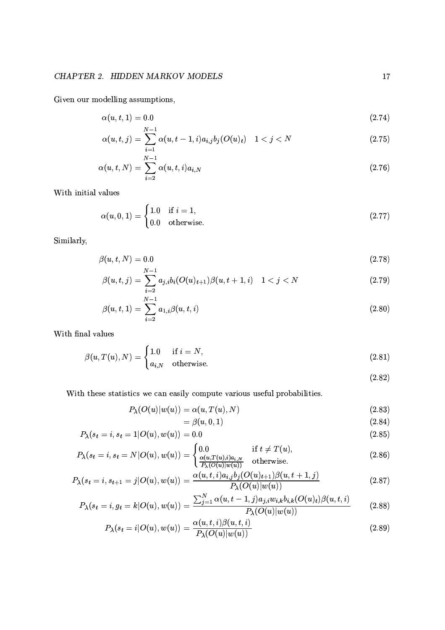Given our modelling assumptions,

$$
\alpha(u,t,1) = 0.0\tag{2.74}
$$

$$
\alpha(u,t,j) = \sum_{i=1}^{N-1} \alpha(u,t-1,i) a_{i,j} b_j (O(u)_t) \quad 1 < j < N
$$
\n(2.75)

$$
\alpha(u, t, N) = \sum_{i=2}^{N-1} \alpha(u, t, i) a_{i, N}
$$
\n(2.76)

With initial values

$$
\alpha(u, 0, 1) = \begin{cases} 1.0 & \text{if } i = 1, \\ 0.0 & \text{otherwise.} \end{cases}
$$
 (2.77)

Similarly,

$$
\beta(u,t,N) = 0.0\tag{2.78}
$$

$$
\beta(u,t,j) = \sum_{i=2}^{N-1} a_{j,i} b_i (O(u)_{t+1}) \beta(u,t+1,i) \quad 1 < j < N \tag{2.79}
$$

$$
\beta(u,t,1) = \sum_{i=2}^{N-1} a_{1,i} \beta(u,t,i)
$$
\n(2.80)

With final values

$$
\beta(u, T(u), N) = \begin{cases} 1.0 & \text{if } i = N, \\ a_{i,N} & \text{otherwise.} \end{cases}
$$
 (2.81)

 $(2.82)$ 

With these statistics we can easily compute various useful probabilities.

$$
P_{\lambda}(O(u)|w(u)) = \alpha(u, T(u), N) \tag{2.83}
$$

$$
=\beta(u,0,1)\tag{2.84}
$$

$$
P_{\lambda}(s_t = i, s_t = 1 | O(u), w(u)) = 0.0
$$
\n(2.85)

$$
P_{\lambda}(s_t = i, s_t = N | O(u), w(u)) = \begin{cases} 0.0 & \text{if } t \neq T(u), \\ \frac{\alpha(u, T(u), i)a_{i,N}}{P_{\lambda}(O(u)|w(u))} & \text{otherwise.} \end{cases}
$$
(2.86)

$$
P_{\lambda}(s_t = i, s_{t+1} = j | O(u), w(u)) = \frac{\alpha(u, t, i)a_{i,j}b_j(O(u)_{t+1})\beta(u, t+1, j)}{P_{\lambda}(O(u)|w(u))}
$$
\n(2.87)

$$
P_{\lambda}(s_t = i, g_t = k | O(u), w(u)) = \frac{\sum_{j=1}^{N} \alpha(u, t-1, j) a_{j,i} w_{i,k} b_{i,k} (O(u)_t) \beta(u, t, i)}{P_{\lambda}(O(u)|w(u))}
$$
(2.88)

$$
P_{\lambda}(s_t = i | O(u), w(u)) = \frac{\alpha(u, t, i)\beta(u, t, i)}{P_{\lambda}(O(u)|w(u))}
$$
\n(2.89)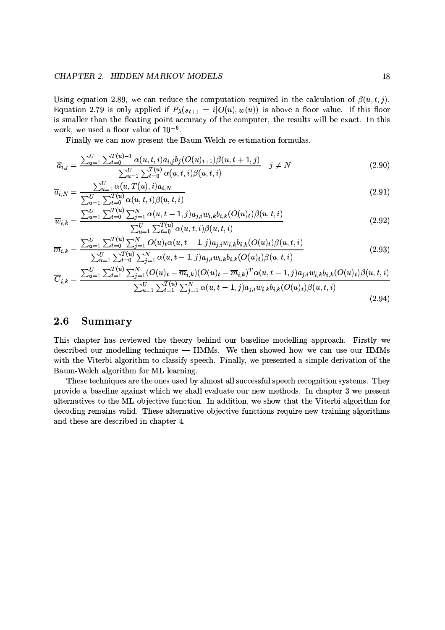### CHAPTER 2. HIDDEN MARKOV MODELS

Using equation 2.89, we can reduce the computation required in the calculation of  $\beta(u, t, j)$ . Equation 2.79 is only applied if  $P_{\lambda}(s_{t+1} = i | O(u), w(u))$  is above a floor value. If this floor is smaller than the floating point accuracy of the computer, the results will be exact. In this work, we used a floor value of  $10^{-6}$ .

Finally we can now present the Baum-Welch re-estimation formulas.

$$
\overline{a}_{i,j} = \frac{\sum_{u=1}^{U} \sum_{t=0}^{T(u)-1} \alpha(u,t,i) a_{i,j} b_j(O(u)_{t+1}) \beta(u,t+1,j)}{\sum_{u=1}^{U} \sum_{t=0}^{T(u)} \alpha(u,t,i) \beta(u,t,i)} \quad j \neq N
$$
\n(2.90)

$$
\overline{a}_{i,N} = \frac{\sum_{u=1}^{U} \alpha(u, T(u), i) a_{i,N}}{\sum_{u=1}^{U} \sum_{t=0}^{T(u)} \alpha(u, t, i) \beta(u, t, i)}
$$
(2.91)

$$
\overline{w}_{i,k} = \frac{\sum_{u=1}^{U} \sum_{t=0}^{T(u)} \sum_{j=1}^{N} \alpha(u, t-1, j) a_{j,i} w_{i,k} b_{i,k} (O(u)_t) \beta(u, t, i)}{\sum_{u=1}^{U} \sum_{t=0}^{T(u)} \alpha(u, t, i) \beta(u, t, i)}
$$
(2.92)

$$
\overline{m}_{i,k} = \frac{\sum_{u=1}^{U} \sum_{t=0}^{T(u)} \sum_{j=1}^{N} O(u)_{t} \alpha(u,t-1,j) a_{j,i} w_{i,k} b_{i,k} (O(u)_{t}) \beta(u,t,i)}{\sum_{u=1}^{U} \sum_{j=1}^{T(u)} \sum_{u=1}^{N} \alpha(u,t-1,j) a_{i,j} w_{i,k} b_{i,k} (O(u)_{t}) \beta(u,t,i)}
$$
(2.93)

$$
\overline{C}_{i,k} = \frac{\sum_{u=1}^{U} \sum_{t=0}^{T(u)} \sum_{j=1}^{N} (O(u)_t - \overline{m}_{i,k})(O(u)_t - \overline{m}_{i,k})^T \alpha(u,t-1,j) a_{j,i} w_{i,k} b_{i,k} (O(u)_t) \beta(u,t,i)}{\sum_{u=1}^{U} \sum_{t=1}^{T(u)} \sum_{j=1}^{N} \alpha(u,t-1,j) a_{j,i} w_{i,k} b_{i,k} (O(u)_t) \beta(u,t,i)}
$$
\n(2.94)

#### 2.6 Summary

This chapter has reviewed the theory behind our baseline modelling approach. Firstly we described our modelling technique - HMMs. We then showed how we can use our HMMs with the Viterbi algorithm to classify speech. Finally, we presented a simple derivation of the Baum-Welch algorithm for ML learning.

These techniques are the ones used by almost all successful speech recognition systems. They provide a baseline against which we shall evaluate our new methods. In chapter 3 we present alternatives to the ML objective function. In addition, we show that the Viterbi algorithm for decoding remains valid. These alternative objective functions require new training algorithms and these are described in chapter 4.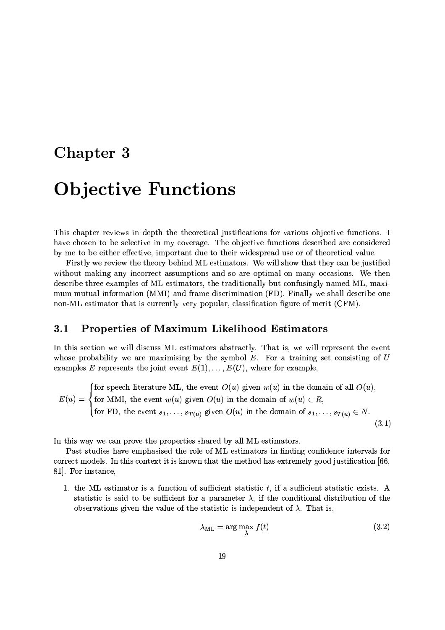## **Chapter 3**

## **Objective Functions**

This chapter reviews in depth the theoretical justifications for various objective functions. I have chosen to be selective in my coverage. The objective functions described are considered by me to be either effective, important due to their widespread use or of theoretical value.

Firstly we review the theory behind ML estimators. We will show that they can be justified without making any incorrect assumptions and so are optimal on many occasions. We then describe three examples of ML estimators, the traditionally but confusingly named ML, maximum mutual information (MMI) and frame discrimination (FD). Finally we shall describe one non-ML estimator that is currently very popular, classification figure of merit (CFM).

#### **Properties of Maximum Likelihood Estimators**  $3.1$

In this section we will discuss ML estimators abstractly. That is, we will represent the event whose probability we are maximising by the symbol  $E$ . For a training set consisting of  $U$ examples E represents the joint event  $E(1), \ldots, E(U)$ , where for example,

 $E(u) = \begin{cases}$  for speech literature ML, the event  $O(u)$  given  $w(u)$  in the domain of all  $O(u)$ ,<br> $E(u) = \begin{cases}$  for MMI, the event  $w(u)$  given  $O(u)$  in the domain of  $w(u) \in R$ ,<br>for FD, the event  $s_1, \ldots, s_{T(u)}$  given  $O(u)$  in th  $(3.1)$ 

In this way we can prove the properties shared by all ML estimators.

Past studies have emphasised the role of ML estimators in finding confidence intervals for correct models. In this context it is known that the method has extremely good justification  $[66]$ 81. For instance,

1. the ML estimator is a function of sufficient statistic  $t$ , if a sufficient statistic exists. A statistic is said to be sufficient for a parameter  $\lambda$ , if the conditional distribution of the observations given the value of the statistic is independent of  $\lambda$ . That is,

$$
\lambda_{\rm ML} = \arg \max_{\lambda} f(t) \tag{3.2}
$$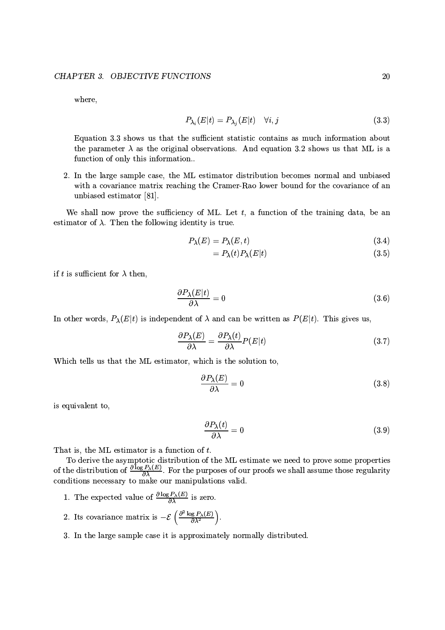where,

$$
P_{\lambda_i}(E|t) = P_{\lambda_i}(E|t) \quad \forall i, j \tag{3.3}
$$

Equation 3.3 shows us that the sufficient statistic contains as much information about the parameter  $\lambda$  as the original observations. And equation 3.2 shows us that ML is a function of only this information..

2. In the large sample case, the ML estimator distribution becomes normal and unbiased with a covariance matrix reaching the Cramer-Rao lower bound for the covariance of an unbiased estimator [81].

We shall now prove the sufficiency of ML. Let  $t$ , a function of the training data, be an estimator of  $\lambda$ . Then the following identity is true.

$$
P_{\lambda}(E) = P_{\lambda}(E, t) \tag{3.4}
$$

$$
=P_{\lambda}(t)P_{\lambda}(E|t) \tag{3.5}
$$

if t is sufficient for  $\lambda$  then,

$$
\frac{\partial P_{\lambda}(E|t)}{\partial \lambda} = 0 \tag{3.6}
$$

In other words,  $P_{\lambda}(E|t)$  is independent of  $\lambda$  and can be written as  $P(E|t)$ . This gives us,

$$
\frac{\partial P_{\lambda}(E)}{\partial \lambda} = \frac{\partial P_{\lambda}(t)}{\partial \lambda} P(E|t)
$$
\n(3.7)

Which tells us that the ML estimator, which is the solution to,

$$
\frac{\partial P_{\lambda}(E)}{\partial \lambda} = 0 \tag{3.8}
$$

is equivalent to.

$$
\frac{\partial P_{\lambda}(t)}{\partial \lambda} = 0 \tag{3.9}
$$

That is, the ML estimator is a function of  $t$ .

To derive the asymptotic distribution of the ML estimate we need to prove some properties of the distribution of  $\frac{\partial \log P_{\lambda}(E)}{\partial \lambda}$ . For the purposes of our proofs we shall assume those regularity conditions necessary to make our manipulations valid.

- 1. The expected value of  $\frac{\partial \log P_{\lambda}(E)}{\partial \lambda}$  is zero.
- 2. Its covariance matrix is  $-\mathcal{E}\left(\frac{\partial^2 \log P_{\lambda}(E)}{\partial \lambda^2}\right)$ .
- 3. In the large sample case it is approximately normally distributed.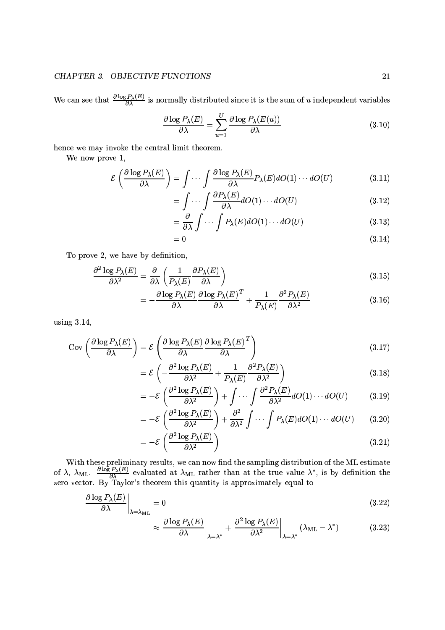### CHAPTER 3. OBJECTIVE FUNCTIONS

We can see that  $\frac{\partial \log P_{\lambda}(E)}{\partial \lambda}$  is normally distributed since it is the sum of u independent variables

$$
\frac{\partial \log P_{\lambda}(E)}{\partial \lambda} = \sum_{u=1}^{U} \frac{\partial \log P_{\lambda}(E(u))}{\partial \lambda}
$$
(3.10)

hence we may invoke the central limit theorem.

We now prove 1,

$$
\mathcal{E}\left(\frac{\partial \log P_{\lambda}(E)}{\partial \lambda}\right) = \int \cdots \int \frac{\partial \log P_{\lambda}(E)}{\partial \lambda} P_{\lambda}(E) dO(1) \cdots dO(U) \tag{3.11}
$$

$$
= \int \cdots \int \frac{\partial P_{\lambda}(E)}{\partial \lambda} dO(1) \cdots dO(U) \tag{3.12}
$$

$$
= \frac{\partial}{\partial \lambda} \int \cdots \int P_{\lambda}(E) dO(1) \cdots dO(U) \tag{3.13}
$$

$$
=0 \tag{3.14}
$$

To prove 2, we have by definition,

$$
\frac{\partial^2 \log P_{\lambda}(E)}{\partial \lambda^2} = \frac{\partial}{\partial \lambda} \left( \frac{1}{P_{\lambda}(E)} \frac{\partial P_{\lambda}(E)}{\partial \lambda} \right)
$$
(3.15)

$$
= -\frac{\partial \log P_{\lambda}(E)}{\partial \lambda} \frac{\partial \log P_{\lambda}(E)}{\partial \lambda}^{T} + \frac{1}{P_{\lambda}(E)} \frac{\partial^{2} P_{\lambda}(E)}{\partial \lambda^{2}}
$$
(3.16)

using  $3.14$ ,

$$
Cov\left(\frac{\partial \log P_{\lambda}(E)}{\partial \lambda}\right) = \mathcal{E}\left(\frac{\partial \log P_{\lambda}(E)}{\partial \lambda}\frac{\partial \log P_{\lambda}(E)}{\partial \lambda}^{T}\right)
$$
(3.17)

$$
= \mathcal{E}\left(-\frac{\partial^2 \log P_\lambda(E)}{\partial \lambda^2} + \frac{1}{P_\lambda(E)} \frac{\partial^2 P_\lambda(E)}{\partial \lambda^2}\right) \tag{3.18}
$$

$$
= -\mathcal{E}\left(\frac{\partial^2 \log P_{\lambda}(E)}{\partial \lambda^2}\right) + \int \cdots \int \frac{\partial^2 P_{\lambda}(E)}{\partial \lambda^2} dO(1) \cdots dO(U) \tag{3.19}
$$

$$
= -\mathcal{E}\left(\frac{\partial^2 \log P_{\lambda}(E)}{\partial \lambda^2}\right) + \frac{\partial^2}{\partial \lambda^2} \int \cdots \int P_{\lambda}(E) dO(1) \cdots dO(U) \qquad (3.20)
$$

$$
= -\mathcal{E}\left(\frac{\partial^2 \log P_{\lambda}(E)}{\partial \lambda^2}\right) \tag{3.21}
$$

With these preliminary results, we can now find the sampling distribution of the ML estimate<br>of  $\lambda$ ,  $\lambda_{ML}$ .  $\frac{\partial \log P_{\lambda}(E)}{\partial \lambda}$  evaluated at  $\lambda_{ML}$  rather than at the true value  $\lambda^*$ , is by definition the<br>zero vect

$$
\left. \frac{\partial \log P_{\lambda}(E)}{\partial \lambda} \right|_{\lambda = \lambda_{\rm ML}} = 0 \tag{3.22}
$$

$$
\approx \left. \frac{\partial \log P_{\lambda}(E)}{\partial \lambda} \right|_{\lambda = \lambda^*} + \left. \frac{\partial^2 \log P_{\lambda}(E)}{\partial \lambda^2} \right|_{\lambda = \lambda^*} (\lambda_{\text{ML}} - \lambda^*) \tag{3.23}
$$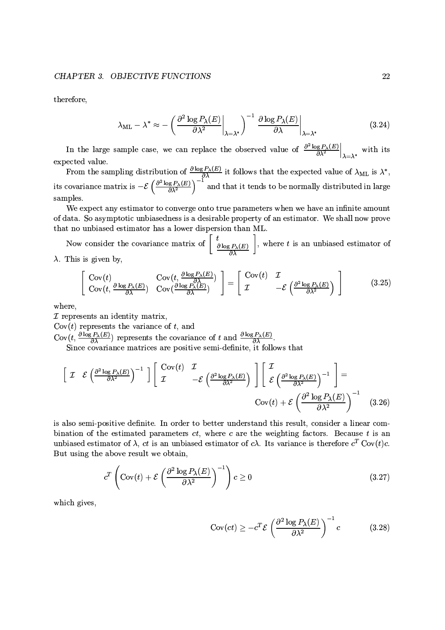therefore,

$$
\lambda_{\rm ML} - \lambda^* \approx -\left(\left.\frac{\partial^2 \log P_\lambda(E)}{\partial \lambda^2}\right|_{\lambda = \lambda^*}\right)^{-1} \left.\frac{\partial \log P_\lambda(E)}{\partial \lambda}\right|_{\lambda = \lambda^*}
$$
(3.24)

In the large sample case, we can replace the observed value of  $\frac{\partial^2 \log P_{\lambda}(E)}{\partial \lambda^2}\Big|_{\lambda=\lambda^*}$  with its expected value.

From the sampling distribution of  $\frac{\partial \log P_{\lambda}(E)}{\partial \lambda}$  it follows that the expected value of  $\lambda_{\text{ML}}$  is  $\lambda^*$ ,<br>its covariance matrix is  $-\mathcal{E}\left(\frac{\partial^2 \log P_{\lambda}(E)}{\partial \lambda^2}\right)^{-1}$  and that it tends to be normally distributed samples.

We expect any estimator to converge onto true parameters when we have an infinite amount of data. So asymptotic unbiasedness is a desirable property of an estimator. We shall now prove that no unbiased estimator has a lower dispersion than ML.

Now consider the covariance matrix of  $\left[\begin{array}{c} t \\ \frac{\partial \log P_{\lambda}(E)}{\partial \lambda} \end{array}\right]$ , where t is an unbiased estimator of  $\lambda$ . This is given by,

$$
\begin{bmatrix}\n\text{Cov}(t) & \text{Cov}(t, \frac{\partial \log P_{\lambda}(E)}{\partial \lambda}) \\
\text{Cov}(t, \frac{\partial \log P_{\lambda}(E)}{\partial \lambda}) & \text{Cov}(\frac{\partial \log P_{\lambda}(E)}{\partial \lambda})\n\end{bmatrix} = \begin{bmatrix}\n\text{Cov}(t) & \mathcal{I} \\
\mathcal{I} & -\mathcal{E}\left(\frac{\partial^2 \log P_{\lambda}(E)}{\partial \lambda^2}\right)\n\end{bmatrix} \tag{3.25}
$$

where,

 $\mathcal I$  represents an identity matrix,

 $Cov(t)$  represents the variance of t, and

 $Cov(t, \frac{\partial \log P_{\lambda}(E)}{\partial \lambda})$  represents the covariance of t and  $\frac{\partial \log P_{\lambda}(E)}{\partial \lambda}$ .<br>Since covariance matrices are positive semi-definite, it follows that

$$
\left[\begin{array}{cc} \mathcal{I} & \mathcal{E}\left(\frac{\partial^2 \log P_{\lambda}(E)}{\partial \lambda^2}\right)^{-1} \end{array}\right] \left[\begin{array}{cc} \text{Cov}(t) & \mathcal{I} \\ \mathcal{I} & -\mathcal{E}\left(\frac{\partial^2 \log P_{\lambda}(E)}{\partial \lambda^2}\right) \end{array}\right] \left[\begin{array}{c} \mathcal{I} \\ \mathcal{E}\left(\frac{\partial^2 \log P_{\lambda}(E)}{\partial \lambda^2}\right)^{-1} \end{array}\right] = \text{Cov}(t) + \mathcal{E}\left(\frac{\partial^2 \log P_{\lambda}(E)}{\partial \lambda^2}\right)^{-1} \quad (3.26)
$$

is also semi-positive definite. In order to better understand this result, consider a linear combination of the estimated parameters  $ct$ , where  $c$  are the weighting factors. Because  $t$  is an unbiased estimator of  $\lambda$ , ct is an unbiased estimator of c $\lambda$ . Its variance is therefore  $c^T$  Cov(t)c. But using the above result we obtain,

$$
c^T \left( \text{Cov}(t) + \mathcal{E} \left( \frac{\partial^2 \log P_{\lambda}(E)}{\partial \lambda^2} \right)^{-1} \right) c \ge 0
$$
 (3.27)

which gives,

$$
Cov(ct) \ge -c^T \mathcal{E} \left( \frac{\partial^2 \log P_\lambda(E)}{\partial \lambda^2} \right)^{-1} c \tag{3.28}
$$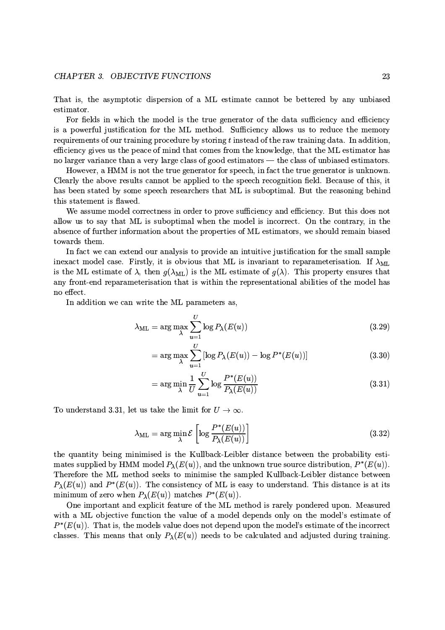That is, the asymptotic dispersion of a ML estimate cannot be bettered by any unbiased estimator.

For fields in which the model is the true generator of the data sufficiency and efficiency is a powerful justification for the ML method. Sufficiency allows us to reduce the memory requirements of our training procedure by storing t instead of the raw training data. In addition, efficiency gives us the peace of mind that comes from the knowledge, that the ML estimator has no larger variance than a very large class of good estimators — the class of unbiased estimators.

However, a HMM is not the true generator for speech, in fact the true generator is unknown. Clearly the above results cannot be applied to the speech recognition field. Because of this, it has been stated by some speech researchers that ML is suboptimal. But the reasoning behind this statement is flawed.

We assume model correctness in order to prove sufficiency and efficiency. But this does not allow us to say that ML is suboptimal when the model is incorrect. On the contrary, in the absence of further information about the properties of ML estimators, we should remain biased towards them.

In fact we can extend our analysis to provide an intuitive justification for the small sample inexact model case. Firstly, it is obvious that ML is invariant to reparameterisation. If  $\lambda_{ML}$ is the ML estimate of  $\lambda$ , then  $g(\lambda_{ML})$  is the ML estimate of  $g(\lambda)$ . This property ensures that any front-end reparameterisation that is within the representational abilities of the model has no effect.

In addition we can write the ML parameters as,

$$
\lambda_{\rm ML} = \arg \max_{\lambda} \sum_{u=1}^{U} \log P_{\lambda}(E(u)) \tag{3.29}
$$

$$
= \arg \max_{\lambda} \sum_{u=1}^{U} \left[ \log P_{\lambda}(E(u)) - \log P^*(E(u)) \right] \tag{3.30}
$$

$$
= \arg\min_{\lambda} \frac{1}{U} \sum_{u=1}^{U} \log \frac{P^*(E(u))}{P_{\lambda}(E(u))}
$$
\n(3.31)

To understand 3.31, let us take the limit for  $U \to \infty$ .

$$
\lambda_{\rm ML} = \arg\min_{\lambda} \mathcal{E}\left[\log \frac{P^*(E(u))}{P_{\lambda}(E(u))}\right]
$$
\n(3.32)

the quantity being minimised is the Kullback-Leibler distance between the probability estimates supplied by HMM model  $P_{\lambda}(E(u))$ , and the unknown true source distribution,  $P^*(E(u))$ . Therefore the ML method seeks to minimise the sampled Kullback-Leibler distance between  $P_{\lambda}(E(u))$  and  $P^*(E(u))$ . The consistency of ML is easy to understand. This distance is at its minimum of zero when  $P_{\lambda}(E(u))$  matches  $P^*(E(u))$ .

One important and explicit feature of the ML method is rarely pondered upon. Measured with a ML objective function the value of a model depends only on the model's estimate of  $P^*(E(u))$ . That is, the models value does not depend upon the model's estimate of the incorrect classes. This means that only  $P_{\lambda}(E(u))$  needs to be calculated and adjusted during training.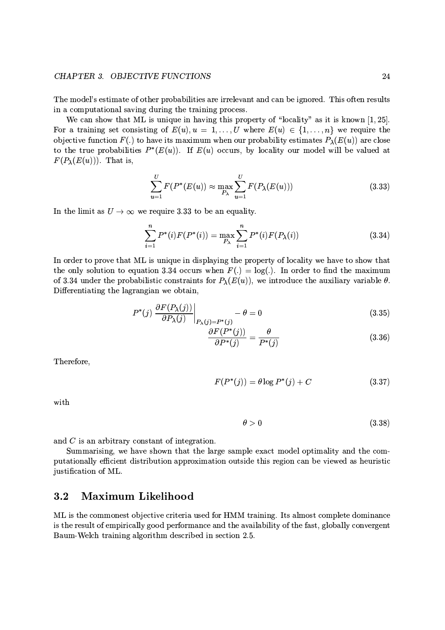### CHAPTER 3. OBJECTIVE FUNCTIONS

The model's estimate of other probabilities are irrelevant and can be ignored. This often results in a computational saving during the training process.

We can show that ML is unique in having this property of "locality" as it is known  $[1, 25]$ . For a training set consisting of  $E(u)$ ,  $u = 1, \ldots, U$  where  $E(u) \in \{1, \ldots, n\}$  we require the objective function  $F(.)$  to have its maximum when our probability estimates  $P_{\lambda}(E(u))$  are close to the true probabilities  $P^*(E(u))$ . If  $E(u)$  occurs, by locality our model will be valued at  $F(P_{\lambda}(E(u)))$ . That is,

$$
\sum_{u=1}^{U} F(P^*(E(u)) \approx \max_{P_{\lambda}} \sum_{u=1}^{U} F(P_{\lambda}(E(u)))
$$
\n(3.33)

In the limit as  $U \rightarrow \infty$  we require 3.33 to be an equality.

$$
\sum_{i=1}^{n} P^{*}(i) F(P^{*}(i)) = \max_{P_{\lambda}} \sum_{i=1}^{n} P^{*}(i) F(P_{\lambda}(i))
$$
\n(3.34)

In order to prove that ML is unique in displaying the property of locality we have to show that the only solution to equation 3.34 occurs when  $F(.) = \log(.)$ . In order to find the maximum of 3.34 under the probabilistic constraints for  $P_{\lambda}(E(u))$ , we introduce the auxiliary variable  $\theta$ . Differentiating the lagrangian we obtain,

$$
P^*(j) \left. \frac{\partial F(P_\lambda(j))}{\partial P_\lambda(j)} \right|_{P_\lambda(j) = P^*(j)} - \theta = 0 \tag{3.35}
$$

$$
\frac{\partial F(P^*(j))}{\partial P^*(j)} = \frac{\theta}{P^*(j)}\tag{3.36}
$$

Therefore,

$$
F(P^*(j)) = \theta \log P^*(j) + C \tag{3.37}
$$

with

$$
\theta > 0 \tag{3.38}
$$

and  $C$  is an arbitrary constant of integration.

Summarising, we have shown that the large sample exact model optimality and the computationally efficient distribution approximation outside this region can be viewed as heuristic justification of ML.

#### Maximum Likelihood  $3.2$

ML is the commonest objective criteria used for HMM training. Its almost complete dominance is the result of empirically good performance and the availability of the fast, globally convergent Baum-Welch training algorithm described in section 2.5.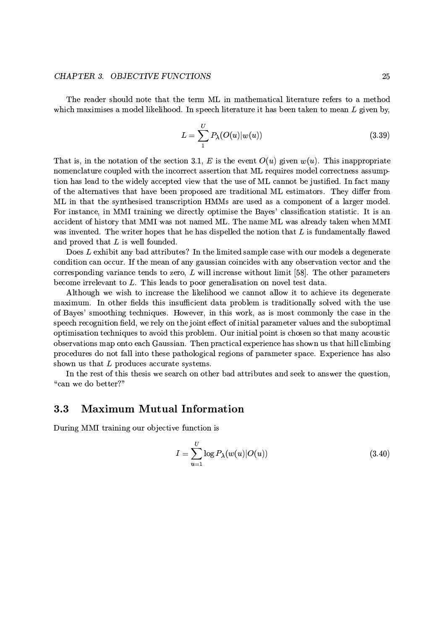### **CHAPTER 3. OBJECTIVE FUNCTIONS**

The reader should note that the term ML in mathematical literature refers to a method which maximises a model likelihood. In speech literature it has been taken to mean  $L$  given by,

$$
L = \sum_{1}^{U} P_{\lambda}(O(u)|w(u))
$$
\n(3.39)

That is, in the notation of the section 3.1, E is the event  $O(u)$  given  $w(u)$ . This inappropriate nomenclature coupled with the incorrect assertion that ML requires model correctness assumption has lead to the widely accepted view that the use of ML cannot be justified. In fact many of the alternatives that have been proposed are traditional ML estimators. They differ from ML in that the synthesised transcription HMMs are used as a component of a larger model. For instance, in MMI training we directly optimise the Bayes' classification statistic. It is an accident of history that MMI was not named ML. The name ML was already taken when MMI was invented. The writer hopes that he has dispelled the notion that  $L$  is fundamentally flawed and proved that  $L$  is well founded.

Does L exhibit any bad attributes? In the limited sample case with our models a degenerate condition can occur. If the mean of any gaussian coincides with any observation vector and the corresponding variance tends to zero,  $L$  will increase without limit [58]. The other parameters become irrelevant to  $L$ . This leads to poor generalisation on novel test data.

Although we wish to increase the likelihood we cannot allow it to achieve its degenerate maximum. In other fields this insufficient data problem is traditionally solved with the use of Bayes' smoothing techniques. However, in this work, as is most commonly the case in the speech recognition field, we rely on the joint effect of initial parameter values and the suboptimal optimisation techniques to avoid this problem. Our initial point is chosen so that many acoustic observations map onto each Gaussian. Then practical experience has shown us that hill climbing procedures do not fall into these pathological regions of parameter space. Experience has also shown us that  $L$  produces accurate systems.

In the rest of this thesis we search on other bad attributes and seek to answer the question, "can we do better?"

#### **Maximum Mutual Information**  $3.3$

During MMI training our objective function is

$$
I = \sum_{u=1}^{U} \log P_{\lambda}(w(u)|O(u))
$$
\n(3.40)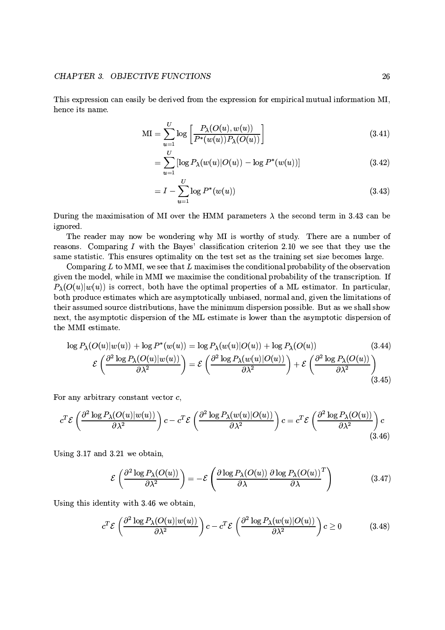This expression can easily be derived from the expression for empirical mutual information MI, hence its name.

$$
MI = \sum_{u=1}^{U} \log \left[ \frac{P_{\lambda}(O(u), w(u))}{P^*(w(u)) P_{\lambda}(O(u))} \right]
$$
\n(3.41)

$$
= \sum_{u=1}^{U} \left[ \log P_{\lambda}(w(u)|O(u)) - \log P^{*}(w(u)) \right]
$$
 (3.42)

$$
= I - \sum_{u=1}^{U} \log P^*(w(u)) \tag{3.43}
$$

During the maximisation of MI over the HMM parameters  $\lambda$  the second term in 3.43 can be ignored.

The reader may now be wondering why MI is worthy of study. There are a number of reasons. Comparing  $I$  with the Bayes' classification criterion 2.10 we see that they use the same statistic. This ensures optimality on the test set as the training set size becomes large.

Comparing  $L$  to MMI, we see that  $L$  maximises the conditional probability of the observation given the model, while in MMI we maximise the conditional probability of the transcription. If  $P_{\lambda}(O(u)|w(u))$  is correct, both have the optimal properties of a ML estimator. In particular, both produce estimates which are asymptotically unbiased, normal and, given the limitations of their assumed source distributions, have the minimum dispersion possible. But as we shall show next, the asymptotic dispersion of the ML estimate is lower than the asymptotic dispersion of the MMI estimate.

$$
\log P_{\lambda}(O(u)|w(u)) + \log P^{*}(w(u)) = \log P_{\lambda}(w(u)|O(u)) + \log P_{\lambda}(O(u)) \tag{3.44}
$$
\n
$$
\mathcal{E}\left(\frac{\partial^{2}\log P_{\lambda}(O(u)|w(u))}{\partial\lambda^{2}}\right) = \mathcal{E}\left(\frac{\partial^{2}\log P_{\lambda}(w(u)|O(u))}{\partial\lambda^{2}}\right) + \mathcal{E}\left(\frac{\partial^{2}\log P_{\lambda}(O(u))}{\partial\lambda^{2}}\right) \tag{3.45}
$$

For any arbitrary constant vector  $c$ ,

$$
c^T \mathcal{E} \left( \frac{\partial^2 \log P_\lambda(O(u)|w(u))}{\partial \lambda^2} \right) c - c^T \mathcal{E} \left( \frac{\partial^2 \log P_\lambda(w(u)|O(u))}{\partial \lambda^2} \right) c = c^T \mathcal{E} \left( \frac{\partial^2 \log P_\lambda(O(u))}{\partial \lambda^2} \right) c
$$
\n(3.46)

Using  $3.17$  and  $3.21$  we obtain,

$$
\mathcal{E}\left(\frac{\partial^2 \log P_{\lambda}(O(u))}{\partial \lambda^2}\right) = -\mathcal{E}\left(\frac{\partial \log P_{\lambda}(O(u))}{\partial \lambda} \frac{\partial \log P_{\lambda}(O(u))}{\partial \lambda}^T\right) \tag{3.47}
$$

Using this identity with 3.46 we obtain,

$$
c^T \mathcal{E} \left( \frac{\partial^2 \log P_{\lambda}(O(u)|w(u))}{\partial \lambda^2} \right) c - c^T \mathcal{E} \left( \frac{\partial^2 \log P_{\lambda}(w(u)|O(u))}{\partial \lambda^2} \right) c \ge 0 \tag{3.48}
$$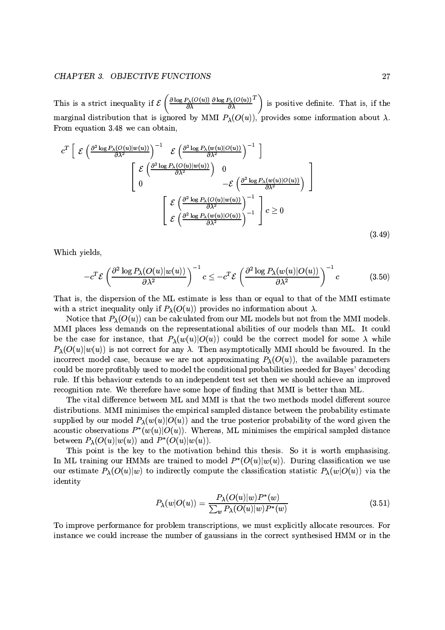This is a strict inequality if  $\mathcal{E}\left(\frac{\partial \log P_{\lambda}(O(u))}{\partial \lambda} \frac{\partial \log P_{\lambda}(O(u))}{\partial \lambda}^{T}\right)$  is positive definite. That is, if the marginal distribution that is ignored by MMI  $P_{\lambda}(O(u))$ , provides some information about  $\lambda$ . From equation 3.48 we can obtain.

$$
c^{T} \left[ \mathcal{E} \left( \frac{\partial^{2} \log P_{\lambda}(O(u)|w(u))}{\partial \lambda^{2}} \right)^{-1} \mathcal{E} \left( \frac{\partial^{2} \log P_{\lambda}(w(u)|O(u))}{\partial \lambda^{2}} \right)^{-1} \right] \right]
$$

$$
\left[ \frac{\mathcal{E} \left( \frac{\partial^{2} \log P_{\lambda}(O(u)|w(u))}{\partial \lambda^{2}} \right) 0}{0} - \mathcal{E} \left( \frac{\partial^{2} \log P_{\lambda}(w(u)|O(u))}{\partial \lambda^{2}} \right) \right]
$$

$$
\left[ \frac{\mathcal{E} \left( \frac{\partial^{2} \log P_{\lambda}(O(u)|w(u))}{\partial \lambda^{2}} \right)^{-1}}{\partial \lambda^{2}} \right] c \ge 0
$$

$$
\mathcal{E} \left( \frac{\partial^{2} \log P_{\lambda}(w(u)|O(u))}{\partial \lambda^{2}} \right)^{-1} \right] c \ge 0
$$
(3.49)

Which yields,

$$
-c^T \mathcal{E} \left( \frac{\partial^2 \log P_\lambda(O(u)|w(u))}{\partial \lambda^2} \right)^{-1} c \le -c^T \mathcal{E} \left( \frac{\partial^2 \log P_\lambda(w(u)|O(u))}{\partial \lambda^2} \right)^{-1} c \tag{3.50}
$$

That is, the dispersion of the ML estimate is less than or equal to that of the MMI estimate with a strict inequality only if  $P_{\lambda}(O(u))$  provides no information about  $\lambda$ .

Notice that  $P_{\lambda}(O(u))$  can be calculated from our ML models but not from the MMI models. MMI places less demands on the representational abilities of our models than ML. It could be the case for instance, that  $P_{\lambda}(w(u)|O(u))$  could be the correct model for some  $\lambda$  while  $P_{\lambda}(O(u)|w(u))$  is not correct for any  $\lambda$ . Then asymptotically MMI should be favoured. In the incorrect model case, because we are not approximating  $P_{\lambda}(O(u))$ , the available parameters could be more profitably used to model the conditional probabilities needed for Bayes' decoding rule. If this behaviour extends to an independent test set then we should achieve an improved recognition rate. We therefore have some hope of finding that MMI is better than ML.

The vital difference between ML and MMI is that the two methods model different source distributions. MMI minimises the empirical sampled distance between the probability estimate supplied by our model  $P_{\lambda}(w(u)|O(u))$  and the true posterior probability of the word given the acoustic observations  $P^*(w(u)|O(u))$ . Whereas, ML minimises the empirical sampled distance between  $P_{\lambda}(O(u)|w(u))$  and  $P^*(O(u)|w(u))$ .

This point is the key to the motivation behind this thesis. So it is worth emphasising. In ML training our HMMs are trained to model  $P^*(O(u)|w(u))$ . During classification we use our estimate  $P_{\lambda}(O(u)|w)$  to indirectly compute the classification statistic  $P_{\lambda}(w|O(u))$  via the identity

$$
P_{\lambda}(w|O(u)) = \frac{P_{\lambda}(O(u)|w)P^*(w)}{\sum_{w} P_{\lambda}(O(u)|w)P^*(w)}
$$
(3.51)

To improve performance for problem transcriptions, we must explicitly allocate resources. For instance we could increase the number of gaussians in the correct synthesised HMM or in the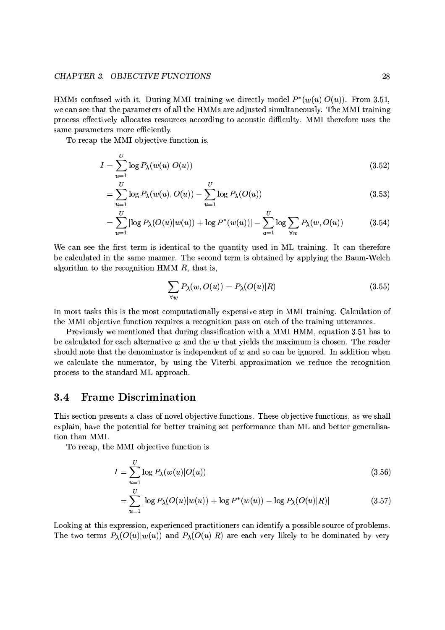HMMs confused with it. During MMI training we directly model  $P^*(w(u)|O(u))$ . From 3.51, we can see that the parameters of all the HMMs are adjusted simultaneously. The MMI training process effectively allocates resources according to acoustic difficulty. MMI therefore uses the same parameters more efficiently.

To recap the MMI objective function is,

$$
I = \sum_{u=1}^{U} \log P_{\lambda}(w(u)|O(u)) \tag{3.52}
$$

$$
= \sum_{u=1}^{U} \log P_{\lambda}(w(u), O(u)) - \sum_{u=1}^{U} \log P_{\lambda}(O(u))
$$
\n(3.53)

$$
= \sum_{u=1}^{U} \left[ \log P_{\lambda}(O(u)|w(u)) + \log P^{*}(w(u)) \right] - \sum_{u=1}^{U} \log \sum_{\forall w} P_{\lambda}(w, O(u)) \tag{3.54}
$$

We can see the first term is identical to the quantity used in ML training. It can therefore be calculated in the same manner. The second term is obtained by applying the Baum-Welch algorithm to the recognition HMM  $R$ , that is,

$$
\sum_{\forall w} P_{\lambda}(w, O(u)) = P_{\lambda}(O(u)|R)
$$
\n(3.55)

In most tasks this is the most computationally expensive step in MMI training. Calculation of the MMI objective function requires a recognition pass on each of the training utterances.

Previously we mentioned that during classification with a MMI HMM, equation 3.51 has to be calculated for each alternative  $w$  and the  $w$  that yields the maximum is chosen. The reader should note that the denominator is independent of  $w$  and so can be ignored. In addition when we calculate the numerator, by using the Viterbi approximation we reduce the recognition process to the standard ML approach.

#### $3.4$ **Frame Discrimination**

This section presents a class of novel objective functions. These objective functions, as we shall explain, have the potential for better training set performance than ML and better generalisation than MMI.

To recap, the MMI objective function is

$$
I = \sum_{u=1}^{U} \log P_{\lambda}(w(u)|O(u))
$$
\n
$$
\sum_{u=1}^{U} \log \left(1 + \frac{1}{2} \log \left(1 + \frac{1}{2} \log \left(1 + \frac{1}{2} \log \left(1 + \frac{1}{2} \log \left(1 + \frac{1}{2} \log \left(1 + \frac{1}{2} \log \left(1 + \frac{1}{2} \log \left(1 + \frac{1}{2} \log \left(1 + \frac{1}{2} \log \left(1 + \frac{1}{2} \log \left(1 + \frac{1}{2} \log \left(1 + \frac{1}{2} \log \left(1 + \frac{1}{2} \log \left(1 + \frac{1}{2} \log \left(1 + \frac{1}{2} \log \left(1 + \frac{1}{2} \log \left(1 + \frac{1}{2} \log \left(1 + \frac{1}{2} \log \left(1 + \frac{1}{2} \log \left(1 + \frac{1}{2} \log \left(1 + \frac{1}{2} \log \left(1 + \frac{1}{2} \log \left(1 + \frac{1}{2} \log \left(1 + \frac{1}{2} \log \left(1 + \frac{1}{2} \log \left(1 + \frac{1}{2} \log \left(1 + \frac{1}{2} \log \left(1 + \frac{1}{2} \log \left(1 + \frac{1}{2} \log \left(1 + \frac{1}{2} \log \left(1 + \frac{1}{2} \log \left(1 + \frac{1}{2} \log \left(1 + \frac{1}{2} \log \left(1 + \frac{1}{2} \log \left(1 + \frac{1}{2} \log \left(1 + \frac{1}{2} \log \left(1 + \frac{1}{2} \log \left(1 + \frac{1}{2} \log \left(1 + \frac{1}{2} \log \left(1 + \frac{1}{2} \log \left(1 + \frac{1}{2} \log \left(1 + \frac{1}{2} \log \left(1 + \frac{1}{2} \log \left(1 + \frac{1}{2} \log \left(1 + \frac{1}{2} \log \left(1 + \frac{1}{2} \log \left(1 + \frac{1}{2} \log \left(1 + \frac{1}{2} \log \left(1 + \frac{1}{2} \log \left(1 + \frac{1}{2} \log \left(1 + \frac{1}{2} \
$$

$$
= \sum_{u=1}^{6} \left[ \log P_{\lambda}(O(u)|w(u)) + \log P^{*}(w(u)) - \log P_{\lambda}(O(u)|R) \right] \tag{3.57}
$$

Looking at this expression, experienced practitioners can identify a possible source of problems. The two terms  $P_{\lambda}(O(u)|w(u))$  and  $P_{\lambda}(O(u)|R)$  are each very likely to be dominated by very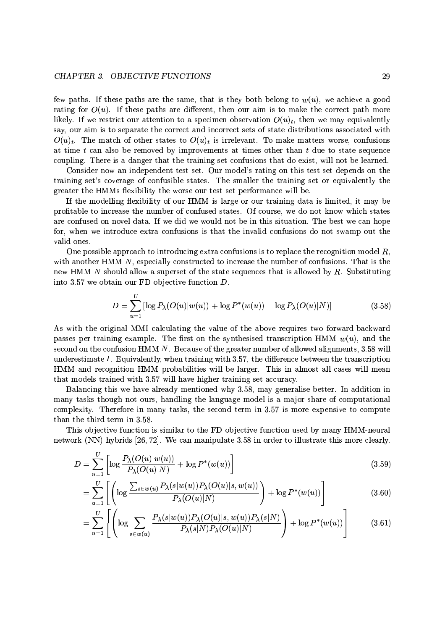few paths. If these paths are the same, that is they both belong to  $w(u)$ , we achieve a good rating for  $O(u)$ . If these paths are different, then our aim is to make the correct path more likely. If we restrict our attention to a specimen observation  $O(u)_t$ , then we may equivalently say, our aim is to separate the correct and incorrect sets of state distributions associated with  $O(u)_t$ . The match of other states to  $O(u)_t$  is irrelevant. To make matters worse, confusions at time  $t$  can also be removed by improvements at times other than  $t$  due to state sequence coupling. There is a danger that the training set confusions that do exist, will not be learned.

Consider now an independent test set. Our model's rating on this test set depends on the training set's coverage of confusible states. The smaller the training set or equivalently the greater the HMMs flexibility the worse our test set performance will be.

If the modelling flexibility of our HMM is large or our training data is limited, it may be profitable to increase the number of confused states. Of course, we do not know which states are confused on novel data. If we did we would not be in this situation. The best we can hope for, when we introduce extra confusions is that the invalid confusions do not swamp out the valid ones.

One possible approach to introducing extra confusions is to replace the recognition model  $R$ , with another HMM N, especially constructed to increase the number of confusions. That is the new HMM N should allow a superset of the state sequences that is allowed by R. Substituting into 3.57 we obtain our FD objective function  $D$ .

$$
D = \sum_{u=1}^{U} \left[ \log P_{\lambda}(O(u)|w(u)) + \log P^{*}(w(u)) - \log P_{\lambda}(O(u)|N) \right]
$$
(3.58)

As with the original MMI calculating the value of the above requires two forward-backward passes per training example. The first on the synthesised transcription HMM  $w(u)$ , and the second on the confusion HMM  $N$ . Because of the greater number of allowed alignments, 3.58 will underestimate I. Equivalently, when training with 3.57, the difference between the transcription HMM and recognition HMM probabilities will be larger. This in almost all cases will mean that models trained with 3.57 will have higher training set accuracy.

Balancing this we have already mentioned why 3.58, may generalise better. In addition in many tasks though not ours, handling the language model is a major share of computational complexity. Therefore in many tasks, the second term in 3.57 is more expensive to compute than the third term in 3.58.

This objective function is similar to the FD objective function used by many HMM-neural network (NN) hybrids [26,72]. We can manipulate 3.58 in order to illustrate this more clearly.

$$
D = \sum_{u=1}^{U} \left[ \log \frac{P_{\lambda}(O(u)|w(u))}{P_{\lambda}(O(u)|N)} + \log P^{*}(w(u)) \right]
$$
\n(3.59)

$$
= \sum_{u=1}^{U} \left[ \left( \log \frac{\sum_{s \in w(u)} P_{\lambda}(s|w(u)) P_{\lambda}(O(u)|s, w(u))}{P_{\lambda}(O(u)|N)} \right) + \log P^{*}(w(u)) \right] \tag{3.60}
$$

$$
= \sum_{u=1}^{U} \left[ \left( \log \sum_{s \in w(u)} \frac{P_{\lambda}(s|w(u)) P_{\lambda}(O(u)|s, w(u)) P_{\lambda}(s|N)}{P_{\lambda}(s|N) P_{\lambda}(O(u)|N)} \right) + \log P^*(w(u)) \right] \tag{3.61}
$$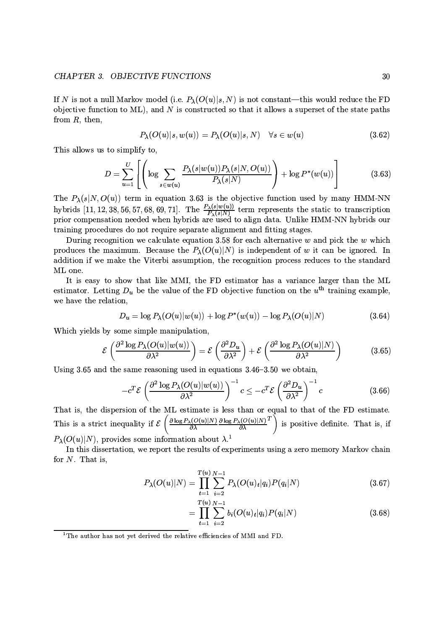### CHAPTER 3. OBJECTIVE FUNCTIONS

If N is not a null Markov model (i.e.  $P_{\lambda}(O(u)|s, N)$  is not constant—this would reduce the FD objective function to  $ML$ ), and N is constructed so that it allows a superset of the state paths from  $R$ , then,

$$
P_{\lambda}(O(u)|s, w(u)) = P_{\lambda}(O(u)|s, N) \quad \forall s \in w(u)
$$
\n(3.62)

This allows us to simplify to,

$$
D = \sum_{u=1}^{U} \left[ \left( \log \sum_{s \in w(u)} \frac{P_{\lambda}(s|w(u))P_{\lambda}(s|N, O(u))}{P_{\lambda}(s|N)} \right) + \log P^*(w(u)) \right] \tag{3.63}
$$

The  $P_{\lambda}(s|N, O(u))$  term in equation 3.63 is the objective function used by many HMM-NN hybrids [11, 12, 38, 56, 57, 68, 69, 71]. The  $\frac{P_{\lambda}(s|w(u))}{P_{\lambda}(s|N)}$  term represents the static to transcription prior compensation needed when hybrids are used to align data. Unlike HMM-NN hybrids our training procedures do not require separate alignment and fitting stages.

During recognition we calculate equation 3.58 for each alternative  $w$  and pick the  $w$  which produces the maximum. Because the  $P_{\lambda}(O(u)|N)$  is independent of w it can be ignored. In addition if we make the Viterbi assumption, the recognition process reduces to the standard ML one.

It is easy to show that like MMI, the FD estimator has a variance larger than the ML estimator. Letting  $D_u$  be the value of the FD objective function on the  $u^{\text{th}}$  training example, we have the relation,

$$
D_u = \log P_\lambda(O(u)|w(u)) + \log P^*(w(u)) - \log P_\lambda(O(u)|N) \tag{3.64}
$$

Which yields by some simple manipulation,

$$
\mathcal{E}\left(\frac{\partial^2 \log P_{\lambda}(O(u)|w(u))}{\partial \lambda^2}\right) = \mathcal{E}\left(\frac{\partial^2 D_u}{\partial \lambda^2}\right) + \mathcal{E}\left(\frac{\partial^2 \log P_{\lambda}(O(u)|N)}{\partial \lambda^2}\right) \tag{3.65}
$$

Using 3.65 and the same reasoning used in equations  $3.46-3.50$  we obtain,

$$
-c^T \mathcal{E} \left( \frac{\partial^2 \log P_\lambda(O(u)|w(u))}{\partial \lambda^2} \right)^{-1} c \le -c^T \mathcal{E} \left( \frac{\partial^2 D_u}{\partial \lambda^2} \right)^{-1} c \tag{3.66}
$$

That is, the dispersion of the ML estimate is less than or equal to that of the FD estimate.<br>This is a strict inequality if  $\mathcal{E}\left(\frac{\partial \log P_{\lambda}(O(u)|N)}{\partial \lambda} \frac{\partial \log P_{\lambda}(O(u)|N)}{\partial \lambda} \right)^{T}$  is positive definite. That is, if  $P_{\lambda}(O(u)|N)$ , provides some information about  $\lambda$ <sup>1</sup>

In this dissertation, we report the results of experiments using a zero memory Markov chain for  $N$ . That is,

$$
P_{\lambda}(O(u)|N) = \prod_{t=1}^{T(u)} \sum_{i=2}^{N-1} P_{\lambda}(O(u)_{t}|q_{i}) P(q_{i}|N)
$$
\n(3.67)

$$
= \prod_{t=1}^{T(u)} \sum_{i=2}^{N-1} b_i (O(u)_t | q_i) P(q_i | N)
$$
\n(3.68)

<sup>1</sup>The author has not yet derived the relative efficiencies of MMI and FD.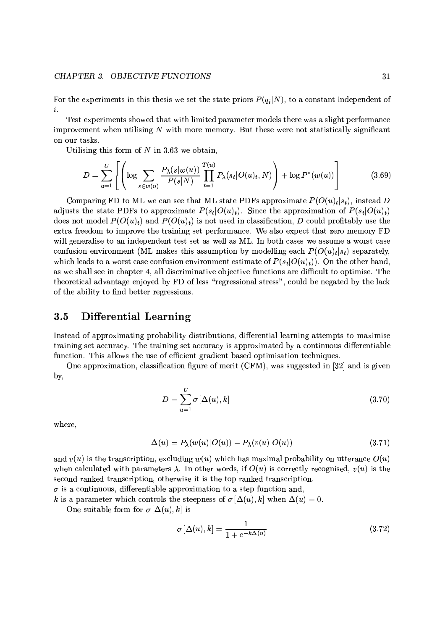For the experiments in this thesis we set the state priors  $P(q_i|N)$ , to a constant independent of  $\boldsymbol{i}$ .

Test experiments showed that with limited parameter models there was a slight performance improvement when utilising  $N$  with more memory. But these were not statistically significant on our tasks.

Utilising this form of  $N$  in 3.63 we obtain,

$$
D = \sum_{u=1}^{U} \left[ \left( \log \sum_{s \in w(u)} \frac{P_{\lambda}(s|w(u))}{P(s|N)} \prod_{t=1}^{T(u)} P_{\lambda}(s_t|O(u)_t, N) \right) + \log P^*(w(u)) \right]
$$
(3.69)

Comparing FD to ML we can see that ML state PDFs approximate  $P(O(u)_t|s_t)$ , instead D adjusts the state PDFs to approximate  $P(s_t|O(u)_t)$ . Since the approximation of  $P(s_t|O(u)_t)$ does not model  $P(O(u)_t)$  and  $P(O(u)_t)$  is not used in classification, D could profitably use the extra freedom to improve the training set performance. We also expect that zero memory FD will generalise to an independent test set as well as ML. In both cases we assume a worst case confusion environment (ML makes this assumption by modelling each  $P(O(u)_t|s_t)$  separately, which leads to a worst case confusion environment estimate of  $P(s_t|O(u)_t)$ . On the other hand, as we shall see in chapter 4, all discriminative objective functions are difficult to optimise. The theoretical advantage enjoyed by FD of less "regressional stress", could be negated by the lack of the ability to find better regressions.

#### **Differential Learning**  $3.5$

Instead of approximating probability distributions, differential learning attempts to maximise training set accuracy. The training set accuracy is approximated by a continuous differentiable function. This allows the use of efficient gradient based optimisation techniques.

One approximation, classification figure of merit (CFM), was suggested in [32] and is given by,

$$
D = \sum_{u=1}^{U} \sigma \left[ \Delta(u), k \right]
$$
 (3.70)

where,

$$
\Delta(u) = P_{\lambda}(w(u)|O(u)) - P_{\lambda}(v(u)|O(u)) \qquad (3.71)
$$

and  $v(u)$  is the transcription, excluding  $w(u)$  which has maximal probability on utterance  $O(u)$ when calculated with parameters  $\lambda$ . In other words, if  $O(u)$  is correctly recognised,  $v(u)$  is the second ranked transcription, otherwise it is the top ranked transcription.

 $\sigma$  is a continuous, differentiable approximation to a step function and,

k is a parameter which controls the steepness of  $\sigma[\Delta(u),k]$  when  $\Delta(u)=0$ .

One suitable form for  $\sigma[\Delta(u),k]$  is

$$
\sigma\left[\Delta(u),k\right] = \frac{1}{1 + e^{-k\Delta(u)}}\tag{3.72}
$$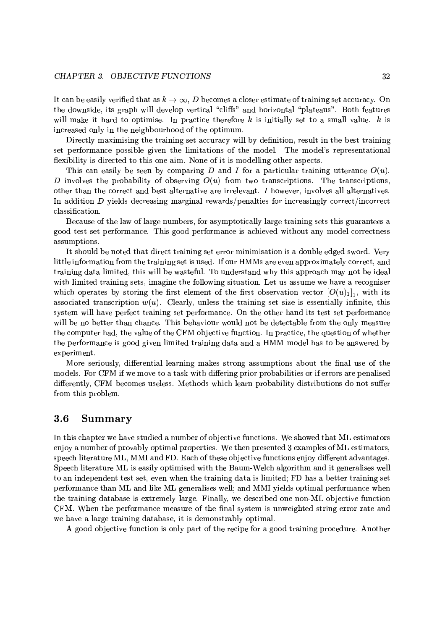It can be easily verified that as  $k \to \infty$ , D becomes a closer estimate of training set accuracy. On the downside, its graph will develop vertical "cliffs" and horizontal "plateaus". Both features will make it hard to optimise. In practice therefore  $k$  is initially set to a small value.  $k$  is increased only in the neighbourhood of the optimum.

Directly maximising the training set accuracy will by definition, result in the best training set performance possible given the limitations of the model. The model's representational flexibility is directed to this one aim. None of it is modelling other aspects.

This can easily be seen by comparing D and I for a particular training utterance  $O(u)$ . D involves the probability of observing  $O(u)$  from two transcriptions. The transcriptions, other than the correct and best alternative are irrelevant. I however, involves all alternatives. In addition  $D$  yields decreasing marginal rewards/penalties for increasingly correct/incorrect classification.

Because of the law of large numbers, for asymptotically large training sets this guarantees a good test set performance. This good performance is achieved without any model correctness assumptions.

It should be noted that direct training set error minimisation is a double edged sword. Very little information from the training set is used. If our HMMs are even approximately correct, and training data limited, this will be wasteful. To understand why this approach may not be ideal with limited training sets, imagine the following situation. Let us assume we have a recogniser which operates by storing the first element of the first observation vector  $[O(u)_1]_1$ , with its associated transcription  $w(u)$ . Clearly, unless the training set size is essentially infinite, this system will have perfect training set performance. On the other hand its test set performance will be no better than chance. This behaviour would not be detectable from the only measure the computer had, the value of the CFM objective function. In practice, the question of whether the performance is good given limited training data and a HMM model has to be answered by experiment.

More seriously, differential learning makes strong assumptions about the final use of the models. For CFM if we move to a task with differing prior probabilities or if errors are penalised differently, CFM becomes useless. Methods which learn probability distributions do not suffer from this problem.

#### 3.6 Summary

In this chapter we have studied a number of objective functions. We showed that ML estimators enjoy a number of provably optimal properties. We then presented 3 examples of ML estimators, speech literature ML, MMI and FD. Each of these objective functions enjoy different advantages. Speech literature ML is easily optimised with the Baum-Welch algorithm and it generalises well to an independent test set, even when the training data is limited; FD has a better training set performance than ML and like ML generalises well; and MMI yields optimal performance when the training database is extremely large. Finally, we described one non-ML objective function CFM. When the performance measure of the final system is unweighted string error rate and we have a large training database, it is demonstrably optimal.

A good objective function is only part of the recipe for a good training procedure. Another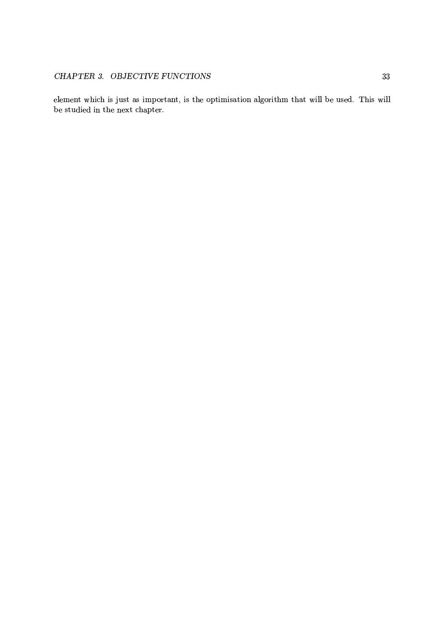element which is just as important, is the optimisation algorithm that will be used. This will be studied in the next chapter.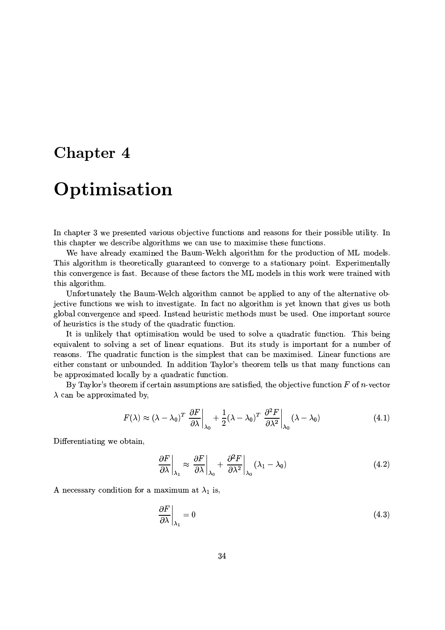## Chapter 4

# Optimisation

In chapter 3 we presented various objective functions and reasons for their possible utility. In this chapter we describe algorithms we can use to maximise these functions.

We have already examined the Baum-Welch algorithm for the production of ML models. This algorithm is theoretically guaranteed to converge to a stationary point. Experimentally this convergence is fast. Because of these factors the ML models in this work were trained with this algorithm.

Unfortunately the Baum-Welch algorithm cannot be applied to any of the alternative objective functions we wish to investigate. In fact no algorithm is yet known that gives us both global convergence and speed. Instead heuristic methods must be used. One important source of heuristics is the study of the quadratic function.

It is unlikely that optimisation would be used to solve a quadratic function. This being equivalent to solving a set of linear equations. But its study is important for a number of reasons. The quadratic function is the simplest that can be maximised. Linear functions are either constant or unbounded. In addition Taylor's theorem tells us that many functions can be approximated locally by a quadratic function.

By Taylor's theorem if certain assumptions are satisfied, the objective function  $F$  of n-vector  $\lambda$  can be approximated by,

$$
F(\lambda) \approx (\lambda - \lambda_0)^T \left. \frac{\partial F}{\partial \lambda} \right|_{\lambda_0} + \frac{1}{2} (\lambda - \lambda_0)^T \left. \frac{\partial^2 F}{\partial \lambda^2} \right|_{\lambda_0} (\lambda - \lambda_0)
$$
 (4.1)

Differentiating we obtain,

$$
\left. \frac{\partial F}{\partial \lambda} \right|_{\lambda_1} \approx \left. \frac{\partial F}{\partial \lambda} \right|_{\lambda_0} + \left. \frac{\partial^2 F}{\partial \lambda^2} \right|_{\lambda_0} (\lambda_1 - \lambda_0)
$$
\n(4.2)

A necessary condition for a maximum at  $\lambda_1$  is,

$$
\left. \frac{\partial F}{\partial \lambda} \right|_{\lambda_1} = 0 \tag{4.3}
$$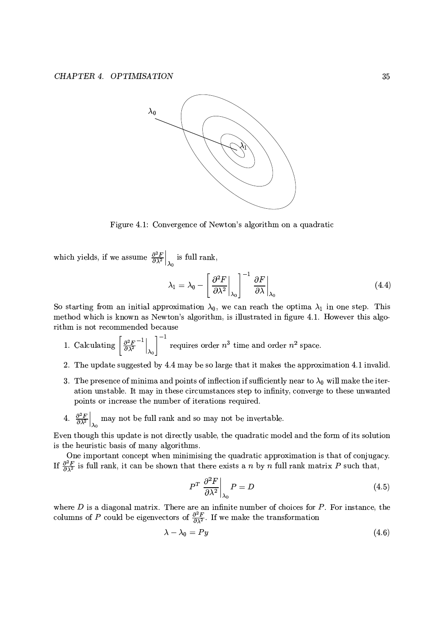

Figure 4.1: Convergence of Newton's algorithm on a quadratic

which yields, if we assume  $\frac{\partial^2 F}{\partial \lambda^2}\Big|_{\lambda_0}$  is full rank,

$$
\lambda_1 = \lambda_0 - \left[ \left. \frac{\partial^2 F}{\partial \lambda^2} \right|_{\lambda_0} \right]^{-1} \left. \frac{\partial F}{\partial \lambda} \right|_{\lambda_0} \tag{4.4}
$$

So starting from an initial approximation  $\lambda_0$ , we can reach the optima  $\lambda_1$  in one step. This method which is known as Newton's algorithm, is illustrated in figure 4.1. However this algorithm is not recommended because

- 1. Calculating  $\left[\frac{\partial^2 F}{\partial \lambda^2}\right]_{\lambda_0}^{-1}$  requires order  $n^3$  time and order  $n^2$  space.
- 2. The update suggested by 4.4 may be so large that it makes the approximation 4.1 invalid.
- 3. The presence of minima and points of inflection if sufficiently near to  $\lambda_0$  will make the iteration unstable. It may in these circumstances step to infinity, converge to these unwanted points or increase the number of iterations required.
- 4.  $\frac{\partial^2 F}{\partial \lambda^2}\Big|_{\lambda_0}$  may not be full rank and so may not be invertable.

Even though this update is not directly usable, the quadratic model and the form of its solution is the heuristic basis of many algorithms.

One important concept when minimising the quadratic approximation is that of conjugacy. If  $\frac{\partial^2 F}{\partial \lambda^2}$  is full rank, it can be shown that there exists a *n* by *n* full rank matrix *P* such that,

$$
P^T \left. \frac{\partial^2 F}{\partial \lambda^2} \right|_{\lambda_0} P = D \tag{4.5}
$$

where  $D$  is a diagonal matrix. There are an infinite number of choices for  $P$ . For instance, the columns of P could be eigenvectors of  $\frac{\partial^2 F}{\partial \lambda^2}$ . If we make the transformation

$$
\lambda - \lambda_0 = Py \tag{4.6}
$$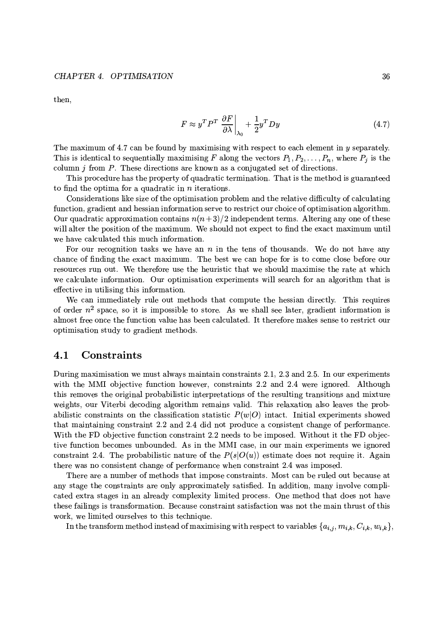then,

$$
F \approx y^T P^T \left. \frac{\partial F}{\partial \lambda} \right|_{\lambda_0} + \frac{1}{2} y^T D y \tag{4.7}
$$

The maximum of 4.7 can be found by maximising with respect to each element in  $y$  separately. This is identical to sequentially maximising F along the vectors  $P_1, P_2, \ldots, P_n$ , where  $P_j$  is the column  $j$  from  $P$ . These directions are known as a conjugated set of directions.

This procedure has the property of quadratic termination. That is the method is guaranteed to find the optima for a quadratic in  $n$  iterations.

Considerations like size of the optimisation problem and the relative difficulty of calculating function, gradient and hessian information serve to restrict our choice of optimisation algorithm. Our quadratic approximation contains  $n(n+3)/2$  independent terms. Altering any one of these will alter the position of the maximum. We should not expect to find the exact maximum until we have calculated this much information.

For our recognition tasks we have an  $n$  in the tens of thousands. We do not have any chance of finding the exact maximum. The best we can hope for is to come close before our resources run out. We therefore use the heuristic that we should maximise the rate at which we calculate information. Our optimisation experiments will search for an algorithm that is effective in utilising this information.

We can immediately rule out methods that compute the hessian directly. This requires of order  $n^2$  space, so it is impossible to store. As we shall see later, gradient information is almost free once the function value has been calculated. It therefore makes sense to restrict our optimisation study to gradient methods.

#### 4.1 Constraints

During maximisation we must always maintain constraints 2.1, 2.3 and 2.5. In our experiments with the MMI objective function however, constraints 2.2 and 2.4 were ignored. Although this removes the original probabilistic interpretations of the resulting transitions and mixture weights, our Viterbi decoding algorithm remains valid. This relaxation also leaves the probabilistic constraints on the classification statistic  $P(w|O)$  intact. Initial experiments showed that maintaining constraint 2.2 and 2.4 did not produce a consistent change of performance. With the FD objective function constraint 2.2 needs to be imposed. Without it the FD objective function becomes unbounded. As in the MMI case, in our main experiments we ignored constraint 2.4. The probabilistic nature of the  $P(s|O(u))$  estimate does not require it. Again there was no consistent change of performance when constraint 2.4 was imposed.

There are a number of methods that impose constraints. Most can be ruled out because at any stage the constraints are only approximately satisfied. In addition, many involve complicated extra stages in an already complexity limited process. One method that does not have these failings is transformation. Because constraint satisfaction was not the main thrust of this work, we limited ourselves to this technique.

In the transform method instead of maximising with respect to variables  $\{a_{i,j}, m_{i,k}, C_{i,k}, w_{i,k}\},\$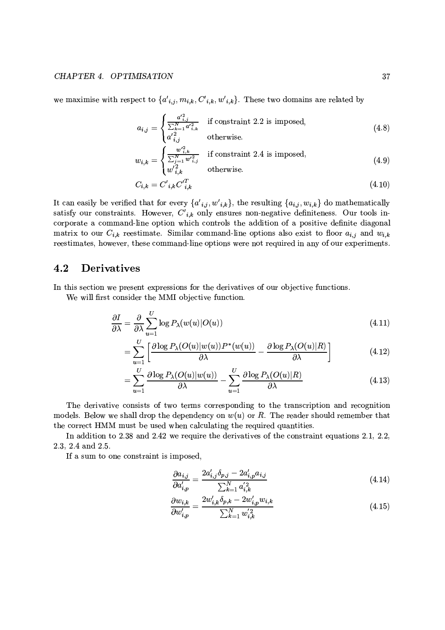we maximise with respect to  $\{a'_{i,j}, m_{i,k}, C'_{i,k}, w'_{i,k}\}$ . These two domains are related by

$$
a_{i,j} = \begin{cases} \frac{a_{i,j}^{2}}{\sum_{k=1}^{N} a_{i,k}^{2}} & \text{if constraint 2.2 is imposed,} \\ a_{i,j}^{\prime 2} & \text{otherwise.} \end{cases}
$$
(4.8)

$$
w_{i,k} = \begin{cases} \frac{w'^{2}_{i,k}}{\sum_{j=1}^{N} w'^{2}_{i,j}} & \text{if constraint 2.4 is imposed,} \\ w'^{2}_{i,k} & \text{otherwise.} \end{cases}
$$
(4.9)

$$
C_{i,k} = C'_{i,k} C'^T_{i,k} \tag{4.10}
$$

It can easily be verified that for every  $\{a'_{i,j}, w'_{i,k}\}\$ , the resulting  $\{a_{i,j}, w_{i,k}\}\$  do mathematically satisfy our constraints. However,  $C'_{i,k}$  only ensures non-negative definiteness. Our tools incorporate a command-line option which controls the addition of a positive definite diagonal matrix to our  $C_{i,k}$  reestimate. Similar command-line options also exist to floor  $a_{i,j}$  and  $w_{i,k}$ reestimates, however, these command-line options were not required in any of our experiments.

#### 4.2 **Derivatives**

In this section we present expressions for the derivatives of our objective functions.

We will first consider the MMI objective function.

$$
\frac{\partial I}{\partial \lambda} = \frac{\partial}{\partial \lambda} \sum_{u=1}^{U} \log P_{\lambda}(w(u)|O(u)) \tag{4.11}
$$

$$
= \sum_{u=1}^{U} \left[ \frac{\partial \log P_{\lambda}(O(u)|w(u))P^*(w(u))}{\partial \lambda} - \frac{\partial \log P_{\lambda}(O(u)|R)}{\partial \lambda} \right]
$$
(4.12)

$$
= \sum_{u=1}^{U} \frac{\partial \log P_{\lambda}(O(u)|w(u))}{\partial \lambda} - \sum_{u=1}^{U} \frac{\partial \log P_{\lambda}(O(u)|R)}{\partial \lambda} \tag{4.13}
$$

The derivative consists of two terms corresponding to the transcription and recognition models. Below we shall drop the dependency on  $w(u)$  or R. The reader should remember that the correct HMM must be used when calculating the required quantities.

In addition to 2.38 and 2.42 we require the derivatives of the constraint equations 2.1, 2.2, 2.3, 2.4 and 2.5.

If a sum to one constraint is imposed,

$$
\frac{\partial a_{i,j}}{\partial a'_{i,p}} = \frac{2a'_{i,j}\delta_{p,j} - 2a'_{i,p}a_{i,j}}{\sum_{k=1}^{N} a'^{2}_{i,k}}
$$
(4.14)

$$
\frac{\partial w_{i,k}}{\partial w'_{i,p}} = \frac{2w'_{i,k}\delta_{p,k} - 2w'_{i,p}w_{i,k}}{\sum_{k=1}^{N} w'_{i,k}}
$$
(4.15)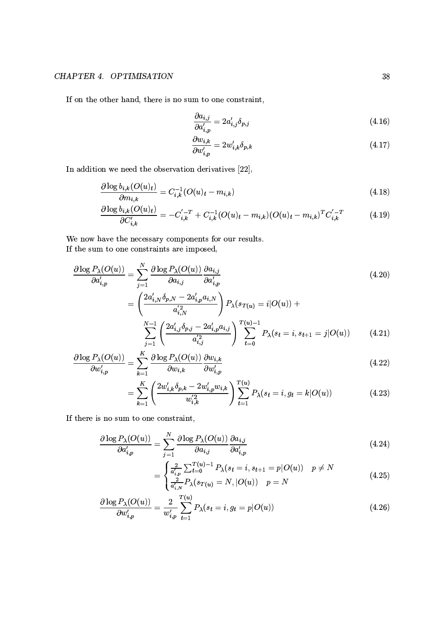## CHAPTER 4. OPTIMISATION

If on the other hand, there is no sum to one constraint,

$$
\frac{\partial a_{i,j}}{\partial a'_{i,p}} = 2a'_{i,j}\delta_{p,j} \tag{4.16}
$$

$$
\frac{\partial w_{i,k}}{\partial w'_{i,p}} = 2w'_{i,k}\delta_{p,k} \tag{4.17}
$$

In addition we need the observation derivatives  $[22]$ ,

$$
\frac{\partial \log b_{i,k}(O(u)_t)}{\partial m_{i,k}} = C_{i,k}^{-1}(O(u)_t - m_{i,k})
$$
\n(4.18)

$$
\frac{\partial \log b_{i,k}(O(u)_t)}{\partial C'_{i,k}} = -C'_{i,k}^{-T} + C_{i,k}^{-1}(O(u)_t - m_{i,k})(O(u)_t - m_{i,k})^T C'_{i,k}^{-T}
$$
(4.19)

We now have the necessary components for our results. If the sum to one constraints are imposed,

$$
\frac{\partial \log P_{\lambda}(O(u))}{\partial a'_{i,p}} = \sum_{j=1}^{N} \frac{\partial \log P_{\lambda}(O(u))}{\partial a_{i,j}} \frac{\partial a_{i,j}}{\partial a'_{i,p}} \n= \left(\frac{2a'_{i,N}\delta_{p,N} - 2a'_{i,p}a_{i,N}}{a'^{2}_{i,N}}\right) P_{\lambda}(s_{T(u)} = i|O(u)) +
$$
\n(4.20)

$$
\sum_{j=1}^{N-1} \left( \frac{2a'_{i,j}\delta_{p,j} - 2a'_{i,p}a_{i,j}}{a'^{2}_{i,j}} \right) \sum_{t=0}^{T(u)-1} P_{\lambda}(s_t = i, s_{t+1} = j | O(u)) \tag{4.21}
$$

$$
\frac{\partial \log P_{\lambda}(O(u))}{\partial w'_{i,p}} = \sum_{k=1}^{K} \frac{\partial \log P_{\lambda}(O(u))}{\partial w_{i,k}} \frac{\partial w_{i,k}}{\partial w'_{i,p}}
$$
(4.22)

$$
= \sum_{k=1}^{K} \left( \frac{2w'_{i,k}\delta_{p,k} - 2w'_{i,p}w_{i,k}}{w'_{i,k}} \right) \sum_{t=1}^{T(u)} P_{\lambda}(s_t = i, g_t = k | O(u)) \tag{4.23}
$$

If there is no sum to one constraint,

$$
\frac{\partial \log P_{\lambda}(O(u))}{\partial a'_{i,p}} = \sum_{j=1}^{N} \frac{\partial \log P_{\lambda}(O(u))}{\partial a_{i,j}} \frac{\partial a_{i,j}}{\partial a'_{i,p}}
$$
(4.24)

$$
= \begin{cases} \frac{2}{a_{i,p}'} \sum_{t=0}^{T(u)-1} P_{\lambda}(s_t = i, s_{t+1} = p | O(u)) & p \neq N \\ \frac{2}{a_{i,N}'} P_{\lambda}(s_{T(u)} = N, | O(u)) & p = N \end{cases}
$$
(4.25)

$$
\frac{\partial \log P_{\lambda}(O(u))}{\partial w'_{i,p}} = \frac{2}{w'_{i,p}} \sum_{t=1}^{T(u)} P_{\lambda}(s_t = i, g_t = p | O(u))
$$
\n(4.26)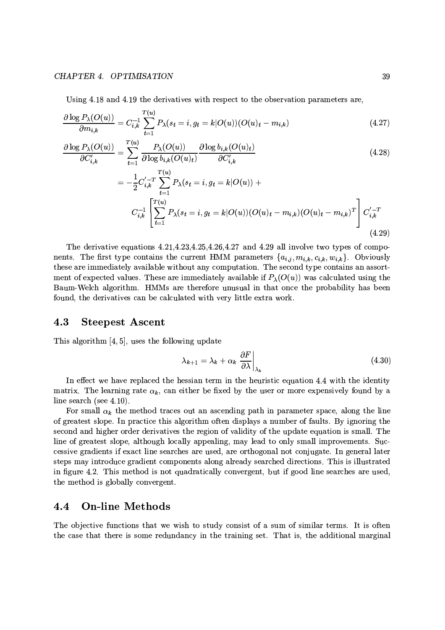### CHAPTER 4. OPTIMISATION

 $\sim$   $\sim$ 

Using 4.18 and 4.19 the derivatives with respect to the observation parameters are,

$$
\frac{\partial \log P_{\lambda}(O(u))}{\partial m_{i,k}} = C_{i,k}^{-1} \sum_{t=1}^{T(u)} P_{\lambda}(s_t = i, g_t = k | O(u)) (O(u)_t - m_{i,k})
$$
\n(4.27)

$$
\frac{\partial \log P_{\lambda}(O(u))}{\partial C'_{i,k}} = \sum_{t=1}^{T(u)} \frac{P_{\lambda}(O(u))}{\partial \log b_{i,k}(O(u)_t)} \frac{\partial \log b_{i,k}(O(u)_t)}{\partial C'_{i,k}}
$$
(4.28)

$$
= -\frac{1}{2}C_{i,k}'^{-T} \sum_{t=1}^{T(u)} P_{\lambda}(s_t = i, g_t = k | O(u)) + C_{i,k}^{-1} \left[ \sum_{t=1}^{T(u)} P_{\lambda}(s_t = i, g_t = k | O(u)) (O(u)_t - m_{i,k}) (O(u)_t - m_{i,k})^T \right] C_{i,k}'^{-T}
$$
\n(4.29)

The derivative equations  $4.21, 4.23, 4.25, 4.26, 4.27$  and  $4.29$  all involve two types of components. The first type contains the current HMM parameters  $\{a_{i,j}, m_{i,k}, c_{i,k}, w_{i,k}\}$ . Obviously these are immediately available without any computation. The second type contains an assortment of expected values. These are immediately available if  $P_{\lambda}(O(u))$  was calculated using the Baum-Welch algorithm. HMMs are therefore unusual in that once the probability has been found, the derivatives can be calculated with very little extra work.

#### 4.3 **Steepest Ascent**

This algorithm  $[4, 5]$ , uses the following update

$$
\lambda_{k+1} = \lambda_k + \alpha_k \left. \frac{\partial F}{\partial \lambda} \right|_{\lambda_k} \tag{4.30}
$$

In effect we have replaced the hessian term in the heuristic equation 4.4 with the identity matrix. The learning rate  $\alpha_k$ , can either be fixed by the user or more expensively found by a line search (see  $4.10$ ).

For small  $\alpha_k$  the method traces out an ascending path in parameter space, along the line of greatest slope. In practice this algorithm often displays a number of faults. By ignoring the second and higher order derivatives the region of validity of the update equation is small. The line of greatest slope, although locally appealing, may lead to only small improvements. Successive gradients if exact line searches are used, are orthogonal not conjugate. In general later steps may introduce gradient components along already searched directions. This is illustrated in figure 4.2. This method is not quadratically convergent, but if good line searches are used, the method is globally convergent.

#### **On-line Methods**  $4.4$

The objective functions that we wish to study consist of a sum of similar terms. It is often the case that there is some redundancy in the training set. That is, the additional marginal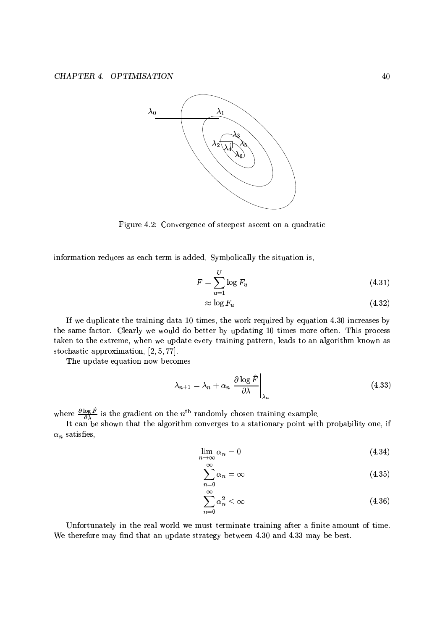

Figure 4.2: Convergence of steepest ascent on a quadratic

information reduces as each term is added. Symbolically the situation is,

$$
F = \sum_{u=1}^{U} \log F_u \tag{4.31}
$$

$$
\approx \log F_u \tag{4.32}
$$

If we duplicate the training data 10 times, the work required by equation 4.30 increases by the same factor. Clearly we would do better by updating 10 times more often. This process taken to the extreme, when we update every training pattern, leads to an algorithm known as stochastic approximation,  $[2, 5, 77]$ .

The update equation now becomes

$$
\lambda_{n+1} = \lambda_n + \alpha_n \left. \frac{\partial \log \hat{F}}{\partial \lambda} \right|_{\lambda_n} \tag{4.33}
$$

where  $\frac{\partial \log \hat{F}}{\partial \lambda}$  is the gradient on the  $n^{\text{th}}$  randomly chosen training example.<br>It can be shown that the algorithm converges to a stationary point with probability one, if  $\alpha_n$  satisfies,

$$
\lim_{n \to \infty} \alpha_n = 0 \tag{4.34}
$$

$$
\sum_{n=0}^{\infty} \alpha_n = \infty \tag{4.35}
$$

$$
\sum_{n=0}^{\infty} \alpha_n^2 < \infty \tag{4.36}
$$

Unfortunately in the real world we must terminate training after a finite amount of time. We therefore may find that an update strategy between 4.30 and 4.33 may be best.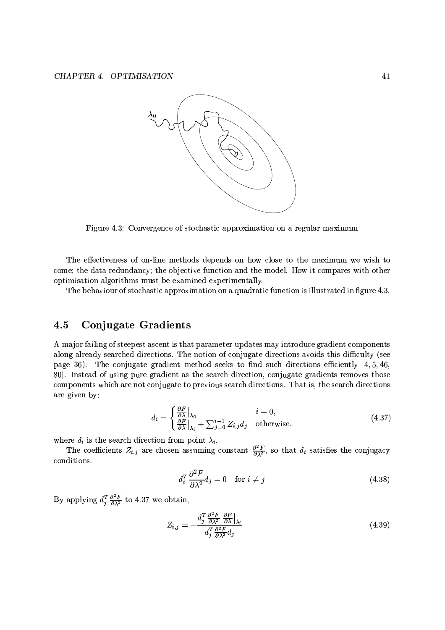

Figure 4.3: Convergence of stochastic approximation on a regular maximum

The effectiveness of on-line methods depends on how close to the maximum we wish to come; the data redundancy; the objective function and the model. How it compares with other optimisation algorithms must be examined experimentally.

The behaviour of stochastic approximation on a quadratic function is illustrated in figure 4.3.

#### **Conjugate Gradients**  $4.5$

A major failing of steepest ascent is that parameter updates may introduce gradient components along already searched directions. The notion of conjugate directions avoids this difficulty (see page 36). The conjugate gradient method seeks to find such directions efficiently [4, 5, 46, 80. Instead of using pure gradient as the search direction, conjugate gradients removes those components which are not conjugate to previous search directions. That is, the search directions are given by:

$$
d_i = \begin{cases} \frac{\partial F}{\partial \lambda} \Big|_{\lambda_0} & i = 0, \\ \frac{\partial F}{\partial \lambda} \Big|_{\lambda_i} + \sum_{j=0}^{i-1} Z_{i,j} d_j & \text{otherwise.} \end{cases}
$$
(4.37)

where  $d_i$  is the search direction from point  $\lambda_i$ .

The coefficients  $Z_{i,j}$  are chosen assuming constant  $\frac{\partial^2 F}{\partial \lambda^2}$ , so that  $d_i$  satisfies the conjugacy conditions.

$$
d_i^T \frac{\partial^2 F}{\partial \lambda^2} d_j = 0 \quad \text{for } i \neq j \tag{4.38}
$$

By applying  $d_j^T \frac{\partial^2 F}{\partial \lambda^2}$  to 4.37 we obtain,

$$
Z_{i,j} = -\frac{d_j^T \frac{\partial^2 F}{\partial \lambda^2} \frac{\partial F}{\partial \lambda} \big|_{\lambda_i}}{d_j^T \frac{\partial^2 F}{\partial \lambda^2} d_j} \tag{4.39}
$$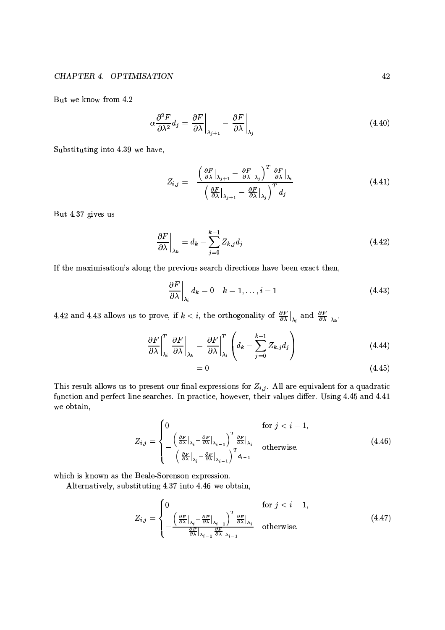But we know from 4.2

$$
\alpha \frac{\partial^2 F}{\partial \lambda^2} d_j = \frac{\partial F}{\partial \lambda} \bigg|_{\lambda_{j+1}} - \frac{\partial F}{\partial \lambda} \bigg|_{\lambda_j} \tag{4.40}
$$

Substituting into 4.39 we have,

$$
Z_{i,j} = -\frac{\left(\frac{\partial F}{\partial \lambda}\Big|_{\lambda_{j+1}} - \frac{\partial F}{\partial \lambda}\Big|_{\lambda_j}\right)^T \frac{\partial F}{\partial \lambda}\Big|_{\lambda_i}}{\left(\frac{\partial F}{\partial \lambda}\Big|_{\lambda_{j+1}} - \frac{\partial F}{\partial \lambda}\Big|_{\lambda_j}\right)^T d_j}
$$
(4.41)

But 4.37 gives us

$$
\left. \frac{\partial F}{\partial \lambda} \right|_{\lambda_k} = d_k - \sum_{j=0}^{k-1} Z_{k,j} d_j \tag{4.42}
$$

If the maximisation's along the previous search directions have been exact then,

$$
\left. \frac{\partial F}{\partial \lambda} \right|_{\lambda_i} d_k = 0 \quad k = 1, \dots, i-1 \tag{4.43}
$$

4.42 and 4.43 allows us to prove, if  $k < i$ , the orthogonality of  $\frac{\partial F}{\partial \lambda}\Big|_{\lambda_i}$  and  $\frac{\partial F}{\partial \lambda}\Big|_{\lambda_k}$ .

$$
\left. \frac{\partial F}{\partial \lambda} \right|_{\lambda_i}^T \left. \frac{\partial F}{\partial \lambda} \right|_{\lambda_k} = \left. \frac{\partial F}{\partial \lambda} \right|_{\lambda_i}^T \left( d_k - \sum_{j=0}^{k-1} Z_{k,j} d_j \right) \tag{4.44}
$$

$$
=0 \tag{4.45}
$$

This result allows us to present our final expressions for  $Z_{i,j}$ . All are equivalent for a quadratic function and perfect line searches. In practice, however, their values differ. Using 4.45 and 4.41 we obtain,

$$
Z_{i,j} = \begin{cases} 0 & \text{for } j < i-1, \\ -\frac{\left(\frac{\partial F}{\partial \lambda}\big|_{\lambda_i} - \frac{\partial F}{\partial \lambda}\big|_{\lambda_{i-1}}\right)^T \frac{\partial F}{\partial \lambda}\big|_{\lambda_i}}{\left(\frac{\partial F}{\partial \lambda}\big|_{\lambda_i} - \frac{\partial F}{\partial \lambda}\big|_{\lambda_{i-1}}\right)^T d_{i-1}} & \text{otherwise.} \end{cases} \tag{4.46}
$$

which is known as the Beale-Sorenson expression.

Alternatively, substituting 4.37 into 4.46 we obtain,

$$
Z_{i,j} = \begin{cases} 0 & \text{for } j < i-1, \\ \frac{\left(\frac{\partial F}{\partial \lambda}\big|_{\lambda_i} - \frac{\partial F}{\partial \lambda}\big|_{\lambda_{i-1}}\right)^T \frac{\partial F}{\partial \lambda}\big|_{\lambda_i}}{\frac{\partial F}{\partial \lambda}\big|_{\lambda_{i-1}} \quad \text{otherwise.} \end{cases} \tag{4.47}
$$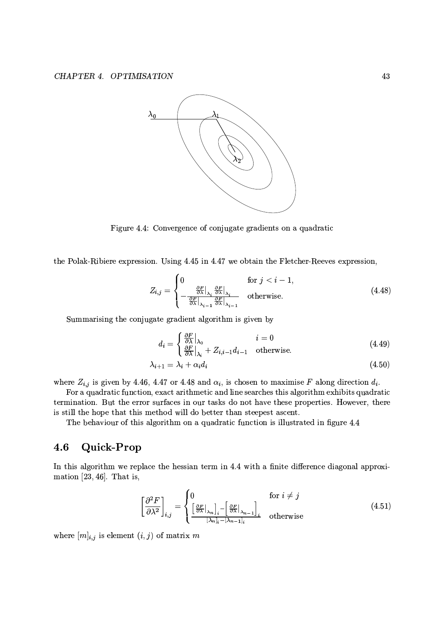

Figure 4.4: Convergence of conjugate gradients on a quadratic

the Polak-Ribiere expression. Using 4.45 in 4.47 we obtain the Fletcher-Reeves expression,

$$
Z_{i,j} = \begin{cases} 0 & \text{for } j < i-1, \\ -\frac{\frac{\partial F}{\partial \lambda}|_{\lambda_i} \frac{\partial F}{\partial \lambda}|_{\lambda_i}}{\frac{\partial F}{\partial \lambda}|_{\lambda_{i-1}}} & \text{otherwise.} \end{cases} \tag{4.48}
$$

Summarising the conjugate gradient algorithm is given by

$$
d_i = \begin{cases} \frac{\partial F}{\partial \lambda} |_{\lambda_0} & i = 0\\ \frac{\partial F}{\partial \lambda} |_{\lambda_i} + Z_{i,i-1} d_{i-1} & \text{otherwise.} \end{cases}
$$
(4.49)

$$
\lambda_{i+1} = \lambda_i + \alpha_i d_i \tag{4.50}
$$

where  $Z_{i,j}$  is given by 4.46, 4.47 or 4.48 and  $\alpha_i$ , is chosen to maximise F along direction  $d_i$ .

For a quadratic function, exact arithmetic and line searches this algorithm exhibits quadratic termination. But the error surfaces in our tasks do not have these properties. However, there is still the hope that this method will do better than steepest ascent.

The behaviour of this algorithm on a quadratic function is illustrated in figure 4.4

#### Quick-Prop 4.6

In this algorithm we replace the hessian term in 4.4 with a finite difference diagonal approximation  $[23, 46]$ . That is,

$$
\left[\frac{\partial^2 F}{\partial \lambda^2}\right]_{i,j} = \begin{cases} 0 & \text{for } i \neq j \\ \left[\frac{\partial F}{\partial \lambda}\big|_{\lambda_n}\right]_i - \left[\frac{\partial F}{\partial \lambda}\big|_{\lambda_{n-1}}\right]_i & \text{otherwise} \end{cases} \tag{4.51}
$$

where  $[m]_{i,j}$  is element  $(i,j)$  of matrix m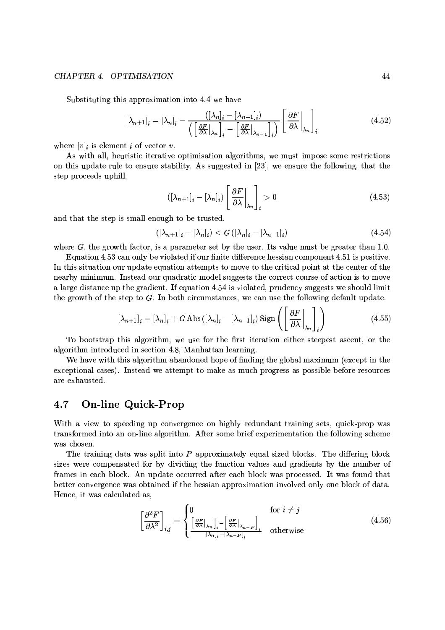## CHAPTER 4. OPTIMISATION

Substituting this approximation into 4.4 we have

$$
[\lambda_{n+1}]_i = [\lambda_n]_i - \frac{([\lambda_n]_i - [\lambda_{n-1}]_i)}{\left(\left[\frac{\partial F}{\partial \lambda}\Big|_{\lambda_n}\right]_i - \left[\frac{\partial F}{\partial \lambda}\Big|_{\lambda_{n-1}}\right]_i\right)} \left[\frac{\partial F}{\partial \lambda}\Big|_{\lambda_n}\right]_i \tag{4.52}
$$

where  $[v]_i$  is element i of vector v.

As with all, heuristic iterative optimisation algorithms, we must impose some restrictions on this update rule to ensure stability. As suggested in [23], we ensure the following, that the step proceeds uphill,

$$
\left( [\lambda_{n+1}]_i - [\lambda_n]_i \right) \left[ \left. \frac{\partial F}{\partial \lambda} \right|_{\lambda_n} \right]_i > 0 \tag{4.53}
$$

and that the step is small enough to be trusted.

$$
([\lambda_{n+1}]_i - [\lambda_n]_i) < G\left( [\lambda_n]_i - [\lambda_{n-1}]_i \right) \tag{4.54}
$$

where  $G$ , the growth factor, is a parameter set by the user. Its value must be greater than 1.0.

Equation 4.53 can only be violated if our finite difference hessian component 4.51 is positive. In this situation our update equation attempts to move to the critical point at the center of the nearby minimum. Instead our quadratic model suggests the correct course of action is to move a large distance up the gradient. If equation 4.54 is violated, prudency suggests we should limit the growth of the step to  $G$ . In both circumstances, we can use the following default update.

$$
\left[\lambda_{n+1}\right]_i = \left[\lambda_n\right]_i + G \operatorname{Abs}\left(\left[\lambda_n\right]_i - \left[\lambda_{n-1}\right]_i\right) \operatorname{Sign}\left(\left[\left.\frac{\partial F}{\partial \lambda}\right]_{\lambda_n}\right]_i\right) \tag{4.55}
$$

To bootstrap this algorithm, we use for the first iteration either steepest ascent, or the algorithm introduced in section 4.8. Manhattan learning.

We have with this algorithm abandoned hope of finding the global maximum (except in the exceptional cases). Instead we attempt to make as much progress as possible before resources are exhausted.

#### 4.7 **On-line Quick-Prop**

With a view to speeding up convergence on highly redundant training sets, quick-prop was transformed into an on-line algorithm. After some brief experimentation the following scheme was chosen.

The training data was split into  $P$  approximately equal sized blocks. The differing block sizes were compensated for by dividing the function values and gradients by the number of frames in each block. An update occurred after each block was processed. It was found that better convergence was obtained if the hessian approximation involved only one block of data. Hence, it was calculated as,

$$
\left[\frac{\partial^2 F}{\partial \lambda^2}\right]_{i,j} = \begin{cases} 0 & \text{for } i \neq j \\ \left[\frac{\partial F}{\partial \lambda}\big|_{\lambda_n}\right]_i - \left[\frac{\partial F}{\partial \lambda}\big|_{\lambda_{n-P}}\right]_i & \text{otherwise} \end{cases}
$$
(4.56)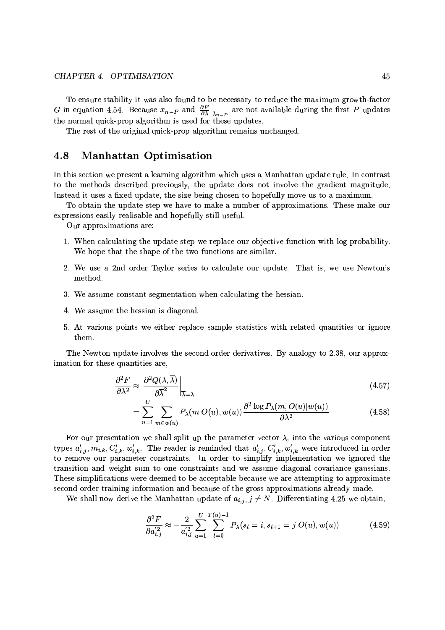To ensure stability it was also found to be necessary to reduce the maximum growth-factor G in equation 4.54. Because  $x_{n-P}$  and  $\frac{\partial F}{\partial \lambda}\Big|_{\lambda_{n-P}}$  are not available during the first P updates the normal quick-prop algorithm is used for these updates.

The rest of the original quick-prop algorithm remains unchanged.

#### 4.8 **Manhattan Optimisation**

In this section we present a learning algorithm which uses a Manhattan update rule. In contrast to the methods described previously, the update does not involve the gradient magnitude. Instead it uses a fixed update, the size being chosen to hopefully move us to a maximum.

To obtain the update step we have to make a number of approximations. These make our expressions easily realisable and hopefully still useful.

Our approximations are:

- 1. When calculating the update step we replace our objective function with log probability. We hope that the shape of the two functions are similar.
- 2. We use a 2nd order Taylor series to calculate our update. That is, we use Newton's method.
- 3. We assume constant segmentation when calculating the hessian.
- 4. We assume the hessian is diagonal.
- 5. At various points we either replace sample statistics with related quantities or ignore them.

The Newton update involves the second order derivatives. By analogy to 2.38, our approximation for these quantities are,

$$
\frac{\partial^2 F}{\partial \lambda^2} \approx \left. \frac{\partial^2 Q(\lambda, \overline{\lambda})}{\partial \overline{\lambda}^2} \right|_{\overline{\lambda} = \lambda} \tag{4.57}
$$

$$
= \sum_{u=1}^{U} \sum_{m \in w(u)} P_{\lambda}(m|O(u), w(u)) \frac{\partial^2 \log P_{\lambda}(m, O(u)|w(u))}{\partial \lambda^2}
$$
(4.58)

For our presentation we shall split up the parameter vector  $\lambda$ , into the various component types  $a'_{i,j}, m_{i,k}, C'_{i,k}, w'_{i,k}$ . The reader is reminded that  $a'_{i,j}, C'_{i,k}, w'_{i,k}$  were introduced in order<br>to remove our parameter constraints. In order to simplify implementation we ignored the transition and weight sum to one constraints and we assume diagonal covariance gaussians. These simplifications were deemed to be acceptable because we are attempting to approximate second order training information and because of the gross approximations already made.

We shall now derive the Manhattan update of  $a_{i,j}$ ,  $j \neq N$ . Differentiating 4.25 we obtain,

$$
\frac{\partial^2 F}{\partial a_{i,j}^{'2}} \approx -\frac{2}{a_{i,j}^{'2}} \sum_{u=1}^U \sum_{t=0}^{T(u)-1} P_\lambda(s_t = i, s_{t+1} = j | O(u), w(u)) \tag{4.59}
$$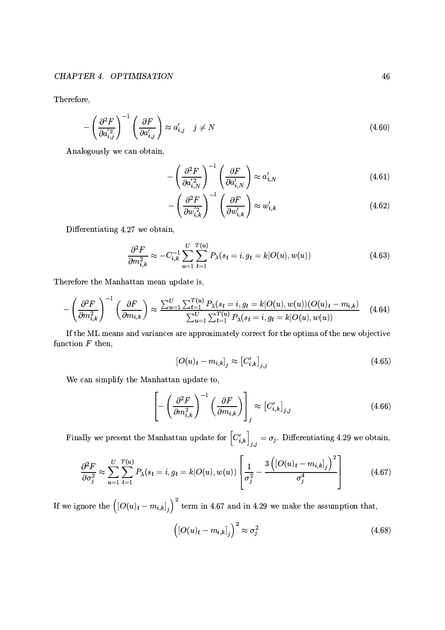Therefore,

$$
-\left(\frac{\partial^2 F}{\partial a_{i,j}^{'2}}\right)^{-1} \left(\frac{\partial F}{\partial a_{i,j}'}\right) \approx a_{i,j}' \quad j \neq N
$$
\n(4.60)

Analogously we can obtain,

$$
-\left(\frac{\partial^2 F}{\partial a_{i,N}^{'2}}\right)^{-1}\left(\frac{\partial F}{\partial a_{i,N}^{'}}\right) \approx a_{i,N}'\tag{4.61}
$$

$$
-\left(\frac{\partial^2 F}{\partial w_{i,k}^{'2}}\right)^{-1}\left(\frac{\partial F}{\partial w_{i,k}'}\right) \approx w_{i,k}'\tag{4.62}
$$

Differentiating 4.27 we obtain,

$$
\frac{\partial^2 F}{\partial m_{i,k}^2} \approx -C_{i,k}^{-1} \sum_{u=1}^U \sum_{t=1}^{T(u)} P_\lambda(s_t = i, g_t = k | O(u), w(u)) \tag{4.63}
$$

Therefore the Manhattan mean update is,

$$
-\left(\frac{\partial^2 F}{\partial m_{i,k}^2}\right)^{-1} \left(\frac{\partial F}{\partial m_{i,k}}\right) \approx \frac{\sum_{u=1}^U \sum_{t=1}^{T(u)} P_\lambda(s_t = i, g_t = k | O(u), w(u)) | O(u)_t - m_{i,k})}{\sum_{u=1}^U \sum_{t=1}^{T(u)} P_\lambda(s_t = i, g_t = k | O(u), w(u))}
$$
(4.64)

If the ML means and variances are approximately correct for the optima of the new objective function  $F$  then,

$$
\left[O(u)_t - m_{i,k}\right]_j \approx \left[C'_{i,k}\right]_{j,j} \tag{4.65}
$$

We can simplify the Manhattan update to,

$$
\left[ -\left(\frac{\partial^2 F}{\partial m_{i,k}^2}\right)^{-1} \left(\frac{\partial F}{\partial m_{i,k}}\right) \right]_j \approx \left[C'_{i,k}\right]_{j,j} \tag{4.66}
$$

Finally we present the Manhattan update for  $[C'_{i,k}]_{j,j} = \sigma_j$ . Differentiating 4.29 we obtain,

$$
\frac{\partial^2 F}{\partial \sigma_j^2} \approx \sum_{u=1}^U \sum_{t=1}^{T(u)} P_\lambda(s_t = i, g_t = k | O(u), w(u)) \left[ \frac{1}{\sigma_j^2} - \frac{3\left( [O(u)_t - m_{i,k}]_j \right)^2}{\sigma_j^4} \right]
$$
(4.67)

If we ignore the  $((O(u)_t - m_{i,k}]_j)^2$  term in 4.67 and in 4.29 we make the assumption that,

$$
\left( [O(u)_t - m_{i,k}]_j \right)^2 \approx \sigma_j^2 \tag{4.68}
$$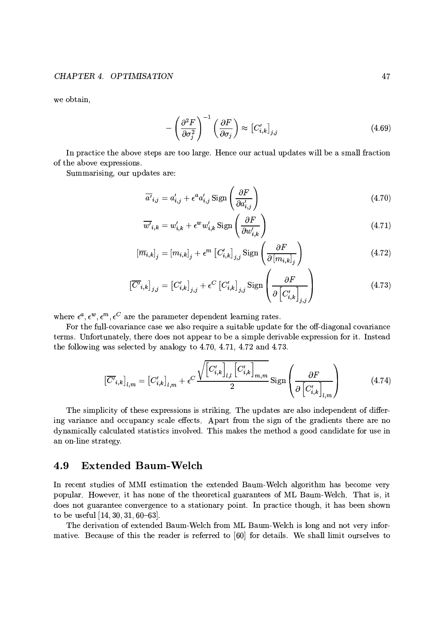we obtain,

$$
-\left(\frac{\partial^2 F}{\partial \sigma_j^2}\right)^{-1} \left(\frac{\partial F}{\partial \sigma_j}\right) \approx \left[C'_{i,k}\right]_{j,j} \tag{4.69}
$$

In practice the above steps are too large. Hence our actual updates will be a small fraction of the above expressions.

Summarising, our updates are:

$$
\overline{a'}_{i,j} = a'_{i,j} + \epsilon^a a'_{i,j} \operatorname{Sign}\left(\frac{\partial F}{\partial a'_{i,j}}\right)
$$
\n(4.70)

$$
\overline{w'}_{i,k} = w'_{i,k} + \epsilon^w w'_{i,k} \operatorname{Sign}\left(\frac{\partial F}{\partial w'_{i,k}}\right)
$$
\n(4.71)

$$
\left[\overline{m}_{i,k}\right]_j = \left[m_{i,k}\right]_j + \epsilon^m \left[C'_{i,k}\right]_{j,j} \operatorname{Sign}\left(\frac{\partial F}{\partial \left[m_{i,k}\right]_j}\right) \tag{4.72}
$$

$$
\left[\overline{C'}_{i,k}\right]_{j,j} = \left[C'_{i,k}\right]_{j,j} + \epsilon^C \left[C'_{i,k}\right]_{j,j} \text{Sign}\left(\frac{\partial F}{\partial \left[C'_{i,k}\right]_{j,j}}\right)
$$
(4.73)

where  $\epsilon^a, \epsilon^w, \epsilon^m, \epsilon^C$  are the parameter dependent learning rates.

For the full-covariance case we also require a suitable update for the off-diagonal covariance terms. Unfortunately, there does not appear to be a simple derivable expression for it. Instead the following was selected by analogy to 4.70, 4.71, 4.72 and 4.73.

$$
\left[\overline{C'}_{i,k}\right]_{l,m} = \left[C'_{i,k}\right]_{l,m} + \epsilon^C \frac{\sqrt{\left[C'_{i,k}\right]_{l,l}\left[C'_{i,k}\right]_{m,m}}}{2} \text{Sign}\left(\frac{\partial F}{\partial \left[C'_{i,k}\right]_{l,m}}\right) \tag{4.74}
$$

The simplicity of these expressions is striking. The updates are also independent of differing variance and occupancy scale effects. Apart from the sign of the gradients there are no dynamically calculated statistics involved. This makes the method a good candidate for use in an on-line strategy.

#### **Extended Baum-Welch** 4.9

In recent studies of MMI estimation the extended Baum-Welch algorithm has become very popular. However, it has none of the theoretical guarantees of ML Baum-Welch. That is, it does not guarantee convergence to a stationary point. In practice though, it has been shown to be useful  $[14, 30, 31, 60-63]$ .

The derivation of extended Baum-Welch from ML Baum-Welch is long and not very informative. Because of this the reader is referred to [60] for details. We shall limit ourselves to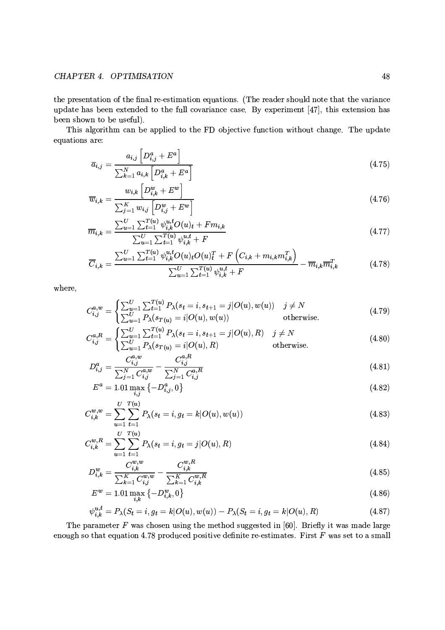## CHAPTER 4. OPTIMISATION

the presentation of the final re-estimation equations. (The reader should note that the variance update has been extended to the full covariance case. By experiment [47], this extension has been shown to be useful).

This algorithm can be applied to the FD objective function without change. The update equations are:

$$
\overline{a}_{i,j} = \frac{a_{i,j} \left[ D_{i,j}^a + E^a \right]}{\sum_{k=1}^N a_{i,k} \left[ D_{i,k}^a + E^a \right]}
$$
\n
$$
(4.75)
$$

$$
\overline{w}_{i,k} = \frac{w_{i,k} \left[ D_{i,k}^w + E^w \right]}{\sum_{j=1}^K w_{i,j} \left[ D_{i,j}^w + E^w \right]}
$$
\n(4.76)

$$
\overline{m}_{i,k} = \frac{\sum_{u=1}^{U} \sum_{t=1}^{T(u)} \psi_{i,k}^{u,t} O(u)_t + F m_{i,k}}{\sum_{u=1}^{U} \sum_{t=1}^{T(u)} \psi_{i,k}^{u,t} + F}
$$
\n(4.77)

$$
\overline{C}_{i,k} = \frac{\sum_{u=1}^{U} \sum_{t=1}^{T(u)} \psi_{i,k}^{u,t} O(u)_{t} O(u)_{t}^{T} + F\left(C_{i,k} + m_{i,k} m_{i,k}^{T}\right)}{\sum_{u=1}^{U} \sum_{t=1}^{T(u)} \psi_{i,k}^{u,t} + F} - \overline{m}_{i,k} \overline{m}_{i,k}^{T}
$$
\n(4.78)

where,

$$
C_{i,j}^{a,w} = \begin{cases} \sum_{u=1}^{U} \sum_{t=1}^{T(u)} P_{\lambda}(s_t = i, s_{t+1} = j | O(u), w(u)) & j \neq N \\ \sum_{u=1}^{U} P_{\lambda}(s_{T(u)} = i | O(u), w(u)) & \text{otherwise.} \end{cases}
$$
(4.79)

$$
C_{i,j}^{a,R} = \begin{cases} \sum_{u=1}^{U} \sum_{t=1}^{T(u)} P_{\lambda}(s_t = i, s_{t+1} = j | O(u), R) & j \neq N \\ \sum_{u=1}^{U} P_{\lambda}(s_{T(u)} = i | O(u), R) & \text{otherwise.} \end{cases}
$$
(4.80)

$$
\left(\angle_{u=1} F_{\lambda} (s_{T(u)} - i | \mathcal{O}(u), h) \right) \qquad \text{Other wise.}
$$
\n
$$
D^a := \frac{C_{i,j}^{a,w}}{1 - \sum_{i,j=1}^{a} C_{i,j}^{a,k}} \qquad (4.81)
$$

$$
D_{i,j}^{\alpha} = \frac{\sum_{j=1}^{N} C_{i,j}^{a,w}}{\sum_{j=1}^{N} C_{i,j}^{a,w}} - \frac{\sum_{j=1}^{N} C_{i,j}^{a,R}}{\sum_{j=1}^{N} C_{i,j}^{a,R}}
$$
(4.81)

$$
E^{\alpha} = 1.01 \max_{i,j} \{-D_{i,j}^{\alpha}, 0\}
$$
\n(4.82)

$$
C_{i,k}^{w,w} = \sum_{u=1}^{U} \sum_{t=1}^{T(u)} P_{\lambda}(s_t = i, g_t = k | O(u), w(u))
$$
\n(4.83)

$$
C_{i,k}^{w,R} = \sum_{u=1}^{U} \sum_{t=1}^{T(u)} P_{\lambda}(s_t = i, g_t = j | O(u), R)
$$
\n(4.84)

$$
D_{i,k}^w = \frac{C_{i,k}^{w,w}}{\sum_{k=1}^K C_{i,j}^{w,w}} - \frac{C_{i,k}^{w,n}}{\sum_{k=1}^K C_{i,k}^{w,R}}
$$
(4.85)

$$
E^w = 1.01 \max_{i,k} \left\{-D_{i,k}^w, 0\right\} \tag{4.86}
$$

$$
\psi_{i,k}^{u,t} = P_{\lambda}(S_t = i, g_t = k | O(u), w(u)) - P_{\lambda}(S_t = i, g_t = k | O(u), R)
$$
\n(4.87)

The parameter  $F$  was chosen using the method suggested in [60]. Briefly it was made large enough so that equation 4.78 produced positive definite re-estimates. First  $F$  was set to a small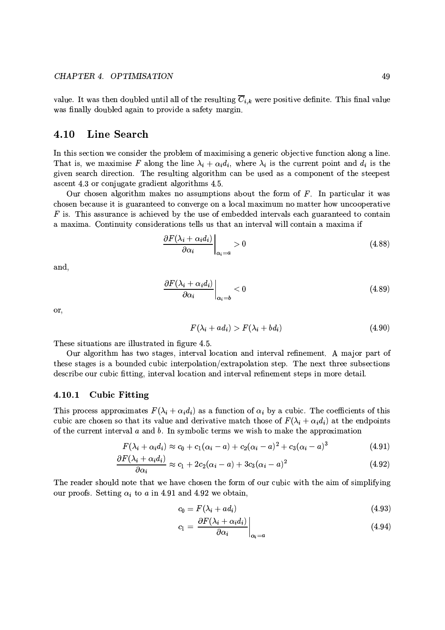value. It was then doubled until all of the resulting  $\overline{C}_{i,k}$  were positive definite. This final value was finally doubled again to provide a safety margin.

#### 4.10 **Line Search**

In this section we consider the problem of maximising a generic objective function along a line. That is, we maximise F along the line  $\lambda_i + \alpha_i d_i$ , where  $\lambda_i$  is the current point and  $d_i$  is the given search direction. The resulting algorithm can be used as a component of the steepest ascent 4.3 or conjugate gradient algorithms 4.5.

Our chosen algorithm makes no assumptions about the form of  $F$ . In particular it was chosen because it is guaranteed to converge on a local maximum no matter how uncooperative  $F$  is. This assurance is achieved by the use of embedded intervals each guaranteed to contain a maxima. Continuity considerations tells us that an interval will contain a maxima if

$$
\left. \frac{\partial F(\lambda_i + \alpha_i d_i)}{\partial \alpha_i} \right|_{\alpha_i = a} > 0 \tag{4.88}
$$

and,

$$
\left. \frac{\partial F(\lambda_i + \alpha_i d_i)}{\partial \alpha_i} \right|_{\alpha_i = b} < 0 \tag{4.89}
$$

or,

$$
F(\lambda_i + ad_i) > F(\lambda_i + bd_i)
$$
\n(4.90)

These situations are illustrated in figure 4.5.

Our algorithm has two stages, interval location and interval refinement. A major part of these stages is a bounded cubic interpolation/extrapolation step. The next three subsections describe our cubic fitting, interval location and interval refinement steps in more detail.

#### 4.10.1 **Cubic Fitting**

This process approximates  $F(\lambda_i + \alpha_i d_i)$  as a function of  $\alpha_i$  by a cubic. The coefficients of this cubic are chosen so that its value and derivative match those of  $F(\lambda_i + \alpha_i d_i)$  at the endpoints of the current interval  $a$  and  $b$ . In symbolic terms we wish to make the approximation

$$
F(\lambda_i + \alpha_i d_i) \approx c_0 + c_1(\alpha_i - a) + c_2(\alpha_i - a)^2 + c_3(\alpha_i - a)^3
$$
 (4.91)

$$
\frac{\partial F(\lambda_i + \alpha_i d_i)}{\partial \alpha_i} \approx c_1 + 2c_2(\alpha_i - a) + 3c_3(\alpha_i - a)^2 \tag{4.92}
$$

The reader should note that we have chosen the form of our cubic with the aim of simplifying our proofs. Setting  $\alpha_i$  to a in 4.91 and 4.92 we obtain,

$$
c_0 = F(\lambda_i + ad_i) \tag{4.93}
$$

$$
c_1 = \left. \frac{\partial F(\lambda_i + \alpha_i d_i)}{\partial \alpha_i} \right|_{\alpha_i = a} \tag{4.94}
$$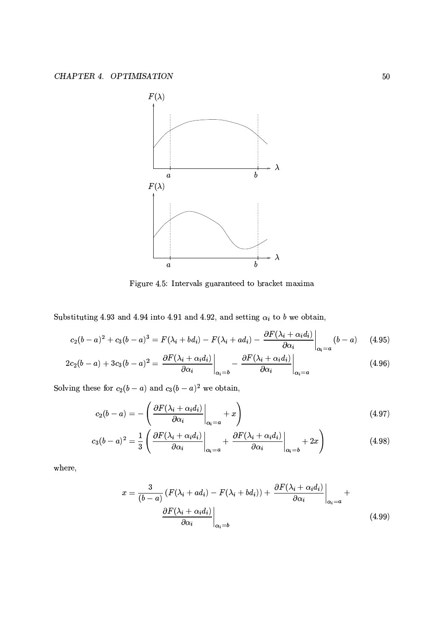

Figure 4.5: Intervals guaranteed to bracket maxima

Substituting 4.93 and 4.94 into 4.91 and 4.92, and setting  $\alpha_i$  to b we obtain,

$$
c_2(b-a)^2 + c_3(b-a)^3 = F(\lambda_i + bd_i) - F(\lambda_i + ad_i) - \frac{\partial F(\lambda_i + \alpha_i d_i)}{\partial \alpha_i}\bigg|_{\alpha_i = a} (b-a)
$$
 (4.95)

$$
2c_2(b-a) + 3c_3(b-a)^2 = \left. \frac{\partial F(\lambda_i + \alpha_i d_i)}{\partial \alpha_i} \right|_{\alpha_i = b} - \left. \frac{\partial F(\lambda_i + \alpha_i d_i)}{\partial \alpha_i} \right|_{\alpha_i = a} \tag{4.96}
$$

Solving these for  $c_2(b-a)$  and  $c_3(b-a)^2$  we obtain,

$$
c_2(b-a) = -\left(\frac{\partial F(\lambda_i + \alpha_i d_i)}{\partial \alpha_i}\bigg|_{\alpha_i = a} + x\right) \tag{4.97}
$$

$$
c_3(b-a)^2 = \frac{1}{3} \left( \left. \frac{\partial F(\lambda_i + \alpha_i d_i)}{\partial \alpha_i} \right|_{\alpha_i = a} + \left. \frac{\partial F(\lambda_i + \alpha_i d_i)}{\partial \alpha_i} \right|_{\alpha_i = b} + 2x \right) \tag{4.98}
$$

where,

$$
x = \frac{3}{(b-a)} \left( F(\lambda_i + ad_i) - F(\lambda_i + bd_i) \right) + \left. \frac{\partial F(\lambda_i + \alpha_i d_i)}{\partial \alpha_i} \right|_{\alpha_i = a} + \left. \frac{\partial F(\lambda_i + \alpha_i d_i)}{\partial \alpha_i} \right|_{\alpha_i = b} \tag{4.99}
$$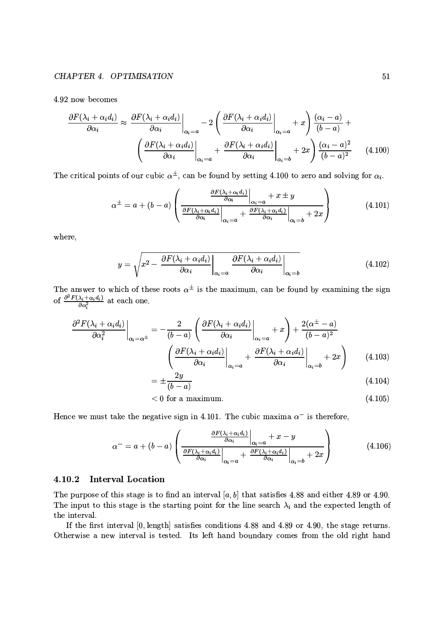4.92 now becomes

$$
\frac{\partial F(\lambda_i + \alpha_i d_i)}{\partial \alpha_i} \approx \frac{\partial F(\lambda_i + \alpha_i d_i)}{\partial \alpha_i} \bigg|_{\alpha_i = a} - 2 \left( \frac{\partial F(\lambda_i + \alpha_i d_i)}{\partial \alpha_i} \bigg|_{\alpha_i = a} + x \right) \frac{(\alpha_i - a)}{(b - a)} + \left( \frac{\partial F(\lambda_i + \alpha_i d_i)}{\partial \alpha_i} \bigg|_{\alpha_i = a} + \frac{\partial F(\lambda_i + \alpha_i d_i)}{\partial \alpha_i} \bigg|_{\alpha_i = b} + 2x \right) \frac{(\alpha_i - a)^2}{(b - a)^2} \tag{4.100}
$$

The critical points of our cubic  $\alpha^{\pm}$ , can be found by setting 4.100 to zero and solving for  $\alpha_i$ .

$$
\alpha^{\pm} = a + (b - a) \left( \frac{\frac{\partial F(\lambda_i + \alpha_i d_i)}{\partial \alpha_i}}{\frac{\partial F(\lambda_i + \alpha_i d_i)}{\partial \alpha_i}} \bigg|_{\alpha_i = a} + x \pm y \right) \tag{4.101}
$$

where,

$$
y = \sqrt{x^2 - \frac{\partial F(\lambda_i + \alpha_i d_i)}{\partial \alpha_i}} \bigg|_{\alpha_i = a} \frac{\partial F(\lambda_i + \alpha_i d_i)}{\partial \alpha_i} \bigg|_{\alpha_i = b}
$$
(4.102)

The answer to which of these roots  $\alpha^{\pm}$  is the maximum, can be found by examining the sign of  $\frac{\partial^2 F(\lambda_i + \alpha_i d_i)}{\partial \alpha_i^2}$  at each one.

$$
\frac{\partial^2 F(\lambda_i + \alpha_i d_i)}{\partial \alpha_i^2} \bigg|_{\alpha_i = \alpha^{\pm}} = -\frac{2}{(b-a)} \left( \frac{\partial F(\lambda_i + \alpha_i d_i)}{\partial \alpha_i} \bigg|_{\alpha_i = a} + x \right) + \frac{2(\alpha^{\pm} - a)}{(b-a)^2}
$$

$$
\left( \frac{\partial F(\lambda_i + \alpha_i d_i)}{\partial \alpha_i} \bigg|_{\alpha_i = a} + \frac{\partial F(\lambda_i + \alpha_i d_i)}{\partial \alpha_i} \bigg|_{\alpha_i = b} + 2x \right) \tag{4.103}
$$

$$
=\pm\frac{2g}{(b-a)}\tag{4.104}
$$

$$
< 0 \text{ for a maximum.} \tag{4.105}
$$

Hence we must take the negative sign in 4.101. The cubic maxima  $\alpha^-$  is therefore,

$$
\alpha^{-} = a + (b - a) \left( \frac{\frac{\partial F(\lambda_i + \alpha_i d_i)}{\partial \alpha_i}}{\frac{\partial F(\lambda_i + \alpha_i d_i)}{\partial \alpha_i}} \Big|_{\alpha_i = a} + \frac{\partial F(\lambda_i + \alpha_i d_i)}{\partial \alpha_i} \Big|_{\alpha_i = b} + 2x \right) \tag{4.106}
$$

## 4.10.2 Interval Location

The purpose of this stage is to find an interval [a, b] that satisfies 4.88 and either 4.89 or 4.90. The input to this stage is the starting point for the line search  $\lambda_i$  and the expected length of the interval.

If the first interval [0, length] satisfies conditions 4.88 and 4.89 or 4.90, the stage returns. Otherwise a new interval is tested. Its left hand boundary comes from the old right hand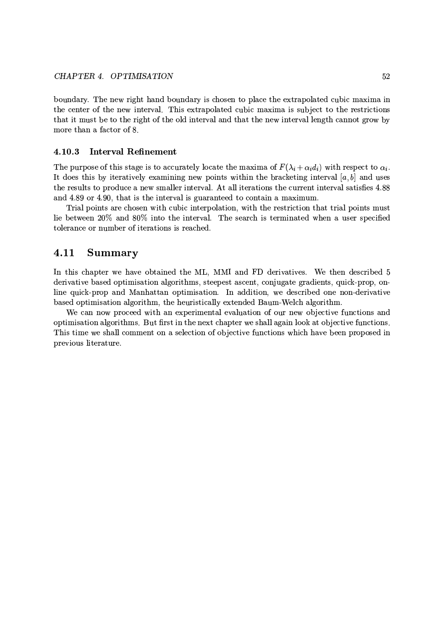boundary. The new right hand boundary is chosen to place the extrapolated cubic maxima in the center of the new interval. This extrapolated cubic maxima is subject to the restrictions that it must be to the right of the old interval and that the new interval length cannot grow by more than a factor of 8.

#### 4.10.3 **Interval Refinement**

The purpose of this stage is to accurately locate the maxima of  $F(\lambda_i + \alpha_i d_i)$  with respect to  $\alpha_i$ . It does this by iteratively examining new points within the bracketing interval [a, b] and uses the results to produce a new smaller interval. At all iterations the current interval satisfies 4.88 and 4.89 or 4.90, that is the interval is guaranteed to contain a maximum.

Trial points are chosen with cubic interpolation, with the restriction that trial points must lie between 20% and 80% into the interval. The search is terminated when a user specified tolerance or number of iterations is reached.

#### 4.11 **Summary**

In this chapter we have obtained the ML, MMI and FD derivatives. We then described 5 derivative based optimisation algorithms, steepest ascent, conjugate gradients, quick-prop, online quick-prop and Manhattan optimisation. In addition, we described one non-derivative based optimisation algorithm, the heuristically extended Baum-Welch algorithm.

We can now proceed with an experimental evaluation of our new objective functions and optimisation algorithms. But first in the next chapter we shall again look at objective functions. This time we shall comment on a selection of objective functions which have been proposed in previous literature.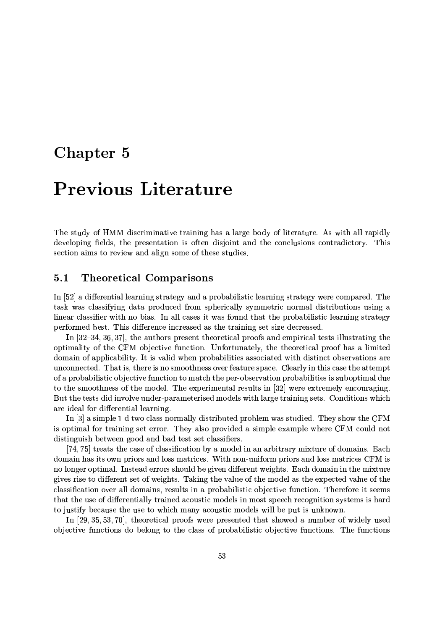## Chapter 5

# **Previous Literature**

The study of HMM discriminative training has a large body of literature. As with all rapidly developing fields, the presentation is often disjoint and the conclusions contradictory. This section aims to review and align some of these studies.

#### $5.1$ **Theoretical Comparisons**

In [52] a differential learning strategy and a probabilistic learning strategy were compared. The task was classifying data produced from spherically symmetric normal distributions using a linear classifier with no bias. In all cases it was found that the probabilistic learning strategy performed best. This difference increased as the training set size decreased.

In  $[32-34, 36, 37]$ , the authors present theoretical proofs and empirical tests illustrating the optimality of the CFM objective function. Unfortunately, the theoretical proof has a limited domain of applicability. It is valid when probabilities associated with distinct observations are unconnected. That is, there is no smoothness over feature space. Clearly in this case the attempt of a probabilistic objective function to match the per-observation probabilities is suboptimal due to the smoothness of the model. The experimental results in [32] were extremely encouraging. But the tests did involve under-parameterised models with large training sets. Conditions which are ideal for differential learning.

In  $[3]$  a simple 1-d two class normally distributed problem was studied. They show the CFM is optimal for training set error. They also provided a simple example where CFM could not distinguish between good and bad test set classifiers.

[74, 75] treats the case of classification by a model in an arbitrary mixture of domains. Each domain has its own priors and loss matrices. With non-uniform priors and loss matrices CFM is no longer optimal. Instead errors should be given different weights. Each domain in the mixture gives rise to different set of weights. Taking the value of the model as the expected value of the classification over all domains, results in a probabilistic objective function. Therefore it seems that the use of differentially trained acoustic models in most speech recognition systems is hard to justify because the use to which many acoustic models will be put is unknown.

In [29, 35, 53, 70], theoretical proofs were presented that showed a number of widely used objective functions do belong to the class of probabilistic objective functions. The functions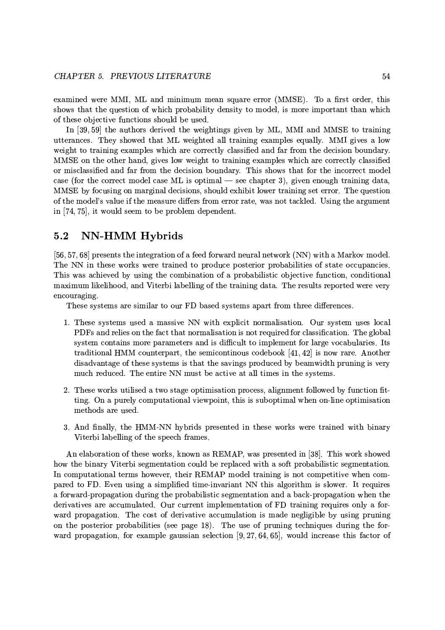examined were MMI, ML and minimum mean square error (MMSE). To a first order, this shows that the question of which probability density to model, is more important than which of these objective functions should be used.

In [39, 59] the authors derived the weightings given by ML, MMI and MMSE to training utterances. They showed that ML weighted all training examples equally. MMI gives a low weight to training examples which are correctly classified and far from the decision boundary. MMSE on the other hand, gives low weight to training examples which are correctly classified or misclassified and far from the decision boundary. This shows that for the incorrect model case (for the correct model case ML is optimal  $-$  see chapter 3), given enough training data, MMSE by focusing on marginal decisions, should exhibit lower training set error. The question of the model's value if the measure differs from error rate, was not tackled. Using the argument in [74, 75], it would seem to be problem dependent.

#### $5.2$ **NN-HMM Hybrids**

[56, 57, 68] presents the integration of a feed forward neural network (NN) with a Markov model. The NN in these works were trained to produce posterior probabilities of state occupancies. This was achieved by using the combination of a probabilistic objective function, conditional maximum likelihood, and Viterbi labelling of the training data. The results reported were very encouraging.

These systems are similar to our FD based systems apart from three differences.

- 1. These systems used a massive NN with explicit normalisation. Our system uses local PDFs and relies on the fact that normalisation is not required for classification. The global system contains more parameters and is difficult to implement for large vocabularies. Its traditional HMM counterpart, the semicontinous codebook  $[41, 42]$  is now rare. Another disadvantage of these systems is that the savings produced by beamwidth pruning is very much reduced. The entire NN must be active at all times in the systems.
- 2. These works utilised a two stage optimisation process, alignment followed by function fitting. On a purely computational viewpoint, this is suboptimal when on-line optimisation methods are used.
- 3. And finally, the HMM-NN hybrids presented in these works were trained with binary Viterbi labelling of the speech frames.

An elaboration of these works, known as REMAP, was presented in [38]. This work showed how the binary Viterbi segmentation could be replaced with a soft probabilistic segmentation. In computational terms however, their REMAP model training is not competitive when compared to FD. Even using a simplified time-invariant NN this algorithm is slower. It requires a forward-propagation during the probabilistic segmentation and a back-propagation when the derivatives are accumulated. Our current implementation of FD training requires only a forward propagation. The cost of derivative accumulation is made negligible by using pruning on the posterior probabilities (see page 18). The use of pruning techniques during the forward propagation, for example gaussian selection  $[9, 27, 64, 65]$ , would increase this factor of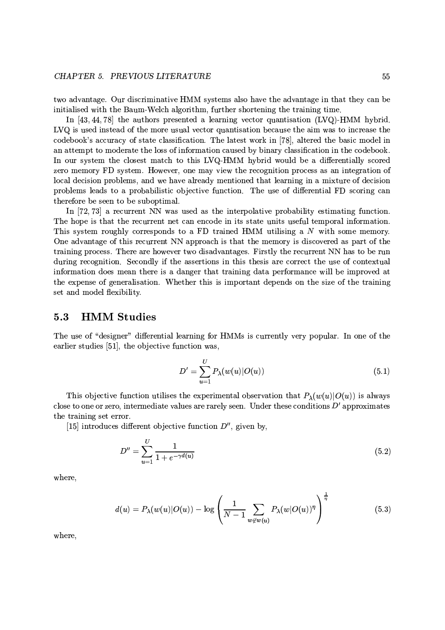two advantage. Our discriminative HMM systems also have the advantage in that they can be initialised with the Baum-Welch algorithm, further shortening the training time.

In  $[43, 44, 78]$  the authors presented a learning vector quantisation (LVQ)-HMM hybrid. LVQ is used instead of the more usual vector quantisation because the aim was to increase the codebook's accuracy of state classification. The latest work in [78], altered the basic model in an attempt to moderate the loss of information caused by binary classification in the codebook. In our system the closest match to this LVQ-HMM hybrid would be a differentially scored zero memory FD system. However, one may view the recognition process as an integration of local decision problems, and we have already mentioned that learning in a mixture of decision problems leads to a probabilistic objective function. The use of differential FD scoring can therefore be seen to be suboptimal.

In  $[72, 73]$  a recurrent NN was used as the interpolative probability estimating function. The hope is that the recurrent net can encode in its state units useful temporal information. This system roughly corresponds to a FD trained HMM utilising a N with some memory. One advantage of this recurrent NN approach is that the memory is discovered as part of the training process. There are however two disadvantages. Firstly the recurrent NN has to be run during recognition. Secondly if the assertions in this thesis are correct the use of contextual information does mean there is a danger that training data performance will be improved at the expense of generalisation. Whether this is important depends on the size of the training set and model flexibility.

#### $5.3$ **HMM Studies**

The use of "designer" differential learning for HMMs is currently very popular. In one of the earlier studies [51], the objective function was,

$$
D' = \sum_{u=1}^{U} P_{\lambda}(w(u)|O(u))
$$
\n(5.1)

This objective function utilises the experimental observation that  $P_{\lambda}(w(u)|O(u))$  is always close to one or zero, intermediate values are rarely seen. Under these conditions  $D'$  approximates the training set error.

[15] introduces different objective function  $D''$ , given by,

$$
D'' = \sum_{u=1}^{U} \frac{1}{1 + e^{-\gamma d(u)}}\tag{5.2}
$$

where,

$$
d(u) = P_{\lambda}(w(u)|O(u)) - \log\left(\frac{1}{N-1}\sum_{w \notin w(u)} P_{\lambda}(w|O(u))^{\eta}\right)^{\frac{1}{\eta}}
$$
(5.3)

where,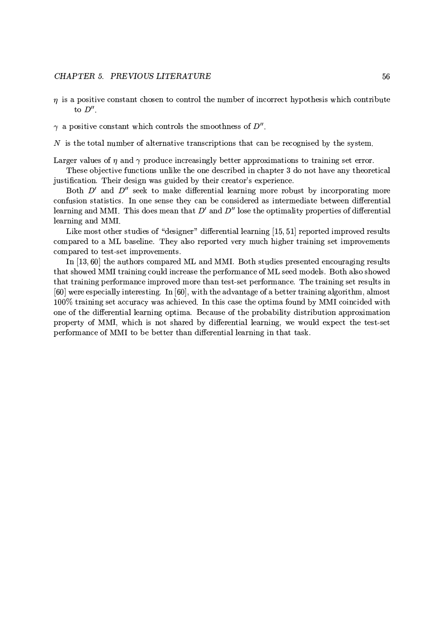### CHAPTER 5. PREVIOUS LITERATURE

- $\eta$  is a positive constant chosen to control the number of incorrect hypothesis which contribute to  $D''$ .
- $\gamma$  a positive constant which controls the smoothness of  $D''$ .

 $N$  is the total number of alternative transcriptions that can be recognised by the system.

Larger values of  $\eta$  and  $\gamma$  produce increasingly better approximations to training set error.

These objective functions unlike the one described in chapter 3 do not have any theoretical justification. Their design was guided by their creator's experience.

Both  $D'$  and  $D''$  seek to make differential learning more robust by incorporating more confusion statistics. In one sense they can be considered as intermediate between differential learning and MMI. This does mean that  $D'$  and  $D''$  lose the optimality properties of differential learning and MMI.

Like most other studies of "designer" differential learning [15, 51] reported improved results compared to a ML baseline. They also reported very much higher training set improvements compared to test-set improvements.

In [13,60] the authors compared ML and MMI. Both studies presented encouraging results that showed MMI training could increase the performance of ML seed models. Both also showed that training performance improved more than test-set performance. The training set results in [60] were especially interesting. In [60], with the advantage of a better training algorithm, almost 100% training set accuracy was achieved. In this case the optima found by MMI coincided with one of the differential learning optima. Because of the probability distribution approximation property of MMI, which is not shared by differential learning, we would expect the test-set performance of MMI to be better than differential learning in that task.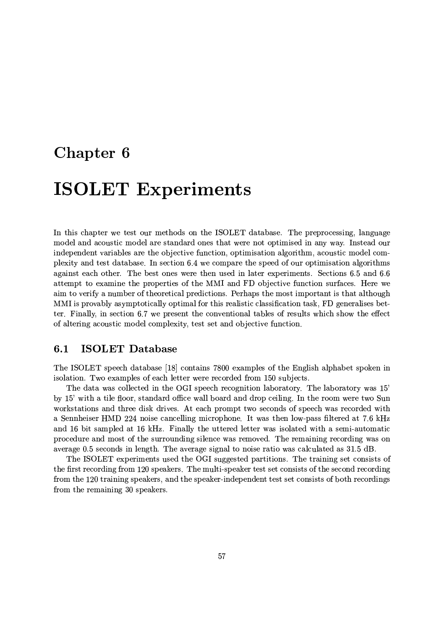## Chapter 6

# **ISOLET Experiments**

In this chapter we test our methods on the ISOLET database. The preprocessing, language model and acoustic model are standard ones that were not optimised in any way. Instead our independent variables are the objective function, optimisation algorithm, acoustic model complexity and test database. In section 6.4 we compare the speed of our optimisation algorithms against each other. The best ones were then used in later experiments. Sections 6.5 and 6.6 attempt to examine the properties of the MMI and FD objective function surfaces. Here we aim to verify a number of theoretical predictions. Perhaps the most important is that although MMI is provably asymptotically optimal for this realistic classification task, FD generalises better. Finally, in section 6.7 we present the conventional tables of results which show the effect of altering acoustic model complexity, test set and objective function.

#### **ISOLET Database**  $6.1$

The ISOLET speech database [18] contains 7800 examples of the English alphabet spoken in isolation. Two examples of each letter were recorded from 150 subjects.

The data was collected in the OGI speech recognition laboratory. The laboratory was 15' by 15' with a tile floor, standard office wall board and drop ceiling. In the room were two Sun workstations and three disk drives. At each prompt two seconds of speech was recorded with a Sennheiser HMD 224 noise cancelling microphone. It was then low-pass filtered at 7.6 kHz and 16 bit sampled at 16 kHz. Finally the uttered letter was isolated with a semi-automatic procedure and most of the surrounding silence was removed. The remaining recording was on average 0.5 seconds in length. The average signal to noise ratio was calculated as 31.5 dB.

The ISOLET experiments used the OGI suggested partitions. The training set consists of the first recording from 120 speakers. The multi-speaker test set consists of the second recording from the 120 training speakers, and the speaker-independent test set consists of both recordings from the remaining 30 speakers.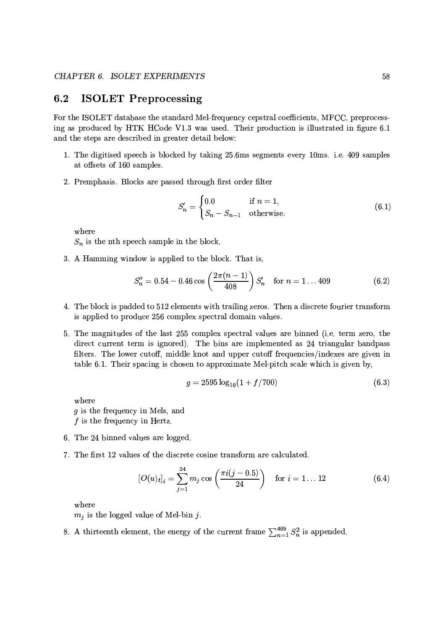#### $6.2$ **ISOLET Preprocessing**

For the ISOLET database the standard Mel-frequency cepstral coefficients, MFCC, preprocessing as produced by HTK HCode V1.3 was used. Their production is illustrated in figure 6.1 and the steps are described in greater detail below:

- 1. The digitised speech is blocked by taking 25.6ms segments every 10ms. i.e. 409 samples at offsets of 160 samples.
- 2. Premphasis. Blocks are passed through first order filter

$$
S'_n = \begin{cases} 0.0 & \text{if } n = 1, \\ S_n - S_{n-1} & \text{otherwise.} \end{cases} \tag{6.1}
$$

where

 $S_n$  is the nth speech sample in the block.

3. A Hamming window is applied to the block. That is,

$$
S_n'' = 0.54 - 0.46 \cos \left( \frac{2\pi (n-1)}{408} \right) S_n' \quad \text{for } n = 1 ... 409 \tag{6.2}
$$

- 4. The block is padded to 512 elements with trailing zeros. Then a discrete fourier transform is applied to produce 256 complex spectral domain values.
- 5. The magnitudes of the last 255 complex spectral values are binned (i.e. term zero, the direct current term is ignored). The bins are implemented as 24 triangular bandpass filters. The lower cutoff, middle knot and upper cutoff frequencies/indexes are given in table 6.1. Their spacing is chosen to approximate Mel-pitch scale which is given by,

$$
g = 2595 \log_{10}(1 + f/700) \tag{6.3}
$$

where  $q$  is the frequency in Mels, and  $f$  is the frequency in Hertz.

- 6. The 24 binned values are logged.
- 7. The first 12 values of the discrete cosine transform are calculated.

$$
[O(u)_t]_i = \sum_{j=1}^{24} m_j \cos\left(\frac{\pi i (j-0.5)}{24}\right) \quad \text{for } i = 1 \dots 12 \tag{6.4}
$$

where

 $m_j$  is the logged value of Mel-bin j.

8. A thirteenth element, the energy of the current frame  $\sum_{n=1}^{409} S_n^2$  is appended.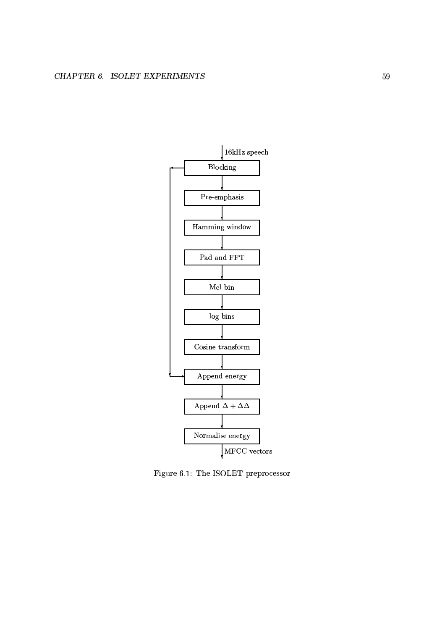

Figure 6.1: The ISOLET preprocessor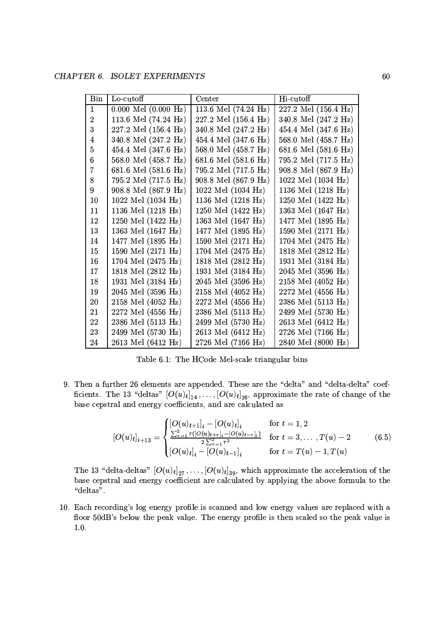| Bin            | Lo-cutoff                      | Center                       | Hi-cutoff            |  |
|----------------|--------------------------------|------------------------------|----------------------|--|
| $\mathbf{1}$   | $0.000$ Mel $(0.000$ Hz)       | 113.6 Mel (74.24 Hz)         | 227.2 Mel (156.4 Hz) |  |
| $\overline{2}$ | 113.6 Mel $(74.24 \text{ Hz})$ | 227.2 Mel (156.4 Hz)         | 340.8 Mel (247.2 Hz) |  |
| 3              | 227.2 Mel (156.4 Hz)           | 340.8 Mel (247.2 Hz)         | 454.4 Mel (347.6 Hz) |  |
| 4              | 340.8 Mel (247.2 Hz)           | 454.4 Mel (347.6 Hz)         | 568.0 Mel (458.7 Hz) |  |
| $\overline{5}$ | 454.4 Mel (347.6 Hz)           | 568.0 Mel (458.7 Hz)         | 681.6 Mel (581.6 Hz) |  |
| 6              | 568.0 Mel (458.7 Hz)           | 681.6 Mel (581.6 Hz)         | 795.2 Mel (717.5 Hz) |  |
| 7              | 681.6 Mel (581.6 Hz)           | 795.2 Mel (717.5 Hz)         | 908.8 Mel (867.9 Hz) |  |
| 8              | 795.2 Mel (717.5 Hz)           | 908.8 Mel (867.9 Hz)         | 1022 Mel (1034 Hz)   |  |
| 9              | 908.8 Mel (867.9 Hz)           | 1022 Mel $(1034 \text{ Hz})$ | 1136 Mel (1218 Hz)   |  |
| 10             | 1022 Mel (1034 Hz)             | 1136 Mel (1218 Hz)           | 1250 Mel (1422 Hz)   |  |
| 11             | 1136 Mel (1218 Hz)             | 1250 Mel (1422 Hz)           | 1363 Mel (1647 Hz)   |  |
| 12             | 1250 Mel (1422 Hz)             | 1363 Mel (1647 Hz)           | 1477 Mel (1895 Hz)   |  |
| 13             | 1363 Mel (1647 Hz)             | 1477 Mel (1895 Hz)           | 1590 Mel (2171 Hz)   |  |
| 14             | 1477 Mel (1895 Hz)             | 1590 Mel (2171 Hz)           | 1704 Mel (2475 Hz)   |  |
| 15             | 1590 Mel (2171 Hz)             | 1704 Mel (2475 Hz)           | 1818 Mel (2812 Hz)   |  |
| 16             | 1704 Mel (2475 Hz)             | 1818 Mel (2812 Hz)           | 1931 Mel (3184 Hz)   |  |
| 17             | 1818 Mel (2812 Hz)             | 1931 Mel (3184 Hz)           | 2045 Mel (3596 Hz)   |  |
| 18             | 1931 Mel (3184 Hz)             | 2045 Mel (3596 Hz)           | 2158 Mel (4052 Hz)   |  |
| 19             | 2045 Mel (3596 Hz)             | 2158 Mel (4052 Hz)           | 2272 Mel (4556 Hz)   |  |
| 20             | 2158 Mel (4052 Hz)             | 2272 Mel (4556 Hz)           | 2386 Mel (5113 Hz)   |  |
| 21             | 2272 Mel (4556 Hz)             | 2386 Mel (5113 Hz)           | 2499 Mel (5730 Hz)   |  |
| 22             | 2386 Mel (5113 Hz)             | 2499 Mel (5730 Hz)           | 2613 Mel (6412 Hz)   |  |
| 23             | 2499 Mel (5730 Hz)             | 2613 Mel (6412 Hz)           | 2726 Mel (7166 Hz)   |  |
| 24             | 2613 Mel (6412 Hz)             | 2726 Mel (7166 Hz)           | 2840 Mel (8000 Hz)   |  |

Table 6.1: The HCode Mel-scale triangular bins

 $\alpha$  and  $\alpha$  is the state of the state of the state of the state of the state of the state of the state of the state of the state of the state of the state of the state of the state of the state of the state of the state ficients. The 13 "deltas"  $[O(u)_t]$ , ..... $[O(u)_t]$ <sub>es</sub>, approximate the rate of change of the <sup>0</sup> .#") +2%"## 95 " (( + 
& #2 #) # #" #

$$
[O(u)_t]_{i+13} = \begin{cases} [O(u)_{t+1}]_i - [O(u)_t]_i & \text{for } t = 1, 2\\ \frac{\sum_{\tau=1}^2 \tau([O(u)_{t+\tau}]_i - [O(u)_{t-\tau}]_i)}{2\sum_{\tau=1}^2 \tau^2} & \text{for } t = 3, \dots, T(u) - 2\\ [O(u)_t]_i - [O(u)_{t-1}]_i & \text{for } t = T(u) - 1, T(u) \end{cases}
$$
(6.5)

base cepstral and energy coefficient are calculated by applying the above formula to the The 13 "delta-deltas"  $[O(u)_t]_{27}, \ldots, [O(u)_t]_{39}$ , which approximate the acceleration of the  $(1 - 1 + 1)$ 

 <sup>P</sup> # \$ " 2 %39 `9 9@
0KB 4
 # #X 9@l# #+K%# # floor 50dB's below the peak value. The energy profile is then scaled so the peak value is  $\mathbf{P}$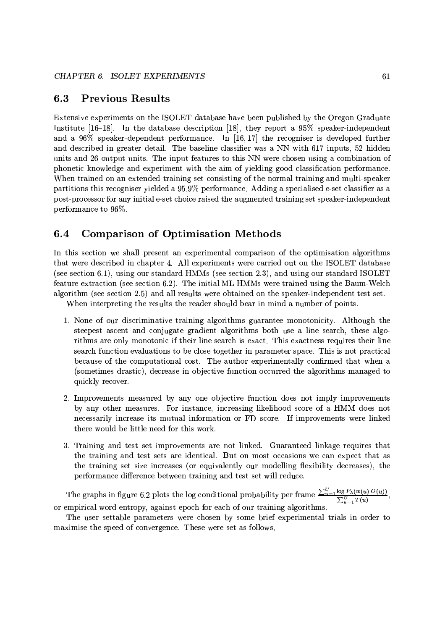#### $6.3$ **Previous Results**

Extensive experiments on the ISOLET database have been published by the Oregon Graduate Institute  $[16-18]$ . In the database description [18], they report a 95% speaker-independent and a  $96\%$  speaker-dependent performance. In [16,17] the recogniser is developed further and described in greater detail. The baseline classifier was a NN with 617 inputs, 52 hidden units and 26 output units. The input features to this NN were chosen using a combination of phonetic knowledge and experiment with the aim of yielding good classification performance. When trained on an extended training set consisting of the normal training and multi-speaker partitions this recogniser yielded a 95.9% performance. Adding a specialised e-set classifier as a post-processor for any initial e-set choice raised the augmented training set speaker-independent performance to 96%.

#### 6.4 **Comparison of Optimisation Methods**

In this section we shall present an experimental comparison of the optimisation algorithms that were described in chapter 4. All experiments were carried out on the ISOLET database (see section 6.1), using our standard HMMs (see section 2.3), and using our standard ISOLET feature extraction (see section 6.2). The initial ML HMMs were trained using the Baum-Welch algorithm (see section 2.5) and all results were obtained on the speaker-independent test set.

When interpreting the results the reader should bear in mind a number of points.

- 1. None of our discriminative training algorithms guarantee monotonicity. Although the steepest ascent and conjugate gradient algorithms both use a line search, these algorithms are only monotonic if their line search is exact. This exactness requires their line search function evaluations to be close together in parameter space. This is not practical because of the computational cost. The author experimentally confirmed that when a (sometimes drastic), decrease in objective function occurred the algorithms managed to quickly recover.
- 2. Improvements measured by any one objective function does not imply improvements by any other measures. For instance, increasing likelihood score of a HMM does not necessarily increase its mutual information or FD score. If improvements were linked there would be little need for this work.
- 3. Training and test set improvements are not linked. Guaranteed linkage requires that the training and test sets are identical. But on most occasions we can expect that as the training set size increases (or equivalently our modelling flexibility decreases), the performance difference between training and test set will reduce.

The graphs in figure 6.2 plots the log conditional probability per frame  $\frac{\sum_{u=1}^{U} \log P_{\lambda}(w(u)|O(u))}{\sum_{u=1}^{U} T(u)}$ or empirical word entropy, against epoch for each of our training algorithms.

The user settable parameters were chosen by some brief experimental trials in order to maximise the speed of convergence. These were set as follows,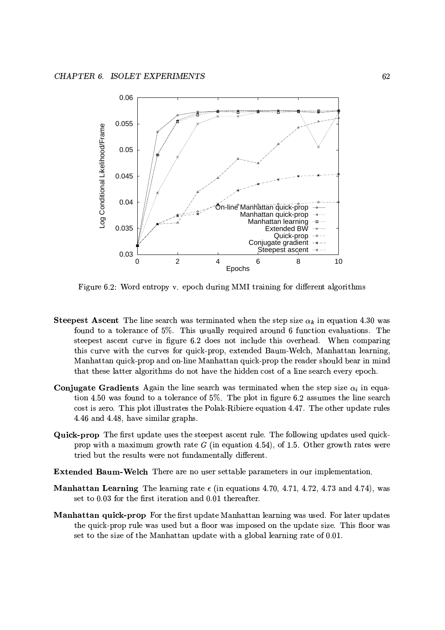

Figure 6.2: Word entropy v. epoch during MMI training for different algorithms

- **Steepest Ascent** The line search was terminated when the step size  $\alpha_k$  in equation 4.30 was found to a tolerance of 5%. This usually required around 6 function evaluations. The steepest ascent curve in figure 6.2 does not include this overhead. When comparing this curve with the curves for quick-prop, extended Baum-Welch, Manhattan learning, Manhattan quick-prop and on-line Manhattan quick-prop the reader should bear in mind that these latter algorithms do not have the hidden cost of a line search every epoch.
- **Conjugate Gradients** Again the line search was terminated when the step size  $\alpha_i$  in equation 4.50 was found to a tolerance of 5%. The plot in figure 6.2 assumes the line search cost is zero. This plot illustrates the Polak-Ribiere equation 4.47. The other update rules 4.46 and 4.48, have similar graphs.
- Quick-prop The first update uses the steepest ascent rule. The following updates used quickprop with a maximum growth rate  $G$  (in equation 4.54), of 1.5. Other growth rates were tried but the results were not fundamentally different.
- **Extended Baum-Welch** There are no user settable parameters in our implementation.
- **Manhattan Learning** The learning rate  $\epsilon$  (in equations 4.70, 4.71, 4.72, 4.73 and 4.74), was set to 0.03 for the first iteration and 0.01 thereafter.
- Manhattan quick-prop For the first update Manhattan learning was used. For later updates the quick-prop rule was used but a floor was imposed on the update size. This floor was set to the size of the Manhattan update with a global learning rate of 0.01.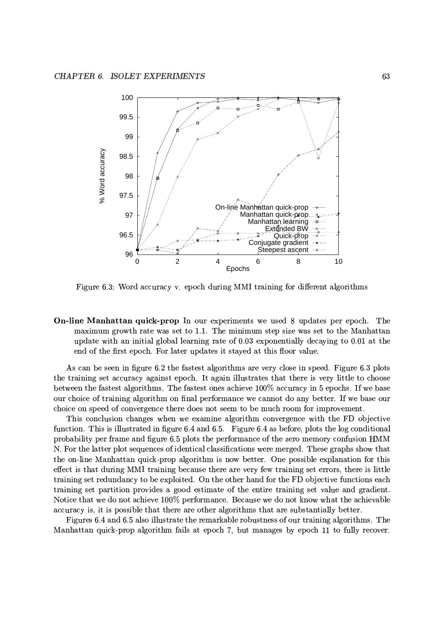

Figure 6.3: Word accuracy v. epoch during MMI training for different algorithms

**On-line Manhattan quick-prop** In our experiments we used 8 updates per epoch. The maximum growth rate was set to 1.1. The minimum step size was set to the Manhattan update with an initial global learning rate of 0.03 exponentially decaying to 0.01 at the end of the first epoch. For later updates it stayed at this floor value.

As can be seen in figure 6.2 the fastest algorithms are very close in speed. Figure 6.3 plots the training set accuracy against epoch. It again illustrates that there is very little to choose between the fastest algorithms. The fastest ones achieve 100% accuracy in 5 epochs. If we base our choice of training algorithm on final performance we cannot do any better. If we base our choice on speed of convergence there does not seem to be much room for improvement.

This conclusion changes when we examine algorithm convergence with the FD objective function. This is illustrated in figure 6.4 and 6.5. Figure 6.4 as before, plots the log conditional probability per frame and figure 6.5 plots the performance of the zero memory confusion HMM N. For the latter plot sequences of identical classifications were merged. These graphs show that the on-line Manhattan quick-prop algorithm is now better. One possible explanation for this effect is that during MMI training because there are very few training set errors, there is little training set redundancy to be exploited. On the other hand for the FD objective functions each training set partition provides a good estimate of the entire training set value and gradient. Notice that we do not achieve 100% performance. Because we do not know what the achievable accuracy is, it is possible that there are other algorithms that are substantially better.

Figures 6.4 and 6.5 also illustrate the remarkable robustness of our training algorithms. The Manhattan quick-prop algorithm fails at epoch 7, but manages by epoch 11 to fully recover.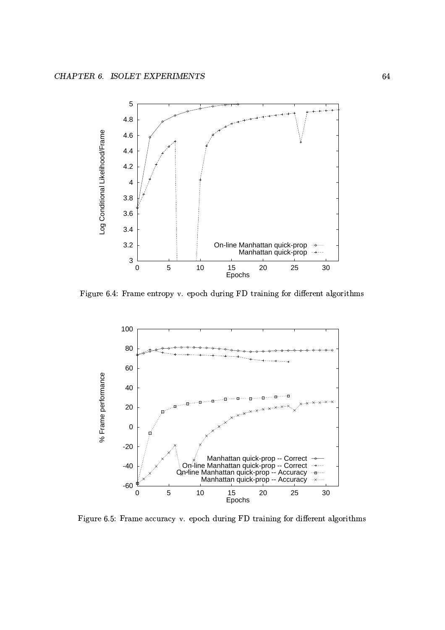

Figure 6.4: Frame entropy y, epoch during FD training for different algorithms



Figure 6.5: Frame accuracy v. epoch during FD training for different algorithm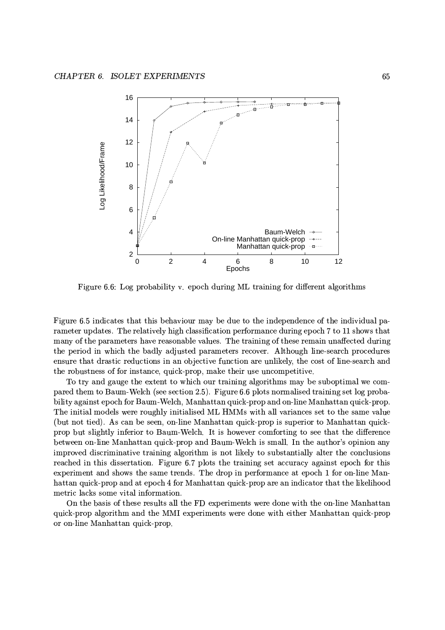

Figure 6.6: Log probability v. epoch during ML training for different algorithms

Figure 6.5 indicates that this behaviour may be due to the independence of the individual parameter updates. The relatively high classification performance during epoch 7 to 11 shows that many of the parameters have reasonable values. The training of these remain unaffected during the period in which the badly adjusted parameters recover. Although line-search procedures ensure that drastic reductions in an objective function are unlikely, the cost of line-search and the robustness of for instance, quick-prop, make their use uncompetitive.

To try and gauge the extent to which our training algorithms may be suboptimal we compared them to Baum-Welch (see section 2.5). Figure 6.6 plots normalised training set log probability against epoch for Baum-Welch, Manhattan quick-prop and on-line Manhattan quick-prop. The initial models were roughly initialised ML HMMs with all variances set to the same value (but not tied). As can be seen, on-line Manhattan quick-prop is superior to Manhattan quickprop but slightly inferior to Baum-Welch. It is however comforting to see that the difference between on-line Manhattan quick-prop and Baum-Welch is small. In the author's opinion any improved discriminative training algorithm is not likely to substantially alter the conclusions reached in this dissertation. Figure 6.7 plots the training set accuracy against epoch for this experiment and shows the same trends. The drop in performance at epoch 1 for on-line Manhattan quick-prop and at epoch 4 for Manhattan quick-prop are an indicator that the likelihood metric lacks some vital information.

On the basis of these results all the FD experiments were done with the on-line Manhattan quick-prop algorithm and the MMI experiments were done with either Manhattan quick-prop or on-line Manhattan quick-prop.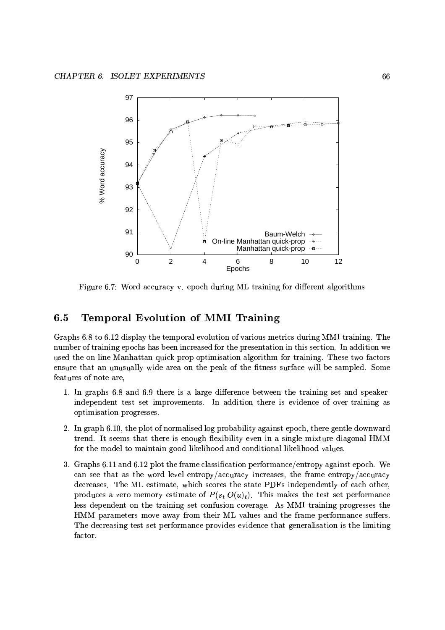

Figure 6.7: Word accuracy v. epoch during ML training for different algorithms

### $6.5$ **Temporal Evolution of MMI Training**

Graphs 6.8 to 6.12 display the temporal evolution of various metrics during MMI training. The number of training epochs has been increased for the presentation in this section. In addition we used the on-line Manhattan quick-prop optimisation algorithm for training. These two factors ensure that an unusually wide area on the peak of the fitness surface will be sampled. Some features of note are.

- 1. In graphs 6.8 and 6.9 there is a large difference between the training set and speakerindependent test set improvements. In addition there is evidence of over-training as optimisation progresses.
- 2. In graph 6.10, the plot of normalised log probability against epoch, there gentle downward trend. It seems that there is enough flexibility even in a single mixture diagonal HMM for the model to maintain good likelihood and conditional likelihood values.
- 3. Graphs 6.11 and 6.12 plot the frame classification performance/entropy against epoch. We can see that as the word level entropy/accuracy increases, the frame entropy/accuracy decreases. The ML estimate, which scores the state PDFs independently of each other, produces a zero memory estimate of  $P(s_t|O(u)_t)$ . This makes the test set performance less dependent on the training set confusion coverage. As MMI training progresses the HMM parameters move away from their ML values and the frame performance suffers. The decreasing test set performance provides evidence that generalisation is the limiting factor.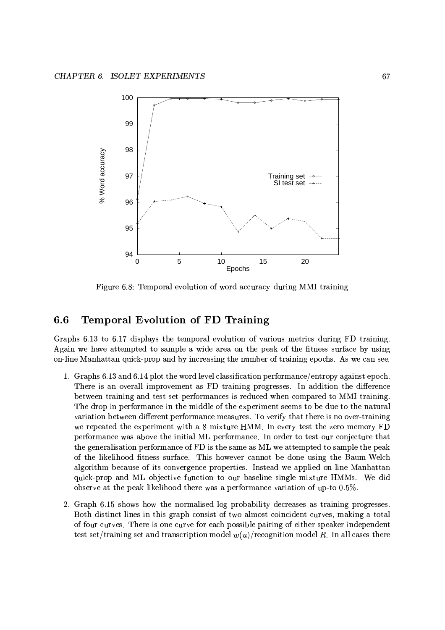

Figure 6.8: Temporal evolution of word accuracy during MMI training

### 6.6 **Temporal Evolution of FD Training**

Graphs 6.13 to 6.17 displays the temporal evolution of various metrics during FD training. Again we have attempted to sample a wide area on the peak of the fitness surface by using on-line Manhattan quick-prop and by increasing the number of training epochs. As we can see,

- 1. Graphs 6.13 and 6.14 plot the word level classification performance/entropy against epoch. There is an overall improvement as FD training progresses. In addition the difference between training and test set performances is reduced when compared to MMI training. The drop in performance in the middle of the experiment seems to be due to the natural variation between different performance measures. To verify that there is no over-training we repeated the experiment with a 8 mixture HMM. In every test the zero memory FD performance was above the initial ML performance. In order to test our conjecture that the generalisation performance of FD is the same as ML we attempted to sample the peak of the likelihood fitness surface. This however cannot be done using the Baum-Welch algorithm because of its convergence properties. Instead we applied on-line Manhattan quick-prop and ML objective function to our baseline single mixture HMMs. We did observe at the peak likelihood there was a performance variation of up-to 0.5%.
- 2. Graph 6.15 shows how the normalised log probability decreases as training progresses. Both distinct lines in this graph consist of two almost coincident curves, making a total of four curves. There is one curve for each possible pairing of either speaker independent test set/training set and transcription model  $w(u)$ /recognition model R. In all cases there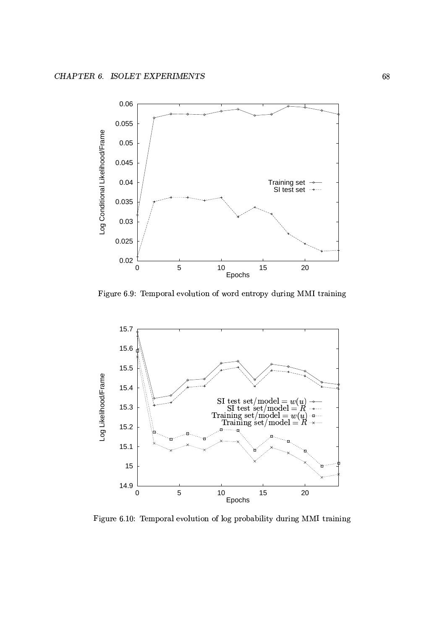

Figure 6.9: Temporal evolution of word entropy during MMI training



Figure 6.10: Temporal evolution of log probability during MMI trainin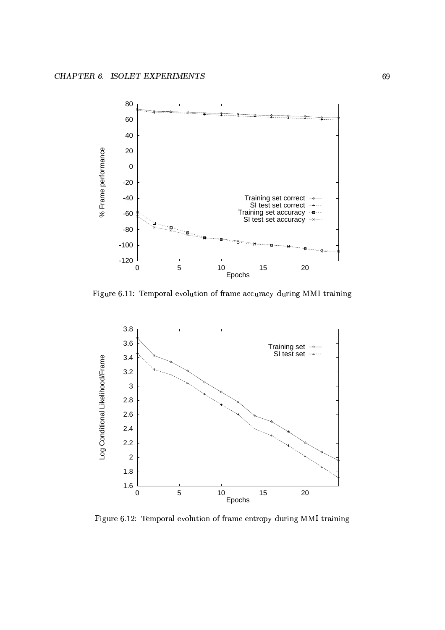

Figure 6.11: Temporal evolution of frame accuracy during MMI training



Figure 6.12: Temporal evolution of frame entropy during MMI trainin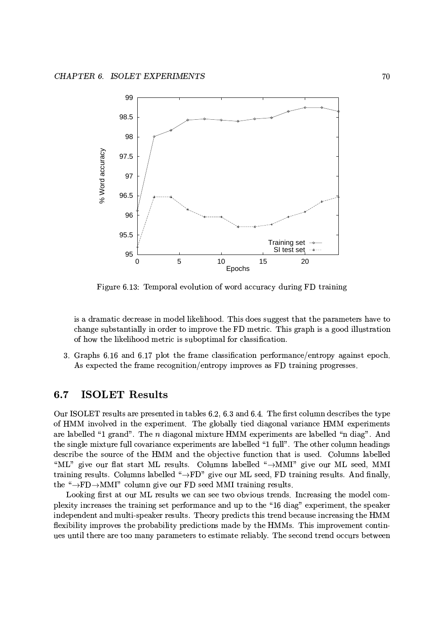

Figure 6.13: Temporal evolution of word accuracy during FD training

is a dramatic decrease in model likelihood. This does suggest that the parameters have to change substantially in order to improve the FD metric. This graph is a good illustration of how the likelihood metric is suboptimal for classification.

3. Graphs 6.16 and 6.17 plot the frame classification performance/entropy against epoch. As expected the frame recognition/entropy improves as FD training progresses.

### **ISOLET Results**  $6.7$

Our ISOLET results are presented in tables 6.2, 6.3 and 6.4. The first column describes the type of HMM involved in the experiment. The globally tied diagonal variance HMM experiments are labelled "1 grand". The  $n$  diagonal mixture HMM experiments are labelled "n diag". And the single mixture full covariance experiments are labelled "1 full". The other column headings describe the source of the HMM and the objective function that is used. Columns labelled "ML" give our flat start ML results. Columns labelled " $\rightarrow$ MMI" give our ML seed, MMI training results. Columns labelled " $\rightarrow$ FD" give our ML seed, FD training results. And finally, the " $\rightarrow$ FD $\rightarrow$ MMI" column give our FD seed MMI training results.

Looking first at our ML results we can see two obvious trends. Increasing the model complexity increases the training set performance and up to the "16 diag" experiment, the speaker independent and multi-speaker results. Theory predicts this trend because increasing the HMM flexibility improves the probability predictions made by the HMMs. This improvement continues until there are too many parameters to estimate reliably. The second trend occurs between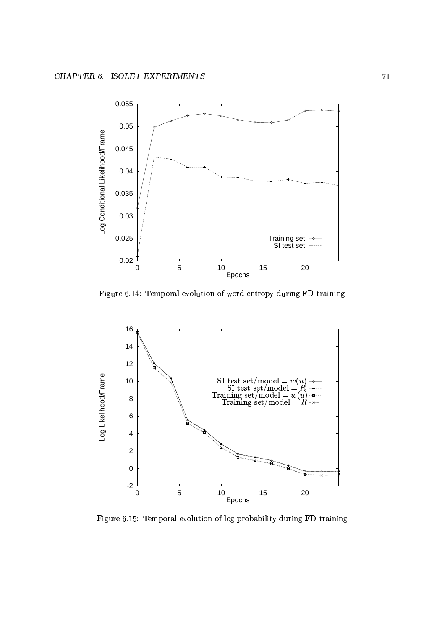

Figure 6.14: Temporal evolution of word entropy during FD training



Figure 6.15: Temporal evolution of log probability during FD training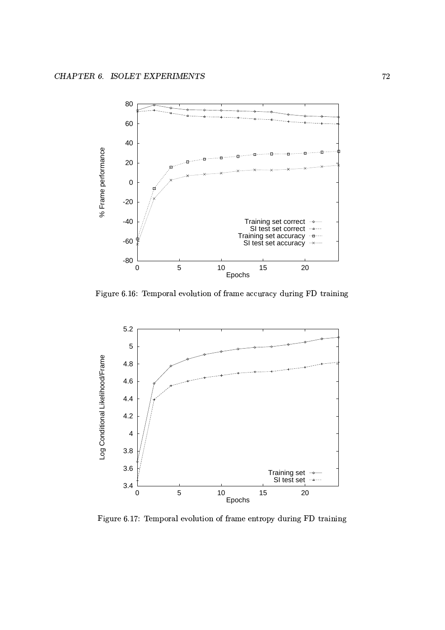

Figure 6.16: Temporal evolution of frame accuracy during FD training



Figure 6.17: Temporal evolution of frame entropy during FD training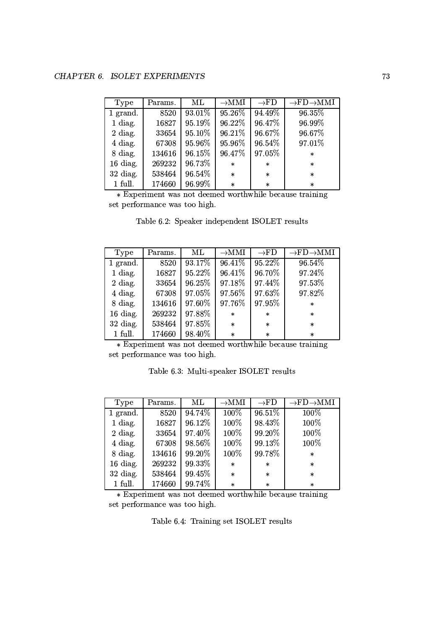| Type     | Params. | ML     | $\rightarrow$ MMI | $\rightarrow$ FD | $\rightarrow$ FD $\rightarrow$ MMI |
|----------|---------|--------|-------------------|------------------|------------------------------------|
| 1 grand. | 8520    | 93.01% | 95.26%            | 94.49%           | 96.35%                             |
| 1 diag.  | 16827   | 95.19% | 96.22%            | 96.47%           | 96.99%                             |
| 2 diag.  | 33654   | 95.10% | 96.21%            | 96.67%           | 96.67%                             |
| 4 diag.  | 67308   | 95.96% | 95.96%            | 96.54%           | 97.01%                             |
| 8 diag.  | 134616  | 96.15% | 96.47%            | 97.05%           | $\star$                            |
| 16 diag. | 269232  | 96.73% | $\ast$            | $\star$          | $\star$                            |
| 32 diag. | 538464  | 96.54% | $\ast$            | $\star$          | $\star$                            |
| 1 full.  | 174660  | 96.99% | $\ast$            | $\star$          | $\star$                            |

\* Experiment was not deemed worthwhile because training set performance was too high.

| Type       | Params. | МL     | $\rightarrow$ MMI | $\rightarrow$ FD | $\rightarrow$ FD $\rightarrow$ MMI |
|------------|---------|--------|-------------------|------------------|------------------------------------|
| 1 grand.   | 8520    | 93.17% | 96.41%            | 95.22%           | 96.54%                             |
| 1 diag.    | 16827   | 95.22% | 96.41%            | 96.70%           | 97.24%                             |
| 2 diag.    | 33654   | 96.25% | 97.18%            | 97.44%           | 97.53%                             |
| 4 diag.    | 67308   | 97.05% | 97.56%            | 97.63%           | 97.82%                             |
| 8 diag.    | 134616  | 97.60% | 97.76%            | 97.95%           | $\star$                            |
| 16 diag.   | 269232  | 97.88% | $\ast$            | $\star$          | $\star$                            |
| $32$ diag. | 538464  | 97.85% | $\ast$            | $\ast$           | $\star$                            |
| 1 full.    | 174660  | 98.40% | $\ast$            | $\star$          | $\ast$                             |

Table 6.2: Speaker independent ISOLET results

\* Experiment was not deemed worthwhile because training set performance was too high.

Table 6.3: Multi-speaker ISOLET results

| Type       | Params. | ML     | $\rightarrow$ MMI | $\rightarrow$ FD | $\rightarrow$ FD $\rightarrow$ MMI |
|------------|---------|--------|-------------------|------------------|------------------------------------|
| 1 grand.   | 8520    | 94.74% | 100%              | 96.51%           | 100%                               |
| 1 diag.    | 16827   | 96.12% | 100%              | 98.43%           | 100%                               |
| 2 diag.    | 33654   | 97.40% | 100%              | 99.20%           | 100%                               |
| 4 diag.    | 67308   | 98.56% | 100%              | 99.13%           | 100%                               |
| 8 diag.    | 134616  | 99.20% | 100%              | 99.78%           | $\star$                            |
| $16$ diag. | 269232  | 99.33% | $\ast$            | $\star$          | $\star$                            |
| $32$ diag. | 538464  | 99.45% | $\ast$            | $\star$          | $\star$                            |
| $1$ full.  | 174660  | 99.74% | $\ast$            | $\star$          | $\star$                            |

\* Experiment was not deemed worthwhile because training set performance was too high.

Table 6.4: Training set ISOLET results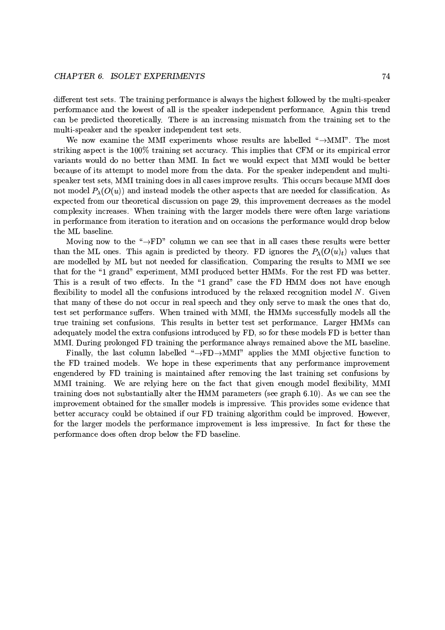different test sets. The training performance is always the highest followed by the multi-speaker performance and the lowest of all is the speaker independent performance. Again this trend can be predicted theoretically. There is an increasing mismatch from the training set to the multi-speaker and the speaker independent test sets.

We now examine the MMI experiments whose results are labelled " $\rightarrow$ MMI". The most striking aspect is the 100% training set accuracy. This implies that CFM or its empirical error variants would do no better than MMI. In fact we would expect that MMI would be better because of its attempt to model more from the data. For the speaker independent and multispeaker test sets, MMI training does in all cases improve results. This occurs because MMI does not model  $P_{\lambda}(O(u))$  and instead models the other aspects that are needed for classification. As expected from our theoretical discussion on page 29, this improvement decreases as the model complexity increases. When training with the larger models there were often large variations in performance from iteration to iteration and on occasions the performance would drop below the ML baseline.

Moving now to the " $\rightarrow$ FD" column we can see that in all cases these results were better than the ML ones. This again is predicted by theory. FD ignores the  $P_{\lambda}(O(u)_t)$  values that are modelled by ML but not needed for classification. Comparing the results to MMI we see that for the "1 grand" experiment, MMI produced better HMMs. For the rest FD was better. This is a result of two effects. In the "1 grand" case the FD HMM does not have enough flexibility to model all the confusions introduced by the relaxed recognition model  $N$ . Given that many of these do not occur in real speech and they only serve to mask the ones that do, test set performance suffers. When trained with MMI, the HMMs successfully models all the true training set confusions. This results in better test set performance. Larger HMMs can adequately model the extra confusions introduced by FD, so for these models FD is better than MMI. During prolonged FD training the performance always remained above the ML baseline.

Finally, the last column labelled " $\rightarrow$ FD $\rightarrow$ MMI" applies the MMI objective function to the FD trained models. We hope in these experiments that any performance improvement engendered by FD training is maintained after removing the last training set confusions by MMI training. We are relying here on the fact that given enough model flexibility, MMI training does not substantially alter the HMM parameters (see graph 6.10). As we can see the improvement obtained for the smaller models is impressive. This provides some evidence that better accuracy could be obtained if our FD training algorithm could be improved. However, for the larger models the performance improvement is less impressive. In fact for these the performance does often drop below the FD baseline.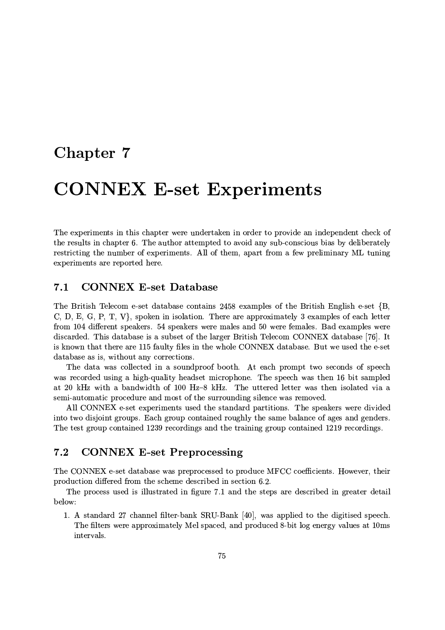## Chapter 7

# **CONNEX E-set Experiments**

The experiments in this chapter were undertaken in order to provide an independent check of the results in chapter 6. The author attempted to avoid any sub-conscious bias by deliberately restricting the number of experiments. All of them, apart from a few preliminary ML tuning experiments are reported here.

### **CONNEX E-set Database**  $7.1$

The British Telecom e-set database contains 2458 examples of the British English e-set {B, C, D, E, G, P, T, V, spoken in isolation. There are approximately 3 examples of each letter from 104 different speakers. 54 speakers were males and 50 were females. Bad examples were discarded. This database is a subset of the larger British Telecom CONNEX database [76]. It is known that there are 115 faulty files in the whole CONNEX database. But we used the e-set database as is, without any corrections.

The data was collected in a soundproof booth. At each prompt two seconds of speech was recorded using a high-quality headset microphone. The speech was then 16 bit sampled at 20 kHz with a bandwidth of 100 Hz-8 kHz. The uttered letter was then isolated via a semi-automatic procedure and most of the surrounding silence was removed.

All CONNEX e-set experiments used the standard partitions. The speakers were divided into two disjoint groups. Each group contained roughly the same balance of ages and genders. The test group contained 1239 recordings and the training group contained 1219 recordings.

#### $7.2$ **CONNEX E-set Preprocessing**

The CONNEX e-set database was preprocessed to produce MFCC coefficients. However, their production differed from the scheme described in section 6.2.

The process used is illustrated in figure 7.1 and the steps are described in greater detail below:

1. A standard 27 channel filter-bank SRU-Bank [40], was applied to the digitised speech. The filters were approximately Mel spaced, and produced 8-bit log energy values at 10ms intervals.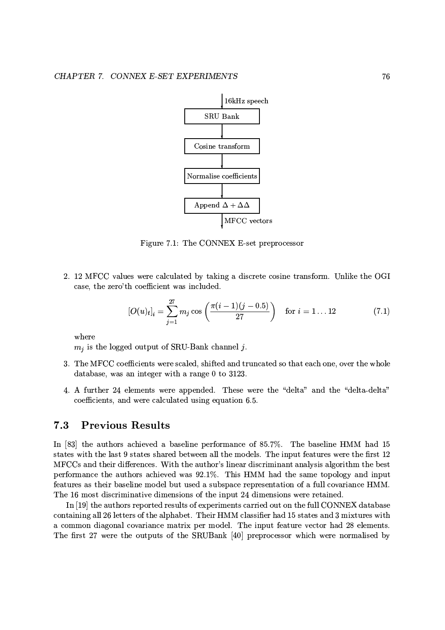

Figure 7.1: The CONNEX E-set preprocessor

2. 12 MFCC values were calculated by taking a discrete cosine transform. Unlike the OGI case, the zero'th coefficient was included.

$$
[O(u)_t]_i = \sum_{j=1}^{27} m_j \cos\left(\frac{\pi(i-1)(j-0.5)}{27}\right) \text{ for } i = 1...12
$$
 (7.1)

where

 $m_j$  is the logged output of SRU-Bank channel j.

- 3. The MFCC coefficients were scaled, shifted and truncated so that each one, over the whole database, was an integer with a range  $0$  to 3123.
- 4. A further 24 elements were appended. These were the "delta" and the "delta-delta" coefficients, and were calculated using equation 6.5.

### 7.3 **Previous Results**

In [83] the authors achieved a baseline performance of 85.7%. The baseline HMM had 15 states with the last 9 states shared between all the models. The input features were the first 12 MFCCs and their differences. With the author's linear discriminant analysis algorithm the best performance the authors achieved was 92.1%. This HMM had the same topology and input features as their baseline model but used a subspace representation of a full covariance HMM. The 16 most discriminative dimensions of the input 24 dimensions were retained.

In [19] the authors reported results of experiments carried out on the full CONNEX database containing all 26 letters of the alphabet. Their HMM classifier had 15 states and 3 mixtures with a common diagonal covariance matrix per model. The input feature vector had 28 elements. The first 27 were the outputs of the SRUBank [40] preprocessor which were normalised by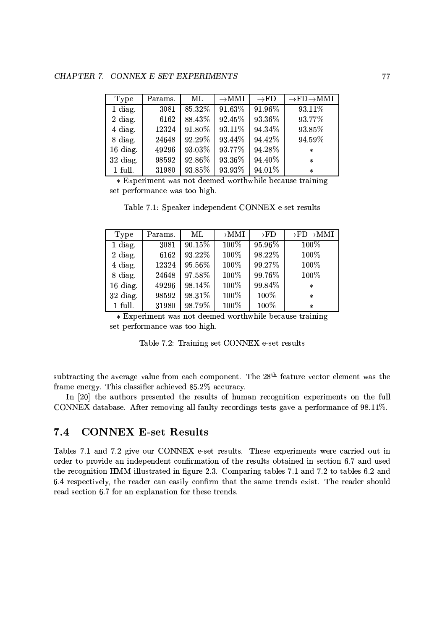| Type     | Params. | $\rm ML$ | $\rightarrow$ MMI | $\rightarrow$ FD | $\rightarrow$ FD $\rightarrow$ MMI |
|----------|---------|----------|-------------------|------------------|------------------------------------|
| 1 diag.  | 3081    | 85.32%   | 91.63%            | 91.96%           | 93.11%                             |
| 2 diag.  | 6162    | 88.43%   | 92.45%            | 93.36%           | 93.77%                             |
| 4 diag.  | 12324   | 91.80%   | 93.11%            | 94.34%           | 93.85%                             |
| 8 diag.  | 24648   | 92.29%   | 93.44%            | 94.42%           | 94.59%                             |
| 16 diag. | 49296   | 93.03%   | 93.77%            | 94.28%           | $\ast$                             |
| 32 diag. | 98592   | 92.86%   | 93.36%            | 94.40%           | $\star$                            |
| 1 full.  | 31980   | 93.85%   | 93.93%            | 94.01%           | $\star$                            |

\* Experiment was not deemed worthwhile because training set performance was too high.

Table 7.1: Speaker independent CONNEX e-set results

| Type       | Params. | ML     | $\rightarrow$ MMI | $\rightarrow$ FD | $\rightarrow$ FD $\rightarrow$ MMI |
|------------|---------|--------|-------------------|------------------|------------------------------------|
| 1 diag.    | 3081    | 90.15% | 100%              | 95.96%           | 100%                               |
| 2 diag.    | 6162    | 93.22% | 100%              | 98.22%           | 100%                               |
| 4 diag.    | 12324   | 95.56% | 100%              | 99.27%           | 100%                               |
| 8 diag.    | 24648   | 97.58% | 100%              | 99.76%           | 100%                               |
| 16 diag.   | 49296   | 98.14% | 100%              | 99.84%           | $\ast$                             |
| $32$ diag. | 98592   | 98.31% | 100%              | 100%             | $\ast$                             |
| 1 full.    | 31980   | 98.79% | 100%              | 100%             | $\ast$                             |

\* Experiment was not deemed worthwhile because training set performance was too high.

|  |  |  |  |  | Table 7.2: Training set CONNEX e-set results |  |  |  |
|--|--|--|--|--|----------------------------------------------|--|--|--|
|--|--|--|--|--|----------------------------------------------|--|--|--|

subtracting the average value from each component. The 28<sup>th</sup> feature vector element was the frame energy. This classifier achieved 85.2% accuracy.

In [20] the authors presented the results of human recognition experiments on the full CONNEX database. After removing all faulty recordings tests gave a performance of 98.11%.

### **CONNEX E-set Results** 7.4

Tables 7.1 and 7.2 give our CONNEX e-set results. These experiments were carried out in order to provide an independent confirmation of the results obtained in section 6.7 and used the recognition HMM illustrated in figure 2.3. Comparing tables 7.1 and 7.2 to tables 6.2 and 6.4 respectively, the reader can easily confirm that the same trends exist. The reader should read section 6.7 for an explanation for these trends.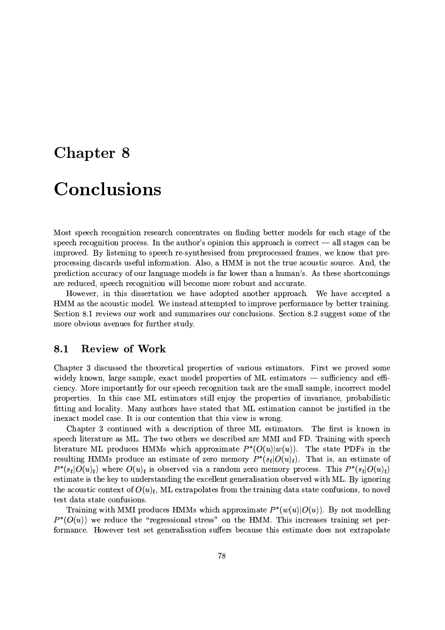## **Chapter 8**

# Conclusions

Most speech recognition research concentrates on finding better models for each stage of the speech recognition process. In the author's opinion this approach is correct  $-$  all stages can be improved. By listening to speech re-synthesised from preprocessed frames, we know that preprocessing discards useful information. Also, a HMM is not the true acoustic source. And, the prediction accuracy of our language models is far lower than a human's. As these shortcomings are reduced, speech recognition will become more robust and accurate.

However, in this dissertation we have adopted another approach. We have accepted a HMM as the acoustic model. We instead attempted to improve performance by better training. Section 8.1 reviews our work and summarises our conclusions. Section 8.2 suggest some of the more obvious avenues for further study.

### **Review of Work** 8.1

Chapter 3 discussed the theoretical properties of various estimators. First we proved some widely known, large sample, exact model properties of ML estimators — sufficiency and efficiency. More importantly for our speech recognition task are the small sample, incorrect model properties. In this case ML estimators still enjoy the properties of invariance, probabilistic fitting and locality. Many authors have stated that ML estimation cannot be justified in the inexact model case. It is our contention that this view is wrong.

Chapter 3 continued with a description of three ML estimators. The first is known in speech literature as ML. The two others we described are MMI and FD. Training with speech literature ML produces HMMs which approximate  $P^*(O(u)|w(u))$ . The state PDFs in the resulting HMMs produce an estimate of zero memory  $P^*(s_t|O(u)_t)$ . That is, an estimate of  $P^*(s_t|O(u)_t)$  where  $O(u)_t$  is observed via a random zero memory process. This  $P^*(s_t|O(u)_t)$ estimate is the key to understanding the excellent generalisation observed with ML. By ignoring the acoustic context of  $O(u)_t$ , ML extrapolates from the training data state confusions, to novel test data state confusions.

Training with MMI produces HMMs which approximate  $P^*(w(u)|O(u))$ . By not modelling  $P^*(O(u))$  we reduce the "regressional stress" on the HMM. This increases training set performance. However test set generalisation suffers because this estimate does not extrapolate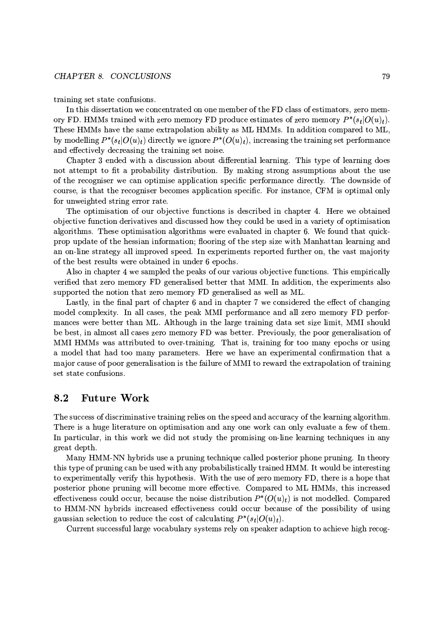### CHAPTER 8. CONCLUSIONS

training set state confusions.

In this dissertation we concentrated on one member of the FD class of estimators, zero memory FD. HMMs trained with zero memory FD produce estimates of zero memory  $P^*(s_t|O(u)_t)$ . These HMMs have the same extrapolation ability as ML HMMs. In addition compared to ML, by modelling  $P^*(s_t|O(u)_t)$  directly we ignore  $P^*(O(u)_t)$ , increasing the training set performance and effectively decreasing the training set noise.

Chapter 3 ended with a discussion about differential learning. This type of learning does not attempt to fit a probability distribution. By making strong assumptions about the use of the recogniser we can optimise application specific performance directly. The downside of course, is that the recogniser becomes application specific. For instance, CFM is optimal only for unweighted string error rate.

The optimisation of our objective functions is described in chapter 4. Here we obtained objective function derivatives and discussed how they could be used in a variety of optimisation algorithms. These optimisation algorithms were evaluated in chapter 6. We found that quickprop update of the hessian information; flooring of the step size with Manhattan learning and an on-line strategy all improved speed. In experiments reported further on, the vast majority of the best results were obtained in under 6 epochs.

Also in chapter 4 we sampled the peaks of our various objective functions. This empirically verified that zero memory FD generalised better that MMI. In addition, the experiments also supported the notion that zero memory FD generalised as well as ML.

Lastly, in the final part of chapter 6 and in chapter 7 we considered the effect of changing model complexity. In all cases, the peak MMI performance and all zero memory FD performances were better than ML. Although in the large training data set size limit, MMI should be best, in almost all cases zero memory FD was better. Previously, the poor generalisation of MMI HMMs was attributed to over-training. That is, training for too many epochs or using a model that had too many parameters. Here we have an experimental confirmation that a major cause of poor generalisation is the failure of MMI to reward the extrapolation of training set state confusions.

#### **Future Work** 8.2

The success of discriminative training relies on the speed and accuracy of the learning algorithm. There is a huge literature on optimisation and any one work can only evaluate a few of them. In particular, in this work we did not study the promising on-line learning techniques in any great depth.

Many HMM-NN hybrids use a pruning technique called posterior phone pruning. In theory this type of pruning can be used with any probabilistically trained HMM. It would be interesting to experimentally verify this hypothesis. With the use of zero memory FD, there is a hope that posterior phone pruning will become more effective. Compared to ML HMMs, this increased effectiveness could occur, because the noise distribution  $P^*(O(u)_t)$  is not modelled. Compared to HMM-NN hybrids increased effectiveness could occur because of the possibility of using gaussian selection to reduce the cost of calculating  $P^*(s_t|O(u)_t)$ .

Current successful large vocabulary systems rely on speaker adaption to achieve high recog-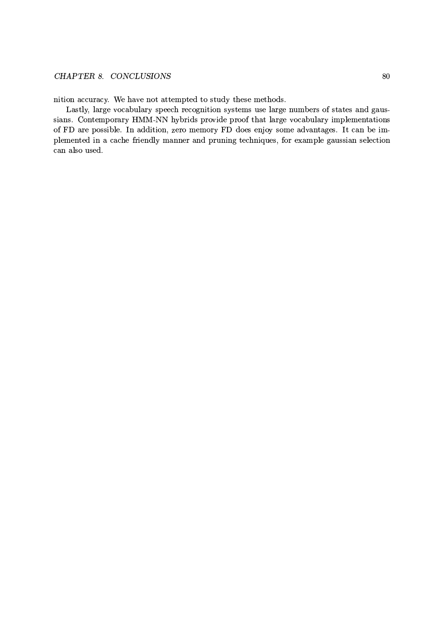## CHAPTER 8. CONCLUSIONS

nition accuracy. We have not attempted to study these methods.

Lastly, large vocabulary speech recognition systems use large numbers of states and gaussians. Contemporary HMM-NN hybrids provide proof that large vocabulary implementations of FD are possible. In addition, zero memory FD does enjoy some advantages. It can be implemented in a cache friendly manner and pruning techniques, for example gaussian selection can also used.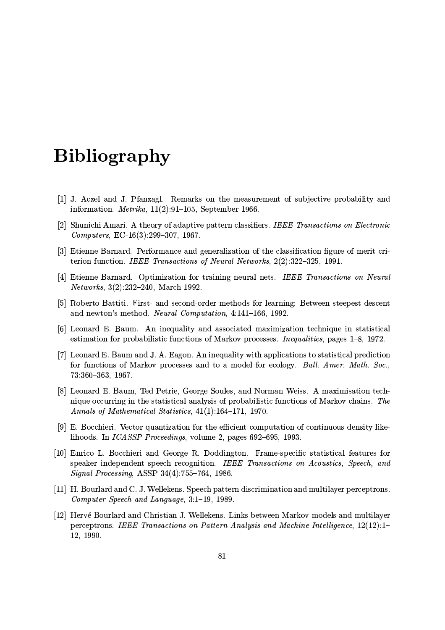# **Bibliography**

- [1] J. Aczel and J. Pfanzagl. Remarks on the measurement of subjective probability and information. *Metrika*,  $11(2):91-105$ , September 1966.
- [2] Shunichi Amari. A theory of adaptive pattern classifiers. IEEE Transactions on Electronic  $Computers, EC-16(3):299-307, 1967.$
- [3] Etienne Barnard. Performance and generalization of the classification figure of merit criterion function. IEEE Transactions of Neural Networks, 2(2):322-325, 1991.
- [4] Etienne Barnard. Optimization for training neural nets. IEEE Transactions on Neural *Networks*,  $3(2):232-240$ , March 1992.
- [5] Roberto Battiti. First- and second-order methods for learning: Between steepest descent and newton's method. Neural Computation, 4:141-166, 1992.
- [6] Leonard E. Baum. An inequality and associated maximization technique in statistical estimation for probabilistic functions of Markov processes. *Inequalities*, pages 1–8, 1972.
- [7] Leonard E. Baum and J. A. Eagon. An inequality with applications to statistical prediction for functions of Markov processes and to a model for ecology. Bull. Amer. Math. Soc.,  $73:360 - 363, 1967.$
- [8] Leonard E. Baum, Ted Petrie, George Soules, and Norman Weiss. A maximisation technique occurring in the statistical analysis of probabilistic functions of Markov chains. The Annals of Mathematical Statistics, 41(1):164-171, 1970.
- [9] E. Bocchieri. Vector quantization for the efficient computation of continuous density likelihoods. In *ICASSP Proceedings*, volume 2, pages 692-695, 1993.
- [10] Enrico L. Bocchieri and George R. Doddington. Frame-specific statistical features for speaker independent speech recognition. IEEE Transactions on Acoustics, Speech, and Signal Processing, ASSP-34(4):755-764, 1986.
- [11] H. Bourlard and C. J. Wellekens. Speech pattern discrimination and multilayer perceptrons. Computer Speech and Language, 3:1-19, 1989.
- [12] Hervé Bourlard and Christian J. Wellekens. Links between Markov models and multilayer perceptrons. IEEE Transactions on Pattern Analysis and Machine Intelligence, 12(12):1-12, 1990.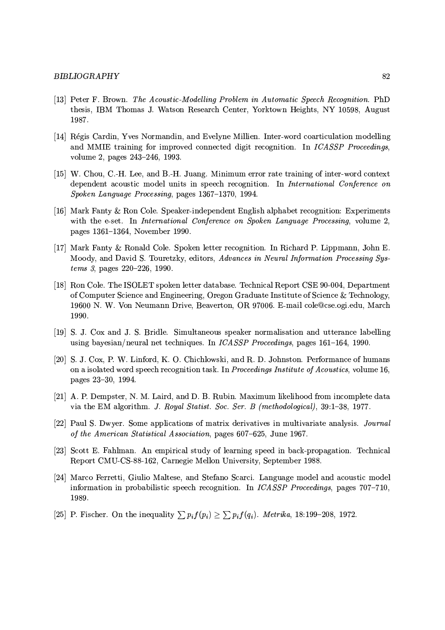- [13] Peter F. Brown. The Acoustic-Modelling Problem in Automatic Speech Recognition. PhD thesis, IBM Thomas J. Watson Research Center, Yorktown Heights, NY 10598, August 1987.
- [14] Régis Cardin, Yves Normandin, and Evelyne Millien. Inter-word coarticulation modelling and MMIE training for improved connected digit recognition. In ICASSP Proceedings, volume 2, pages 243-246, 1993.
- [15] W. Chou, C.-H. Lee, and B.-H. Juang. Minimum error rate training of inter-word context dependent acoustic model units in speech recognition. In International Conference on Spoken Language Processing, pages 1367-1370, 1994.
- [16] Mark Fanty & Ron Cole. Speaker-independent English alphabet recognition: Experiments with the e-set. In International Conference on Spoken Language Processing, volume 2, pages 1361-1364, November 1990.
- [17] Mark Fanty & Ronald Cole. Spoken letter recognition. In Richard P. Lippmann, John E. Moody, and David S. Touretzky, editors, Advances in Neural Information Processing Sys $tems 3$ , pages 220-226, 1990.
- [18] Ron Cole. The ISOLET spoken letter database. Technical Report CSE 90-004, Department of Computer Science and Engineering, Oregon Graduate Institute of Science & Technology, 19600 N. W. Von Neumann Drive, Beaverton, OR 97006. E-mail cole@cse.ogi.edu, March 1990.
- [19] S. J. Cox and J. S. Bridle. Simultaneous speaker normalisation and utterance labelling using bayesian/neural net techniques. In ICASSP Proceedings, pages 161-164, 1990.
- [20] S. J. Cox, P. W. Linford, K. O. Chichlowski, and R. D. Johnston. Performance of humans on a isolated word speech recognition task. In Proceedings Institute of Acoustics, volume 16, pages 23-30, 1994.
- [21] A. P. Dempster, N. M. Laird, and D. B. Rubin. Maximum likelihood from incomplete data via the EM algorithm. J. Royal Statist. Soc. Ser. B (methodological), 39:1-38, 1977.
- [22] Paul S. Dwyer. Some applications of matrix derivatives in multivariate analysis. *Journal* of the American Statistical Association, pages 607–625, June 1967.
- [23] Scott E. Fahlman. An empirical study of learning speed in back-propagation. Technical Report CMU-CS-88-162, Carnegie Mellon University, September 1988.
- [24] Marco Ferretti, Giulio Maltese, and Stefano Scarci. Language model and acoustic model information in probabilistic speech recognition. In ICASSP Proceedings, pages 707-710, 1989.
- [25] P. Fischer. On the inequality  $\sum p_i f(p_i) \geq \sum p_i f(q_i)$ . Metrika, 18:199-208, 1972.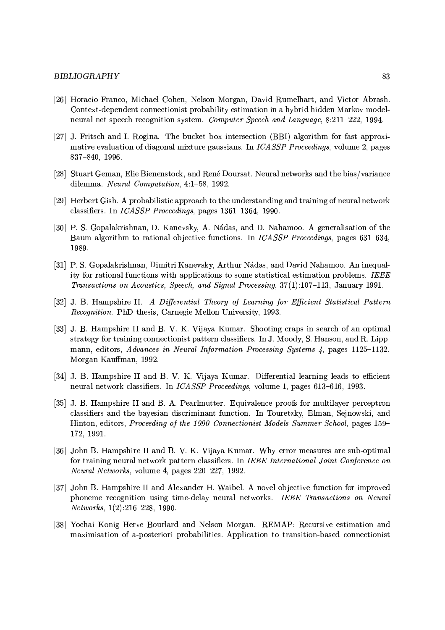## **BIBLIOGRAPHY**

- [26] Horacio Franco, Michael Cohen, Nelson Morgan, David Rumelhart, and Victor Abrash. Context-dependent connectionist probability estimation in a hybrid hidden Markov modelneural net speech recognition system. Computer Speech and Language, 8:211-222, 1994.
- [27] J. Fritsch and I. Rogina. The bucket box intersection (BBI) algorithm for fast approximative evaluation of diagonal mixture gaussians. In *ICASSP Proceedings*, volume 2, pages 837-840, 1996.
- [28] Stuart Geman, Elie Bienenstock, and René Doursat. Neural networks and the bias/variance dilemma. Neural Computation, 4:1-58, 1992.
- [29] Herbert Gish. A probabilistic approach to the understanding and training of neural network classifiers. In ICASSP Proceedings, pages 1361-1364, 1990.
- [30] P. S. Gopalakrishnan, D. Kanevsky, A. Nádas, and D. Nahamoo. A generalisation of the Baum algorithm to rational objective functions. In *ICASSP Proceedings*, pages 631–634, 1989.
- [31] P. S. Gopalakrishnan, Dimitri Kanevsky, Arthur Nádas, and David Nahamoo. An inequality for rational functions with applications to some statistical estimation problems. IEEE Transactions on Acoustics, Speech, and Signal Processing, 37(1):107-113, January 1991.
- [32] J. B. Hampshire II. A Differential Theory of Learning for Efficient Statistical Pattern *Recognition.* PhD thesis, Carnegie Mellon University, 1993.
- [33] J. B. Hampshire II and B. V. K. Vijaya Kumar. Shooting craps in search of an optimal strategy for training connectionist pattern classifiers. In J. Moody, S. Hanson, and R. Lippmann, editors, Advances in Neural Information Processing Systems 4, pages 1125-1132. Morgan Kauffman, 1992.
- [34] J. B. Hampshire II and B. V. K. Vijaya Kumar. Differential learning leads to efficient neural network classifiers. In ICASSP Proceedings, volume 1, pages 613-616, 1993.
- [35] J. B. Hampshire II and B. A. Pearlmutter. Equivalence proofs for multilayer perceptron classifiers and the bayesian discriminant function. In Touretzky, Elman, Sejnowski, and Hinton, editors, Proceeding of the 1990 Connectionist Models Summer School, pages 159– 172, 1991.
- [36] John B. Hampshire II and B. V. K. Vijaya Kumar. Why error measures are sub-optimal for training neural network pattern classifiers. In IEEE International Joint Conference on Neural Networks, volume 4, pages 220-227, 1992.
- [37] John B. Hampshire II and Alexander H. Waibel. A novel objective function for improved phoneme recognition using time-delay neural networks. IEEE Transactions on Neural  $Networks, 1(2):216-228, 1990.$
- [38] Yochai Konig Herve Bourlard and Nelson Morgan. REMAP: Recursive estimation and maximisation of a-posteriori probabilities. Application to transition-based connectionist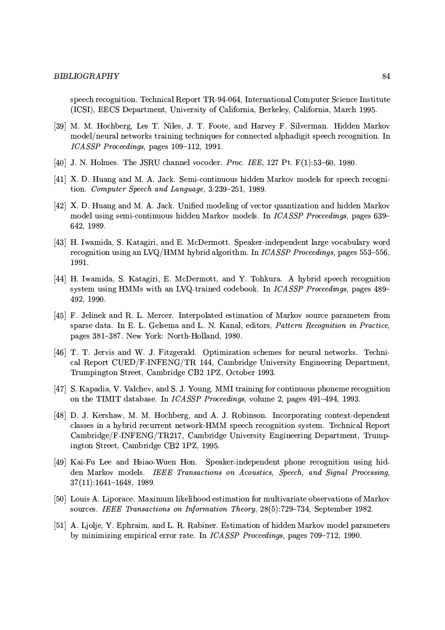speech recognition. Technical Report TR-94-064, International Computer Science Institute (ICSI), EECS Department, University of California, Berkeley, California, March 1995.

- [39] M. M. Hochberg, Les T. Niles, J. T. Foote, and Harvey F. Silverman. Hidden Markov model/neural networks training techniques for connected alphadigit speech recognition. In ICASSP Proceedings, pages 109-112, 1991.
- [40] J. N. Holmes. The JSRU channel vocoder. *Proc. IEE*, 127 Pt.  $F(1):53-60, 1980$ .
- [41] X. D. Huang and M. A. Jack. Semi-continuous hidden Markov models for speech recognition. Computer Speech and Language, 3:239-251, 1989.
- [42] X. D. Huang and M. A. Jack. Unified modeling of vector quantization and hidden Markov model using semi-continuous hidden Markov models. In ICASSP Proceedings, pages 639-642, 1989.
- [43] H. Iwamida, S. Katagiri, and E. McDermott. Speaker-independent large vocabulary word recognition using an LVQ/HMM hybrid algorithm. In *ICASSP Proceedings*, pages  $553-556$ , 1991.
- [44] H. Iwamida, S. Katagiri, E. McDermott, and Y. Tohkura. A hybrid speech recognition system using HMMs with an LVQ-trained codebook. In ICASSP Proceedings, pages 489-492, 1990.
- [45] F. Jelinek and R. L. Mercer. Interpolated estimation of Markov source parameters from sparse data. In E. L. Gelsema and L. N. Kanal, editors, Pattern Recognition in Practice, pages 381-387. New York: North-Holland, 1980.
- [46] T. T. Jervis and W. J. Fitzgerald. Optimization schemes for neural networks. Technical Report CUED/F-INFENG/TR 144, Cambridge University Engineering Department, Trumpington Street, Cambridge CB2 1PZ, October 1993.
- [47] S. Kapadia, V. Valchev, and S. J. Young. MMI training for continuous phoneme recognition on the TIMIT database. In *ICASSP Proceedings*, volume 2, pages 491-494, 1993.
- [48] D. J. Kershaw, M. M. Hochberg, and A. J. Robinson. Incorporating context-dependent classes in a hybrid recurrent network-HMM speech recognition system. Technical Report Cambridge/F-INFENG/TR217, Cambridge University Engineering Department, Trumpington Street, Cambridge CB2 1PZ, 1995.
- [49] Kai-Fu Lee and Hsiao-Wuen Hon. Speaker-independent phone recognition using hidden Markov models. IEEE Transactions on Acoustics, Speech, and Signal Processing,  $37(11):1641-1648, 1989.$
- [50] Louis A. Liporace. Maximum likelihood estimation for multivariate observations of Markov sources. IEEE Transactions on Information Theory, 28(5):729-734, September 1982.
- [51] A. Ljolje, Y. Ephraim, and L. R. Rabiner. Estimation of hidden Markov model parameters by minimizing empirical error rate. In ICASSP Proceedings, pages 709-712, 1990.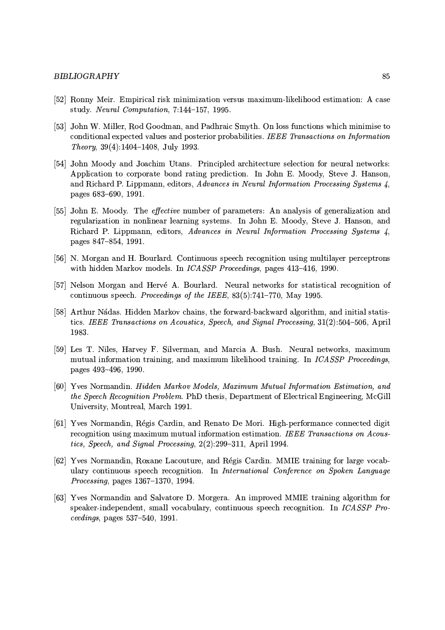## **BIBLIOGRAPHY**

- [52] Ronny Meir. Empirical risk minimization versus maximum-likelihood estimation: A case study. Neural Computation, 7:144-157, 1995.
- [53] John W. Miller, Rod Goodman, and Padhraic Smyth. On loss functions which minimise to conditional expected values and posterior probabilities. IEEE Transactions on Information *Theory*,  $39(4):1404-1408$ , July 1993.
- [54] John Moody and Joachim Utans. Principled architecture selection for neural networks: Application to corporate bond rating prediction. In John E. Moody, Steve J. Hanson, and Richard P. Lippmann, editors, Advances in Neural Information Processing Systems 4, pages 683-690, 1991.
- [55] John E. Moody. The *effective* number of parameters: An analysis of generalization and regularization in nonlinear learning systems. In John E. Moody, Steve J. Hanson, and Richard P. Lippmann, editors, Advances in Neural Information Processing Systems 4, pages 847-854, 1991.
- [56] N. Morgan and H. Bourlard. Continuous speech recognition using multilaver perceptrons with hidden Markov models. In *ICASSP Proceedings*, pages 413-416, 1990.
- [57] Nelson Morgan and Hervé A. Bourlard. Neural networks for statistical recognition of continuous speech. *Proceedings of the IEEE*,  $83(5):741-770$ , May 1995.
- [58] Arthur Nádas. Hidden Markov chains, the forward-backward algorithm, and initial statistics. IEEE Transactions on Acoustics, Speech, and Signal Processing, 31(2):504-506, April 1983.
- [59] Les T. Niles, Harvey F. Silverman, and Marcia A. Bush. Neural networks, maximum mutual information training, and maximum likelihood training. In ICASSP Proceedings, pages 493-496, 1990.
- [60] Yves Normandin. Hidden Markov Models, Maximum Mutual Information Estimation, and the Speech Recognition Problem. PhD thesis, Department of Electrical Engineering, McGill University, Montreal, March 1991.
- [61] Yves Normandin, Régis Cardin, and Renato De Mori. High-performance connected digit recognition using maximum mutual information estimation. IEEE Transactions on Acoustics, Speech, and Signal Processing, 2(2):299-311, April 1994.
- [62] Yves Normandin, Roxane Lacouture, and Régis Cardin. MMIE training for large vocabulary continuous speech recognition. In International Conference on Spoken Language Processing, pages 1367-1370, 1994.
- [63] Yves Normandin and Salvatore D. Morgera. An improved MMIE training algorithm for speaker-independent, small vocabulary, continuous speech recognition. In ICASSP Pro $ceedings, pages 537–540, 1991.$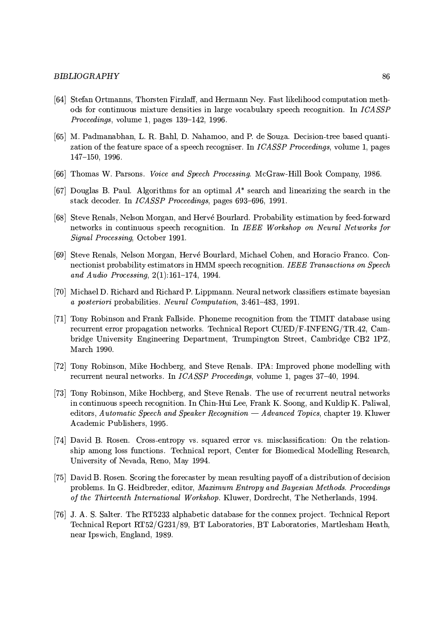## **BIBLIOGRAPHY**

- [64] Stefan Ortmanns, Thorsten Firzlaff, and Hermann Ney. Fast likelihood computation methods for continuous mixture densities in large vocabulary speech recognition. In ICASSP Proceedings, volume 1, pages 139-142, 1996.
- [65] M. Padmanabhan, L. R. Bahl, D. Nahamoo, and P. de Souza. Decision-tree based quantization of the feature space of a speech recogniser. In *ICASSP Proceedings*, volume 1, pages  $147 - 150$ , 1996.
- [66] Thomas W. Parsons. Voice and Speech Processing. McGraw-Hill Book Company, 1986.
- [67] Douglas B. Paul. Algorithms for an optimal  $A^*$  search and linearizing the search in the stack decoder. In *ICASSP Proceedings*, pages 693-696, 1991.
- [68] Steve Renals, Nelson Morgan, and Hervé Bourlard. Probability estimation by feed-forward networks in continuous speech recognition. In IEEE Workshop on Neural Networks for Signal Processing, October 1991.
- [69] Steve Renals, Nelson Morgan, Hervé Bourlard, Michael Cohen, and Horacio Franco. Connectionist probability estimators in HMM speech recognition. IEEE Transactions on Speech and Audio Processing,  $2(1):161-174$ , 1994.
- [70] Michael D. Richard and Richard P. Lippmann. Neural network classifiers estimate bayesian a posteriori probabilities. Neural Computation, 3:461-483, 1991.
- [71] Tony Robinson and Frank Fallside. Phoneme recognition from the TIMIT database using recurrent error propagation networks. Technical Report CUED/F-INFENG/TR.42, Cambridge University Engineering Department, Trumpington Street, Cambridge CB2 1PZ, March 1990.
- [72] Tony Robinson, Mike Hochberg, and Steve Renals. IPA: Improved phone modelling with recurrent neural networks. In ICASSP Proceedings, volume 1, pages 37-40, 1994.
- [73] Tony Robinson, Mike Hochberg, and Steve Renals. The use of recurrent neutral networks in continuous speech recognition. In Chin-Hui Lee, Frank K. Soong, and Kuldip K. Paliwal, editors, Automatic Speech and Speaker Recognition — Advanced Topics, chapter 19. Kluwer Academic Publishers, 1995.
- [74] David B. Rosen. Cross-entropy vs. squared error vs. misclassification: On the relationship among loss functions. Technical report, Center for Biomedical Modelling Research, University of Nevada, Reno, May 1994.
- [75] David B. Rosen. Scoring the forecaster by mean resulting payoff of a distribution of decision problems. In G. Heidbreder, editor, Maximum Entropy and Bayesian Methods. Proceedings of the Thirteenth International Workshop. Kluwer, Dordrecht, The Netherlands, 1994.
- [76] J. A. S. Salter. The RT5233 alphabetic database for the connex project. Technical Report Technical Report RT52/G231/89, BT Laboratories, BT Laboratories, Martlesham Heath, near Ipswich, England, 1989.